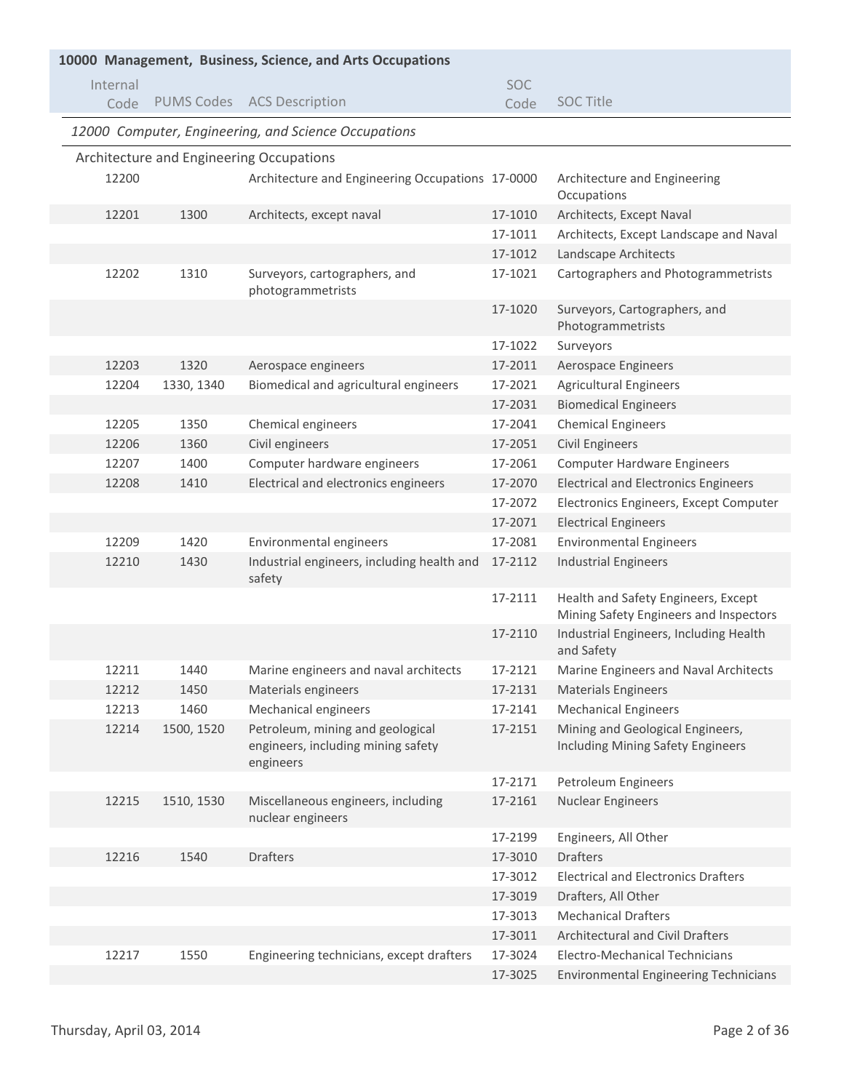| 10000 Management, Business, Science, and Arts Occupations |            |                                                                                     |            |                                                                               |  |  |
|-----------------------------------------------------------|------------|-------------------------------------------------------------------------------------|------------|-------------------------------------------------------------------------------|--|--|
| Internal                                                  |            |                                                                                     | <b>SOC</b> |                                                                               |  |  |
| Code                                                      |            | PUMS Codes ACS Description                                                          | Code       | <b>SOC Title</b>                                                              |  |  |
|                                                           |            | 12000 Computer, Engineering, and Science Occupations                                |            |                                                                               |  |  |
|                                                           |            | Architecture and Engineering Occupations                                            |            |                                                                               |  |  |
| 12200                                                     |            | Architecture and Engineering Occupations 17-0000                                    |            | Architecture and Engineering<br>Occupations                                   |  |  |
| 12201                                                     | 1300       | Architects, except naval                                                            | 17-1010    | Architects, Except Naval                                                      |  |  |
|                                                           |            |                                                                                     | 17-1011    | Architects, Except Landscape and Naval                                        |  |  |
|                                                           |            |                                                                                     | 17-1012    | Landscape Architects                                                          |  |  |
| 12202                                                     | 1310       | Surveyors, cartographers, and<br>photogrammetrists                                  | 17-1021    | Cartographers and Photogrammetrists                                           |  |  |
|                                                           |            |                                                                                     | 17-1020    | Surveyors, Cartographers, and<br>Photogrammetrists                            |  |  |
|                                                           |            |                                                                                     | 17-1022    | Surveyors                                                                     |  |  |
| 12203                                                     | 1320       | Aerospace engineers                                                                 | 17-2011    | Aerospace Engineers                                                           |  |  |
| 12204                                                     | 1330, 1340 | Biomedical and agricultural engineers                                               | 17-2021    | <b>Agricultural Engineers</b>                                                 |  |  |
|                                                           |            |                                                                                     | 17-2031    | <b>Biomedical Engineers</b>                                                   |  |  |
| 12205                                                     | 1350       | Chemical engineers                                                                  | 17-2041    | <b>Chemical Engineers</b>                                                     |  |  |
| 12206                                                     | 1360       | Civil engineers                                                                     | 17-2051    | <b>Civil Engineers</b>                                                        |  |  |
| 12207                                                     | 1400       | Computer hardware engineers                                                         | 17-2061    | <b>Computer Hardware Engineers</b>                                            |  |  |
| 12208                                                     | 1410       | Electrical and electronics engineers                                                | 17-2070    | <b>Electrical and Electronics Engineers</b>                                   |  |  |
|                                                           |            |                                                                                     | 17-2072    | Electronics Engineers, Except Computer                                        |  |  |
|                                                           |            |                                                                                     | 17-2071    | <b>Electrical Engineers</b>                                                   |  |  |
| 12209                                                     | 1420       | Environmental engineers                                                             | 17-2081    | <b>Environmental Engineers</b>                                                |  |  |
| 12210                                                     | 1430       | Industrial engineers, including health and<br>safety                                | 17-2112    | <b>Industrial Engineers</b>                                                   |  |  |
|                                                           |            |                                                                                     | 17-2111    | Health and Safety Engineers, Except<br>Mining Safety Engineers and Inspectors |  |  |
|                                                           |            |                                                                                     | 17-2110    | Industrial Engineers, Including Health<br>and Safety                          |  |  |
| 12211                                                     | 1440       | Marine engineers and naval architects                                               | 17-2121    | Marine Engineers and Naval Architects                                         |  |  |
| 12212                                                     | 1450       | Materials engineers                                                                 | 17-2131    | <b>Materials Engineers</b>                                                    |  |  |
| 12213                                                     | 1460       | Mechanical engineers                                                                | 17-2141    | <b>Mechanical Engineers</b>                                                   |  |  |
| 12214                                                     | 1500, 1520 | Petroleum, mining and geological<br>engineers, including mining safety<br>engineers | 17-2151    | Mining and Geological Engineers,<br>Including Mining Safety Engineers         |  |  |
|                                                           |            |                                                                                     | 17-2171    | Petroleum Engineers                                                           |  |  |
| 12215                                                     | 1510, 1530 | Miscellaneous engineers, including<br>nuclear engineers                             | 17-2161    | <b>Nuclear Engineers</b>                                                      |  |  |
|                                                           |            |                                                                                     | 17-2199    | Engineers, All Other                                                          |  |  |
| 12216                                                     | 1540       | <b>Drafters</b>                                                                     | 17-3010    | <b>Drafters</b>                                                               |  |  |
|                                                           |            |                                                                                     | 17-3012    | <b>Electrical and Electronics Drafters</b>                                    |  |  |
|                                                           |            |                                                                                     | 17-3019    | Drafters, All Other                                                           |  |  |
|                                                           |            |                                                                                     | 17-3013    | <b>Mechanical Drafters</b>                                                    |  |  |
|                                                           |            |                                                                                     | 17-3011    | <b>Architectural and Civil Drafters</b>                                       |  |  |
| 12217                                                     | 1550       | Engineering technicians, except drafters                                            | 17-3024    | Electro-Mechanical Technicians                                                |  |  |
|                                                           |            |                                                                                     | 17-3025    | <b>Environmental Engineering Technicians</b>                                  |  |  |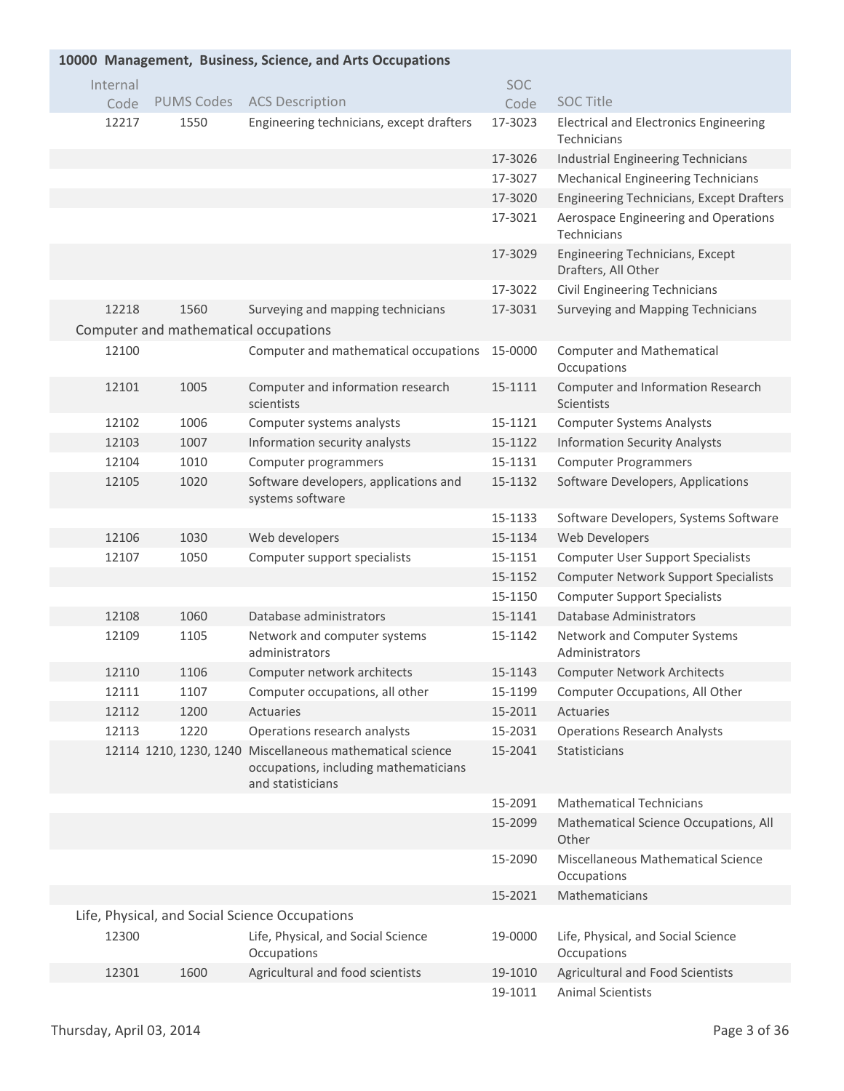| 10000 Management, Business, Science, and Arts Occupations |                   |                                                                                                                         |         |                                                                     |  |  |  |
|-----------------------------------------------------------|-------------------|-------------------------------------------------------------------------------------------------------------------------|---------|---------------------------------------------------------------------|--|--|--|
| Internal                                                  |                   |                                                                                                                         | SOC     |                                                                     |  |  |  |
| Code                                                      | <b>PUMS Codes</b> | <b>ACS Description</b>                                                                                                  | Code    | <b>SOC Title</b>                                                    |  |  |  |
| 12217                                                     | 1550              | Engineering technicians, except drafters                                                                                | 17-3023 | <b>Electrical and Electronics Engineering</b><br><b>Technicians</b> |  |  |  |
|                                                           |                   |                                                                                                                         | 17-3026 | Industrial Engineering Technicians                                  |  |  |  |
|                                                           |                   |                                                                                                                         | 17-3027 | <b>Mechanical Engineering Technicians</b>                           |  |  |  |
|                                                           |                   |                                                                                                                         | 17-3020 | <b>Engineering Technicians, Except Drafters</b>                     |  |  |  |
|                                                           |                   |                                                                                                                         | 17-3021 | Aerospace Engineering and Operations<br>Technicians                 |  |  |  |
|                                                           |                   |                                                                                                                         | 17-3029 | Engineering Technicians, Except<br>Drafters, All Other              |  |  |  |
|                                                           |                   |                                                                                                                         | 17-3022 | <b>Civil Engineering Technicians</b>                                |  |  |  |
| 12218                                                     | 1560              | Surveying and mapping technicians                                                                                       | 17-3031 | Surveying and Mapping Technicians                                   |  |  |  |
|                                                           |                   | Computer and mathematical occupations                                                                                   |         |                                                                     |  |  |  |
| 12100                                                     |                   | Computer and mathematical occupations                                                                                   | 15-0000 | <b>Computer and Mathematical</b><br>Occupations                     |  |  |  |
| 12101                                                     | 1005              | Computer and information research<br>scientists                                                                         | 15-1111 | Computer and Information Research<br>Scientists                     |  |  |  |
| 12102                                                     | 1006              | Computer systems analysts                                                                                               | 15-1121 | <b>Computer Systems Analysts</b>                                    |  |  |  |
| 12103                                                     | 1007              | Information security analysts                                                                                           | 15-1122 | <b>Information Security Analysts</b>                                |  |  |  |
| 12104                                                     | 1010              | Computer programmers                                                                                                    | 15-1131 | <b>Computer Programmers</b>                                         |  |  |  |
| 12105                                                     | 1020              | Software developers, applications and<br>systems software                                                               | 15-1132 | Software Developers, Applications                                   |  |  |  |
|                                                           |                   |                                                                                                                         | 15-1133 | Software Developers, Systems Software                               |  |  |  |
| 12106                                                     | 1030              | Web developers                                                                                                          | 15-1134 | Web Developers                                                      |  |  |  |
| 12107                                                     | 1050              | Computer support specialists                                                                                            | 15-1151 | <b>Computer User Support Specialists</b>                            |  |  |  |
|                                                           |                   |                                                                                                                         | 15-1152 | <b>Computer Network Support Specialists</b>                         |  |  |  |
|                                                           |                   |                                                                                                                         | 15-1150 | <b>Computer Support Specialists</b>                                 |  |  |  |
| 12108                                                     | 1060              | Database administrators                                                                                                 | 15-1141 | Database Administrators                                             |  |  |  |
| 12109                                                     | 1105              | Network and computer systems<br>administrators                                                                          | 15-1142 | Network and Computer Systems<br>Administrators                      |  |  |  |
| 12110                                                     | 1106              | Computer network architects                                                                                             | 15-1143 | <b>Computer Network Architects</b>                                  |  |  |  |
| 12111                                                     | 1107              | Computer occupations, all other                                                                                         | 15-1199 | Computer Occupations, All Other                                     |  |  |  |
| 12112                                                     | 1200              | Actuaries                                                                                                               | 15-2011 | Actuaries                                                           |  |  |  |
| 12113                                                     | 1220              | Operations research analysts                                                                                            | 15-2031 | <b>Operations Research Analysts</b>                                 |  |  |  |
|                                                           |                   | 12114 1210, 1230, 1240 Miscellaneous mathematical science<br>occupations, including mathematicians<br>and statisticians | 15-2041 | Statisticians                                                       |  |  |  |
|                                                           |                   |                                                                                                                         | 15-2091 | <b>Mathematical Technicians</b>                                     |  |  |  |
|                                                           |                   |                                                                                                                         | 15-2099 | Mathematical Science Occupations, All<br>Other                      |  |  |  |
|                                                           |                   |                                                                                                                         | 15-2090 | Miscellaneous Mathematical Science<br>Occupations                   |  |  |  |
|                                                           |                   |                                                                                                                         | 15-2021 | Mathematicians                                                      |  |  |  |
|                                                           |                   | Life, Physical, and Social Science Occupations                                                                          |         |                                                                     |  |  |  |
| 12300                                                     |                   | Life, Physical, and Social Science<br>Occupations                                                                       | 19-0000 | Life, Physical, and Social Science<br>Occupations                   |  |  |  |
| 12301                                                     | 1600              | Agricultural and food scientists                                                                                        | 19-1010 | Agricultural and Food Scientists                                    |  |  |  |
|                                                           |                   |                                                                                                                         | 19-1011 | <b>Animal Scientists</b>                                            |  |  |  |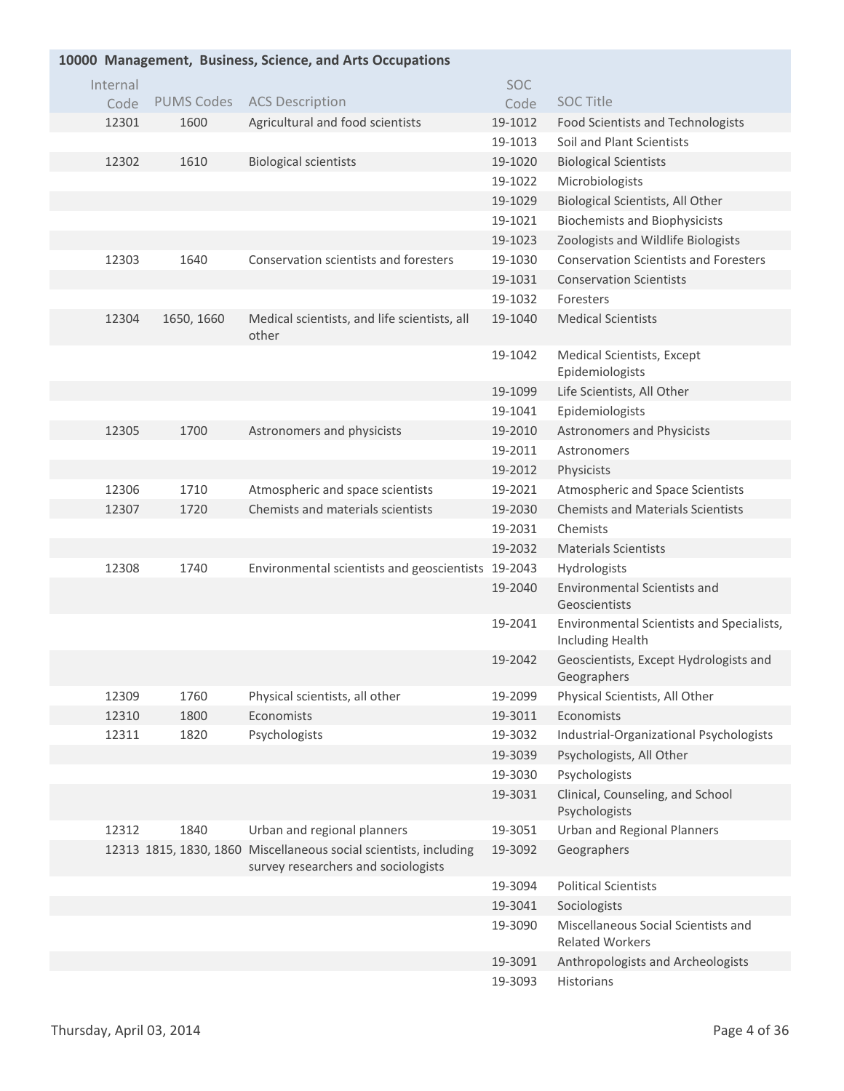| 10000 Management, Business, Science, and Arts Occupations |          |                   |                                                                                                          |         |                                                               |  |
|-----------------------------------------------------------|----------|-------------------|----------------------------------------------------------------------------------------------------------|---------|---------------------------------------------------------------|--|
|                                                           | Internal |                   |                                                                                                          | SOC     |                                                               |  |
|                                                           | Code     | <b>PUMS Codes</b> | <b>ACS Description</b>                                                                                   | Code    | <b>SOC Title</b>                                              |  |
|                                                           | 12301    | 1600              | Agricultural and food scientists                                                                         | 19-1012 | <b>Food Scientists and Technologists</b>                      |  |
|                                                           |          |                   |                                                                                                          | 19-1013 | Soil and Plant Scientists                                     |  |
|                                                           | 12302    | 1610              | <b>Biological scientists</b>                                                                             | 19-1020 | <b>Biological Scientists</b>                                  |  |
|                                                           |          |                   |                                                                                                          | 19-1022 | Microbiologists                                               |  |
|                                                           |          |                   |                                                                                                          | 19-1029 | Biological Scientists, All Other                              |  |
|                                                           |          |                   |                                                                                                          | 19-1021 | <b>Biochemists and Biophysicists</b>                          |  |
|                                                           |          |                   |                                                                                                          | 19-1023 | Zoologists and Wildlife Biologists                            |  |
|                                                           | 12303    | 1640              | Conservation scientists and foresters                                                                    | 19-1030 | <b>Conservation Scientists and Foresters</b>                  |  |
|                                                           |          |                   |                                                                                                          | 19-1031 | <b>Conservation Scientists</b>                                |  |
|                                                           |          |                   |                                                                                                          | 19-1032 | Foresters                                                     |  |
|                                                           | 12304    | 1650, 1660        | Medical scientists, and life scientists, all<br>other                                                    | 19-1040 | <b>Medical Scientists</b>                                     |  |
|                                                           |          |                   |                                                                                                          | 19-1042 | Medical Scientists, Except                                    |  |
|                                                           |          |                   |                                                                                                          |         | Epidemiologists                                               |  |
|                                                           |          |                   |                                                                                                          | 19-1099 | Life Scientists, All Other                                    |  |
|                                                           |          |                   |                                                                                                          | 19-1041 | Epidemiologists                                               |  |
|                                                           | 12305    | 1700              | Astronomers and physicists                                                                               | 19-2010 | <b>Astronomers and Physicists</b>                             |  |
|                                                           |          |                   |                                                                                                          | 19-2011 | Astronomers                                                   |  |
|                                                           |          |                   |                                                                                                          | 19-2012 | Physicists                                                    |  |
|                                                           | 12306    | 1710              | Atmospheric and space scientists                                                                         | 19-2021 | Atmospheric and Space Scientists                              |  |
|                                                           | 12307    | 1720              | Chemists and materials scientists                                                                        | 19-2030 | <b>Chemists and Materials Scientists</b>                      |  |
|                                                           |          |                   |                                                                                                          | 19-2031 | Chemists                                                      |  |
|                                                           |          |                   |                                                                                                          | 19-2032 | <b>Materials Scientists</b>                                   |  |
|                                                           | 12308    | 1740              | Environmental scientists and geoscientists                                                               | 19-2043 | Hydrologists                                                  |  |
|                                                           |          |                   |                                                                                                          | 19-2040 | <b>Environmental Scientists and</b><br>Geoscientists          |  |
|                                                           |          |                   |                                                                                                          | 19-2041 | Environmental Scientists and Specialists,<br>Including Health |  |
|                                                           |          |                   |                                                                                                          | 19-2042 | Geoscientists, Except Hydrologists and<br>Geographers         |  |
|                                                           | 12309    | 1760              | Physical scientists, all other                                                                           | 19-2099 | Physical Scientists, All Other                                |  |
|                                                           | 12310    | 1800              | Economists                                                                                               | 19-3011 | Economists                                                    |  |
|                                                           | 12311    | 1820              | Psychologists                                                                                            | 19-3032 | Industrial-Organizational Psychologists                       |  |
|                                                           |          |                   |                                                                                                          | 19-3039 | Psychologists, All Other                                      |  |
|                                                           |          |                   |                                                                                                          | 19-3030 | Psychologists                                                 |  |
|                                                           |          |                   |                                                                                                          | 19-3031 | Clinical, Counseling, and School<br>Psychologists             |  |
|                                                           | 12312    | 1840              | Urban and regional planners                                                                              | 19-3051 | <b>Urban and Regional Planners</b>                            |  |
|                                                           |          |                   | 12313 1815, 1830, 1860 Miscellaneous social scientists, including<br>survey researchers and sociologists | 19-3092 | Geographers                                                   |  |
|                                                           |          |                   |                                                                                                          | 19-3094 | <b>Political Scientists</b>                                   |  |
|                                                           |          |                   |                                                                                                          | 19-3041 | Sociologists                                                  |  |
|                                                           |          |                   |                                                                                                          | 19-3090 | Miscellaneous Social Scientists and<br><b>Related Workers</b> |  |
|                                                           |          |                   |                                                                                                          | 19-3091 | Anthropologists and Archeologists                             |  |
|                                                           |          |                   |                                                                                                          | 19-3093 | Historians                                                    |  |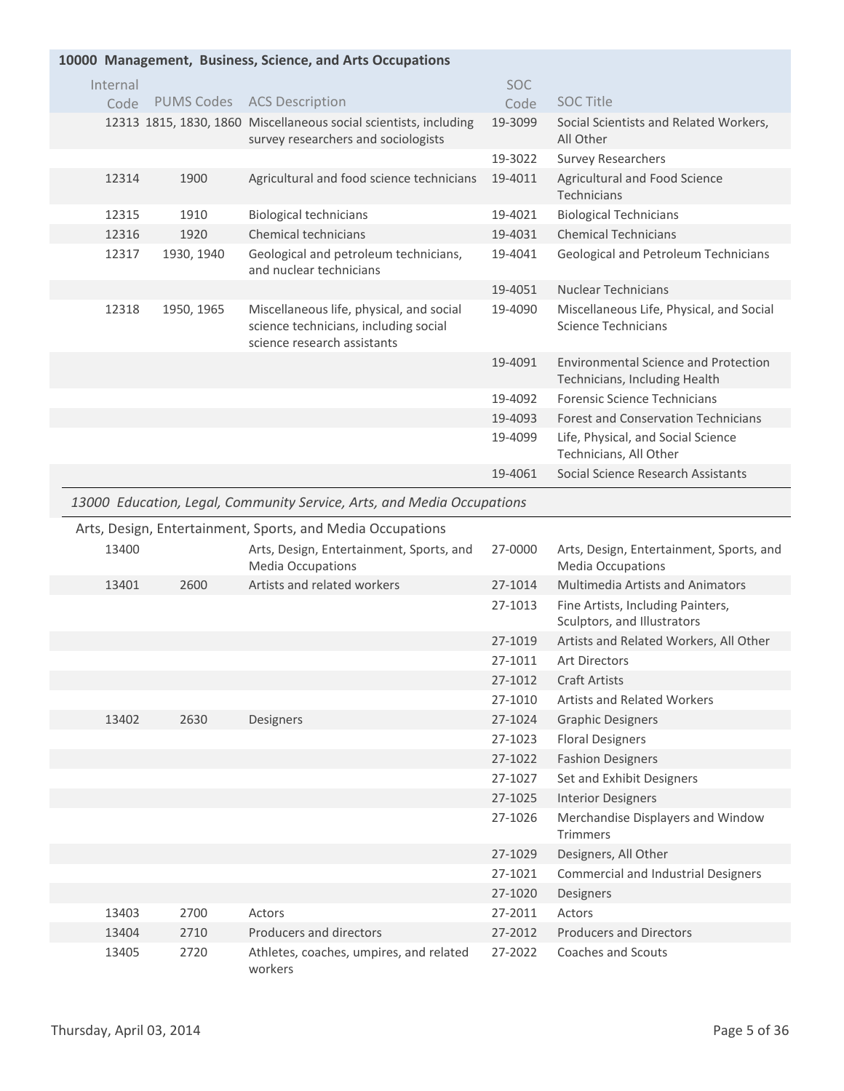| 10000 Management, Business, Science, and Arts Occupations |            |                                                                                                                  |            |                                                                              |  |
|-----------------------------------------------------------|------------|------------------------------------------------------------------------------------------------------------------|------------|------------------------------------------------------------------------------|--|
| Internal                                                  |            |                                                                                                                  | <b>SOC</b> |                                                                              |  |
| Code                                                      |            | PUMS Codes ACS Description                                                                                       | Code       | <b>SOC Title</b>                                                             |  |
|                                                           |            | 12313 1815, 1830, 1860 Miscellaneous social scientists, including<br>survey researchers and sociologists         | 19-3099    | Social Scientists and Related Workers,<br>All Other                          |  |
|                                                           |            |                                                                                                                  | 19-3022    | <b>Survey Researchers</b>                                                    |  |
| 12314                                                     | 1900       | Agricultural and food science technicians                                                                        | 19-4011    | Agricultural and Food Science<br>Technicians                                 |  |
| 12315                                                     | 1910       | <b>Biological technicians</b>                                                                                    | 19-4021    | <b>Biological Technicians</b>                                                |  |
| 12316                                                     | 1920       | Chemical technicians                                                                                             | 19-4031    | <b>Chemical Technicians</b>                                                  |  |
| 12317                                                     | 1930, 1940 | Geological and petroleum technicians,<br>and nuclear technicians                                                 | 19-4041    | Geological and Petroleum Technicians                                         |  |
|                                                           |            |                                                                                                                  | 19-4051    | <b>Nuclear Technicians</b>                                                   |  |
| 12318                                                     | 1950, 1965 | Miscellaneous life, physical, and social<br>science technicians, including social<br>science research assistants | 19-4090    | Miscellaneous Life, Physical, and Social<br>Science Technicians              |  |
|                                                           |            |                                                                                                                  | 19-4091    | <b>Environmental Science and Protection</b><br>Technicians, Including Health |  |
|                                                           |            |                                                                                                                  | 19-4092    | Forensic Science Technicians                                                 |  |
|                                                           |            |                                                                                                                  | 19-4093    | <b>Forest and Conservation Technicians</b>                                   |  |
|                                                           |            |                                                                                                                  | 19-4099    | Life, Physical, and Social Science<br>Technicians, All Other                 |  |
|                                                           |            |                                                                                                                  | 19-4061    | Social Science Research Assistants                                           |  |
|                                                           |            |                                                                                                                  |            |                                                                              |  |

#### *13000 Education, Legal, Community Service, Arts, and Media Occupations*

#### Arts, Design, Entertainment, Sports, and Media Occupations

| 13400 |      | Arts, Design, Entertainment, Sports, and<br><b>Media Occupations</b> | 27-0000 | Arts, Design, Entertainment, Sports, and<br><b>Media Occupations</b> |
|-------|------|----------------------------------------------------------------------|---------|----------------------------------------------------------------------|
| 13401 | 2600 | Artists and related workers                                          | 27-1014 | Multimedia Artists and Animators                                     |
|       |      |                                                                      | 27-1013 | Fine Artists, Including Painters,<br>Sculptors, and Illustrators     |
|       |      |                                                                      | 27-1019 | Artists and Related Workers, All Other                               |
|       |      |                                                                      | 27-1011 | <b>Art Directors</b>                                                 |
|       |      |                                                                      | 27-1012 | <b>Craft Artists</b>                                                 |
|       |      |                                                                      | 27-1010 | <b>Artists and Related Workers</b>                                   |
| 13402 | 2630 | Designers                                                            | 27-1024 | <b>Graphic Designers</b>                                             |
|       |      |                                                                      | 27-1023 | <b>Floral Designers</b>                                              |
|       |      |                                                                      | 27-1022 | <b>Fashion Designers</b>                                             |
|       |      |                                                                      | 27-1027 | Set and Exhibit Designers                                            |
|       |      |                                                                      | 27-1025 | <b>Interior Designers</b>                                            |
|       |      |                                                                      | 27-1026 | Merchandise Displayers and Window<br><b>Trimmers</b>                 |
|       |      |                                                                      | 27-1029 | Designers, All Other                                                 |
|       |      |                                                                      | 27-1021 | <b>Commercial and Industrial Designers</b>                           |
|       |      |                                                                      | 27-1020 | Designers                                                            |
| 13403 | 2700 | Actors                                                               | 27-2011 | Actors                                                               |
| 13404 | 2710 | Producers and directors                                              | 27-2012 | <b>Producers and Directors</b>                                       |
| 13405 | 2720 | Athletes, coaches, umpires, and related<br>workers                   | 27-2022 | Coaches and Scouts                                                   |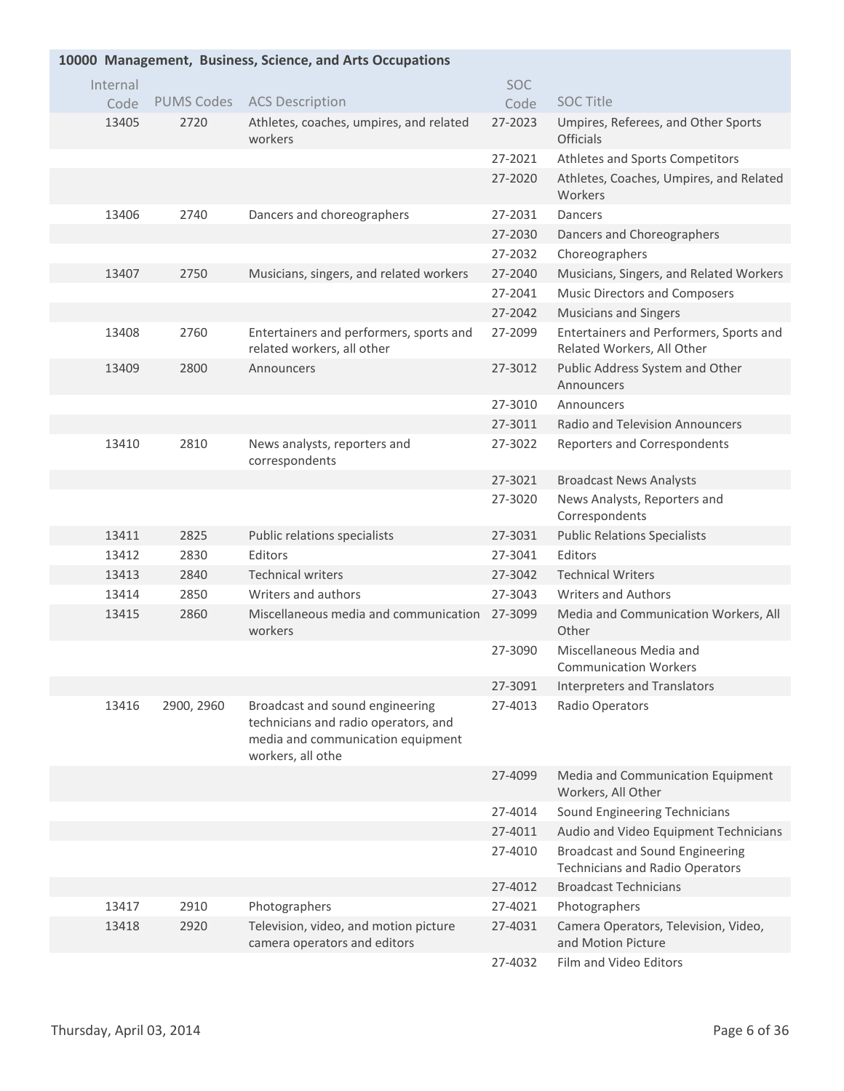| 10000 Management, Business, Science, and Arts Occupations |                   |                                                                                                                                   |            |                                                                                  |  |  |
|-----------------------------------------------------------|-------------------|-----------------------------------------------------------------------------------------------------------------------------------|------------|----------------------------------------------------------------------------------|--|--|
| Internal                                                  |                   |                                                                                                                                   | <b>SOC</b> |                                                                                  |  |  |
| Code                                                      | <b>PUMS Codes</b> | <b>ACS Description</b>                                                                                                            | Code       | <b>SOC Title</b>                                                                 |  |  |
| 13405                                                     | 2720              | Athletes, coaches, umpires, and related<br>workers                                                                                | 27-2023    | Umpires, Referees, and Other Sports<br><b>Officials</b>                          |  |  |
|                                                           |                   |                                                                                                                                   | 27-2021    | Athletes and Sports Competitors                                                  |  |  |
|                                                           |                   |                                                                                                                                   | 27-2020    | Athletes, Coaches, Umpires, and Related<br>Workers                               |  |  |
| 13406                                                     | 2740              | Dancers and choreographers                                                                                                        | 27-2031    | Dancers                                                                          |  |  |
|                                                           |                   |                                                                                                                                   | 27-2030    | Dancers and Choreographers                                                       |  |  |
|                                                           |                   |                                                                                                                                   | 27-2032    | Choreographers                                                                   |  |  |
| 13407                                                     | 2750              | Musicians, singers, and related workers                                                                                           | 27-2040    | Musicians, Singers, and Related Workers                                          |  |  |
|                                                           |                   |                                                                                                                                   | 27-2041    | <b>Music Directors and Composers</b>                                             |  |  |
|                                                           |                   |                                                                                                                                   | 27-2042    | <b>Musicians and Singers</b>                                                     |  |  |
| 13408                                                     | 2760              | Entertainers and performers, sports and<br>related workers, all other                                                             | 27-2099    | Entertainers and Performers, Sports and<br>Related Workers, All Other            |  |  |
| 13409                                                     | 2800              | Announcers                                                                                                                        | 27-3012    | Public Address System and Other<br>Announcers                                    |  |  |
|                                                           |                   |                                                                                                                                   | 27-3010    | Announcers                                                                       |  |  |
|                                                           |                   |                                                                                                                                   | 27-3011    | Radio and Television Announcers                                                  |  |  |
| 13410                                                     | 2810              | News analysts, reporters and<br>correspondents                                                                                    | 27-3022    | Reporters and Correspondents                                                     |  |  |
|                                                           |                   |                                                                                                                                   | 27-3021    | <b>Broadcast News Analysts</b>                                                   |  |  |
|                                                           |                   |                                                                                                                                   | 27-3020    | News Analysts, Reporters and<br>Correspondents                                   |  |  |
| 13411                                                     | 2825              | Public relations specialists                                                                                                      | 27-3031    | <b>Public Relations Specialists</b>                                              |  |  |
| 13412                                                     | 2830              | Editors                                                                                                                           | 27-3041    | Editors                                                                          |  |  |
| 13413                                                     | 2840              | <b>Technical writers</b>                                                                                                          | 27-3042    | <b>Technical Writers</b>                                                         |  |  |
| 13414                                                     | 2850              | Writers and authors                                                                                                               | 27-3043    | <b>Writers and Authors</b>                                                       |  |  |
| 13415                                                     | 2860              | Miscellaneous media and communication<br>workers                                                                                  | 27-3099    | Media and Communication Workers, All<br>Other                                    |  |  |
|                                                           |                   |                                                                                                                                   | 27-3090    | Miscellaneous Media and<br><b>Communication Workers</b>                          |  |  |
|                                                           |                   |                                                                                                                                   | 27-3091    | Interpreters and Translators                                                     |  |  |
| 13416                                                     | 2900, 2960        | Broadcast and sound engineering<br>technicians and radio operators, and<br>media and communication equipment<br>workers, all othe | 27-4013    | Radio Operators                                                                  |  |  |
|                                                           |                   |                                                                                                                                   | 27-4099    | Media and Communication Equipment<br>Workers, All Other                          |  |  |
|                                                           |                   |                                                                                                                                   | 27-4014    | Sound Engineering Technicians                                                    |  |  |
|                                                           |                   |                                                                                                                                   | 27-4011    | Audio and Video Equipment Technicians                                            |  |  |
|                                                           |                   |                                                                                                                                   | 27-4010    | <b>Broadcast and Sound Engineering</b><br><b>Technicians and Radio Operators</b> |  |  |
|                                                           |                   |                                                                                                                                   | 27-4012    | <b>Broadcast Technicians</b>                                                     |  |  |
| 13417                                                     | 2910              | Photographers                                                                                                                     | 27-4021    | Photographers                                                                    |  |  |
| 13418                                                     | 2920              | Television, video, and motion picture<br>camera operators and editors                                                             | 27-4031    | Camera Operators, Television, Video,<br>and Motion Picture                       |  |  |
|                                                           |                   |                                                                                                                                   | 27-4032    | Film and Video Editors                                                           |  |  |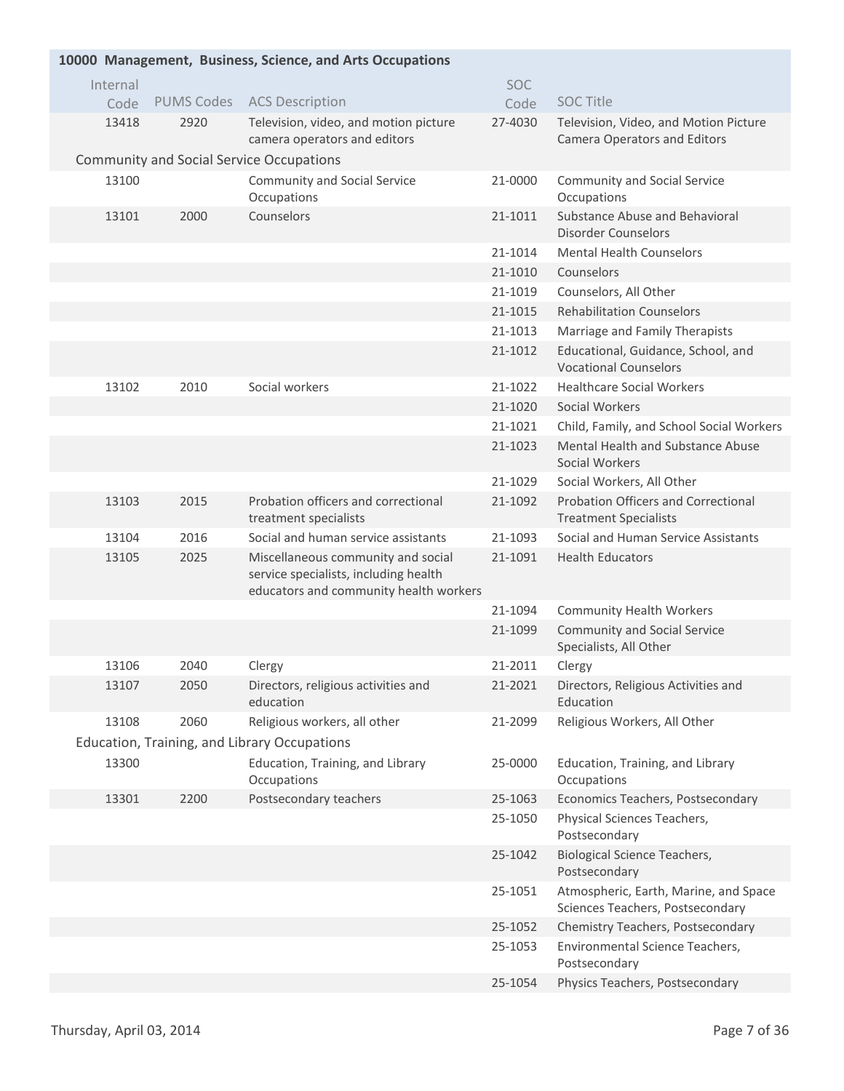| 10000 Management, Business, Science, and Arts Occupations |                   |                                                                                                                       |            |                                                                              |  |  |
|-----------------------------------------------------------|-------------------|-----------------------------------------------------------------------------------------------------------------------|------------|------------------------------------------------------------------------------|--|--|
| Internal                                                  |                   |                                                                                                                       | <b>SOC</b> |                                                                              |  |  |
| Code                                                      | <b>PUMS Codes</b> | <b>ACS Description</b>                                                                                                | Code       | <b>SOC Title</b>                                                             |  |  |
| 13418                                                     | 2920              | Television, video, and motion picture<br>camera operators and editors                                                 | 27-4030    | Television, Video, and Motion Picture<br><b>Camera Operators and Editors</b> |  |  |
|                                                           |                   | <b>Community and Social Service Occupations</b>                                                                       |            |                                                                              |  |  |
| 13100                                                     |                   | Community and Social Service<br>Occupations                                                                           | 21-0000    | <b>Community and Social Service</b><br>Occupations                           |  |  |
| 13101                                                     | 2000              | Counselors                                                                                                            | 21-1011    | Substance Abuse and Behavioral<br><b>Disorder Counselors</b>                 |  |  |
|                                                           |                   |                                                                                                                       | 21-1014    | <b>Mental Health Counselors</b>                                              |  |  |
|                                                           |                   |                                                                                                                       | 21-1010    | Counselors                                                                   |  |  |
|                                                           |                   |                                                                                                                       | 21-1019    | Counselors, All Other                                                        |  |  |
|                                                           |                   |                                                                                                                       | 21-1015    | <b>Rehabilitation Counselors</b>                                             |  |  |
|                                                           |                   |                                                                                                                       | 21-1013    | Marriage and Family Therapists                                               |  |  |
|                                                           |                   |                                                                                                                       | 21-1012    | Educational, Guidance, School, and<br><b>Vocational Counselors</b>           |  |  |
| 13102                                                     | 2010              | Social workers                                                                                                        | 21-1022    | <b>Healthcare Social Workers</b>                                             |  |  |
|                                                           |                   |                                                                                                                       | 21-1020    | Social Workers                                                               |  |  |
|                                                           |                   |                                                                                                                       | 21-1021    | Child, Family, and School Social Workers                                     |  |  |
|                                                           |                   |                                                                                                                       | 21-1023    | Mental Health and Substance Abuse<br>Social Workers                          |  |  |
|                                                           |                   |                                                                                                                       | 21-1029    | Social Workers, All Other                                                    |  |  |
| 13103                                                     | 2015              | Probation officers and correctional<br>treatment specialists                                                          | 21-1092    | <b>Probation Officers and Correctional</b><br><b>Treatment Specialists</b>   |  |  |
| 13104                                                     | 2016              | Social and human service assistants                                                                                   | 21-1093    | Social and Human Service Assistants                                          |  |  |
| 13105                                                     | 2025              | Miscellaneous community and social<br>service specialists, including health<br>educators and community health workers | 21-1091    | <b>Health Educators</b>                                                      |  |  |
|                                                           |                   |                                                                                                                       | 21-1094    | <b>Community Health Workers</b>                                              |  |  |
|                                                           |                   |                                                                                                                       | 21-1099    | <b>Community and Social Service</b><br>Specialists, All Other                |  |  |
| 13106                                                     | 2040              | Clergy                                                                                                                | 21-2011    | Clergy                                                                       |  |  |
| 13107                                                     | 2050              | Directors, religious activities and<br>education                                                                      | 21-2021    | Directors, Religious Activities and<br>Education                             |  |  |
| 13108                                                     | 2060              | Religious workers, all other                                                                                          | 21-2099    | Religious Workers, All Other                                                 |  |  |
|                                                           |                   | Education, Training, and Library Occupations                                                                          |            |                                                                              |  |  |
| 13300                                                     |                   | Education, Training, and Library<br>Occupations                                                                       | 25-0000    | Education, Training, and Library<br>Occupations                              |  |  |
| 13301                                                     | 2200              | Postsecondary teachers                                                                                                | 25-1063    | Economics Teachers, Postsecondary                                            |  |  |
|                                                           |                   |                                                                                                                       | 25-1050    | Physical Sciences Teachers,<br>Postsecondary                                 |  |  |
|                                                           |                   |                                                                                                                       | 25-1042    | <b>Biological Science Teachers,</b><br>Postsecondary                         |  |  |
|                                                           |                   |                                                                                                                       | 25-1051    | Atmospheric, Earth, Marine, and Space<br>Sciences Teachers, Postsecondary    |  |  |
|                                                           |                   |                                                                                                                       | 25-1052    | Chemistry Teachers, Postsecondary                                            |  |  |
|                                                           |                   |                                                                                                                       | 25-1053    | Environmental Science Teachers,<br>Postsecondary                             |  |  |
|                                                           |                   |                                                                                                                       | 25-1054    | Physics Teachers, Postsecondary                                              |  |  |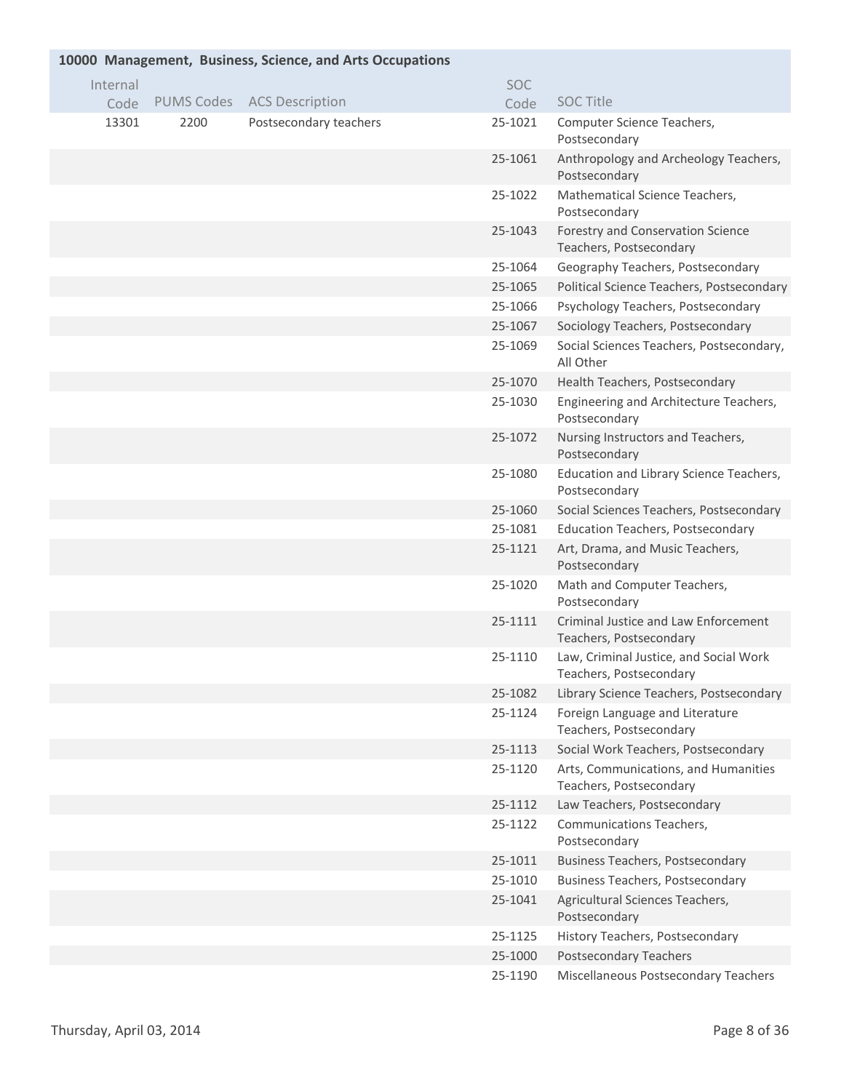|          |      | 10000 Management, Business, Science, and Arts Occupations |            |                                                                   |
|----------|------|-----------------------------------------------------------|------------|-------------------------------------------------------------------|
| Internal |      |                                                           | <b>SOC</b> |                                                                   |
| Code     |      | PUMS Codes ACS Description                                | Code       | <b>SOC Title</b>                                                  |
| 13301    | 2200 | Postsecondary teachers                                    | 25-1021    | Computer Science Teachers,<br>Postsecondary                       |
|          |      |                                                           | 25-1061    | Anthropology and Archeology Teachers,<br>Postsecondary            |
|          |      |                                                           | 25-1022    | Mathematical Science Teachers,<br>Postsecondary                   |
|          |      |                                                           | 25-1043    | Forestry and Conservation Science<br>Teachers, Postsecondary      |
|          |      |                                                           | 25-1064    | Geography Teachers, Postsecondary                                 |
|          |      |                                                           | 25-1065    | Political Science Teachers, Postsecondary                         |
|          |      |                                                           | 25-1066    | Psychology Teachers, Postsecondary                                |
|          |      |                                                           | 25-1067    | Sociology Teachers, Postsecondary                                 |
|          |      |                                                           | 25-1069    | Social Sciences Teachers, Postsecondary,<br>All Other             |
|          |      |                                                           | 25-1070    | Health Teachers, Postsecondary                                    |
|          |      |                                                           | 25-1030    | Engineering and Architecture Teachers,<br>Postsecondary           |
|          |      |                                                           | 25-1072    | Nursing Instructors and Teachers,<br>Postsecondary                |
|          |      |                                                           | 25-1080    | Education and Library Science Teachers,<br>Postsecondary          |
|          |      |                                                           | 25-1060    | Social Sciences Teachers, Postsecondary                           |
|          |      |                                                           | 25-1081    | <b>Education Teachers, Postsecondary</b>                          |
|          |      |                                                           | 25-1121    | Art, Drama, and Music Teachers,<br>Postsecondary                  |
|          |      |                                                           | 25-1020    | Math and Computer Teachers,<br>Postsecondary                      |
|          |      |                                                           | 25-1111    | Criminal Justice and Law Enforcement<br>Teachers, Postsecondary   |
|          |      |                                                           | 25-1110    | Law, Criminal Justice, and Social Work<br>Teachers, Postsecondary |
|          |      |                                                           | 25-1082    | Library Science Teachers, Postsecondary                           |
|          |      |                                                           | 25-1124    | Foreign Language and Literature<br>Teachers, Postsecondary        |
|          |      |                                                           | 25-1113    | Social Work Teachers, Postsecondary                               |
|          |      |                                                           | 25-1120    | Arts, Communications, and Humanities<br>Teachers, Postsecondary   |
|          |      |                                                           | 25-1112    | Law Teachers, Postsecondary                                       |
|          |      |                                                           | 25-1122    | Communications Teachers,<br>Postsecondary                         |
|          |      |                                                           | 25-1011    | <b>Business Teachers, Postsecondary</b>                           |
|          |      |                                                           | 25-1010    | <b>Business Teachers, Postsecondary</b>                           |
|          |      |                                                           | 25-1041    | Agricultural Sciences Teachers,<br>Postsecondary                  |
|          |      |                                                           | 25-1125    | History Teachers, Postsecondary                                   |
|          |      |                                                           | 25-1000    | <b>Postsecondary Teachers</b>                                     |
|          |      |                                                           | 25-1190    | Miscellaneous Postsecondary Teachers                              |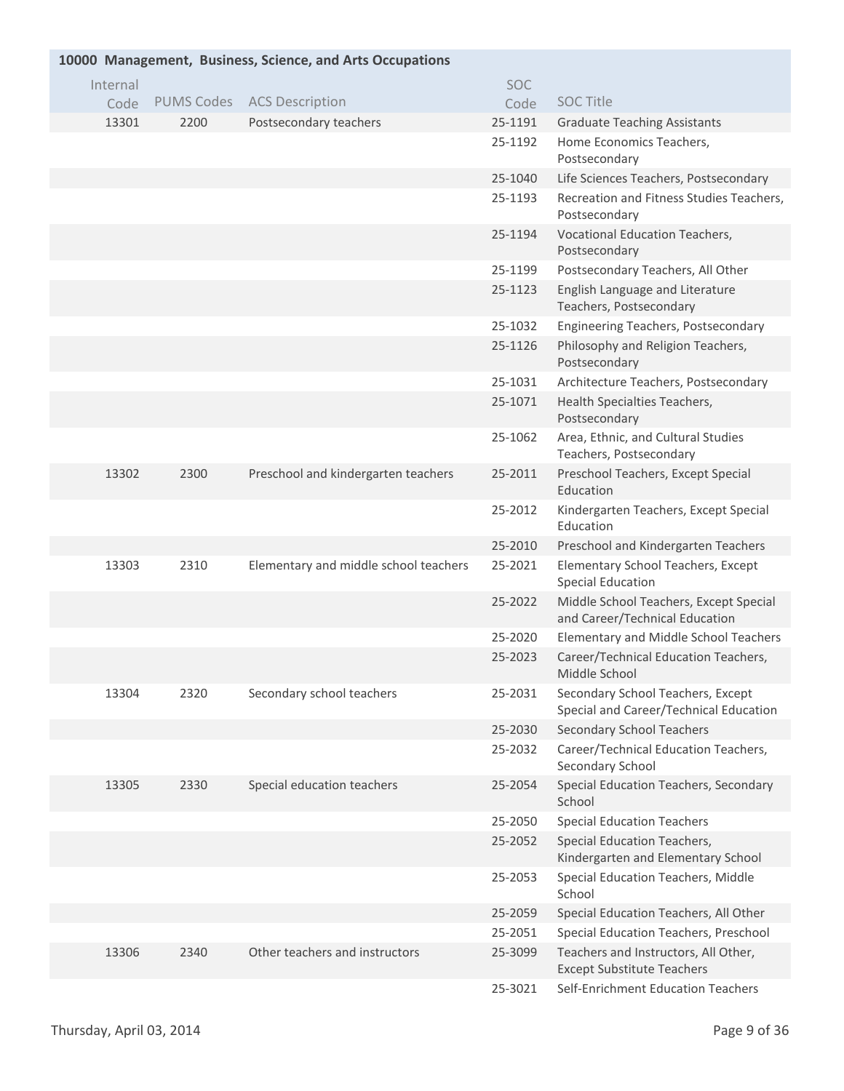| 10000 Management, Business, Science, and Arts Occupations |          |                   |                                       |            |                                                                             |  |  |
|-----------------------------------------------------------|----------|-------------------|---------------------------------------|------------|-----------------------------------------------------------------------------|--|--|
|                                                           | Internal |                   |                                       | <b>SOC</b> |                                                                             |  |  |
|                                                           | Code     | <b>PUMS Codes</b> | <b>ACS Description</b>                | Code       | <b>SOC Title</b>                                                            |  |  |
|                                                           | 13301    | 2200              | Postsecondary teachers                | 25-1191    | <b>Graduate Teaching Assistants</b>                                         |  |  |
|                                                           |          |                   |                                       | 25-1192    | Home Economics Teachers,<br>Postsecondary                                   |  |  |
|                                                           |          |                   |                                       | 25-1040    | Life Sciences Teachers, Postsecondary                                       |  |  |
|                                                           |          |                   |                                       | 25-1193    | Recreation and Fitness Studies Teachers,<br>Postsecondary                   |  |  |
|                                                           |          |                   |                                       | 25-1194    | Vocational Education Teachers,<br>Postsecondary                             |  |  |
|                                                           |          |                   |                                       | 25-1199    | Postsecondary Teachers, All Other                                           |  |  |
|                                                           |          |                   |                                       | 25-1123    | English Language and Literature<br>Teachers, Postsecondary                  |  |  |
|                                                           |          |                   |                                       | 25-1032    | Engineering Teachers, Postsecondary                                         |  |  |
|                                                           |          |                   |                                       | 25-1126    | Philosophy and Religion Teachers,<br>Postsecondary                          |  |  |
|                                                           |          |                   |                                       | 25-1031    | Architecture Teachers, Postsecondary                                        |  |  |
|                                                           |          |                   |                                       | 25-1071    | Health Specialties Teachers,<br>Postsecondary                               |  |  |
|                                                           |          |                   |                                       | 25-1062    | Area, Ethnic, and Cultural Studies<br>Teachers, Postsecondary               |  |  |
|                                                           | 13302    | 2300              | Preschool and kindergarten teachers   | 25-2011    | Preschool Teachers, Except Special<br>Education                             |  |  |
|                                                           |          |                   |                                       | 25-2012    | Kindergarten Teachers, Except Special<br>Education                          |  |  |
|                                                           |          |                   |                                       | 25-2010    | Preschool and Kindergarten Teachers                                         |  |  |
|                                                           | 13303    | 2310              | Elementary and middle school teachers | 25-2021    | Elementary School Teachers, Except<br><b>Special Education</b>              |  |  |
|                                                           |          |                   |                                       | 25-2022    | Middle School Teachers, Except Special<br>and Career/Technical Education    |  |  |
|                                                           |          |                   |                                       | 25-2020    | Elementary and Middle School Teachers                                       |  |  |
|                                                           |          |                   |                                       | 25-2023    | Career/Technical Education Teachers,<br>Middle School                       |  |  |
|                                                           | 13304    | 2320              | Secondary school teachers             | 25-2031    | Secondary School Teachers, Except<br>Special and Career/Technical Education |  |  |
|                                                           |          |                   |                                       | 25-2030    | <b>Secondary School Teachers</b>                                            |  |  |
|                                                           |          |                   |                                       | 25-2032    | Career/Technical Education Teachers,<br>Secondary School                    |  |  |
|                                                           | 13305    | 2330              | Special education teachers            | 25-2054    | Special Education Teachers, Secondary<br>School                             |  |  |
|                                                           |          |                   |                                       | 25-2050    | <b>Special Education Teachers</b>                                           |  |  |
|                                                           |          |                   |                                       | 25-2052    | <b>Special Education Teachers,</b><br>Kindergarten and Elementary School    |  |  |
|                                                           |          |                   |                                       | 25-2053    | Special Education Teachers, Middle<br>School                                |  |  |
|                                                           |          |                   |                                       | 25-2059    | Special Education Teachers, All Other                                       |  |  |
|                                                           |          |                   |                                       | 25-2051    | Special Education Teachers, Preschool                                       |  |  |
|                                                           | 13306    | 2340              | Other teachers and instructors        | 25-3099    | Teachers and Instructors, All Other,<br><b>Except Substitute Teachers</b>   |  |  |
|                                                           |          |                   |                                       | 25-3021    | Self-Enrichment Education Teachers                                          |  |  |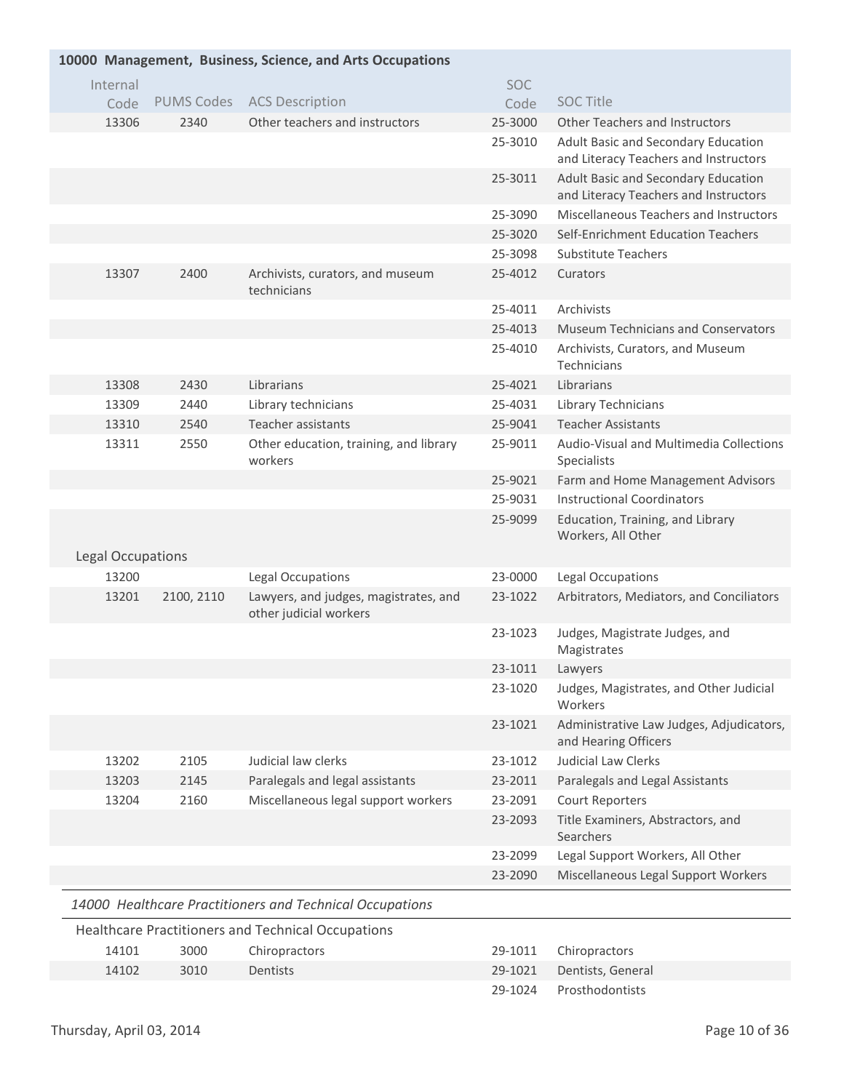| 10000 Management, Business, Science, and Arts Occupations |                   |                                                                 |            |                                                                              |  |  |
|-----------------------------------------------------------|-------------------|-----------------------------------------------------------------|------------|------------------------------------------------------------------------------|--|--|
| Internal                                                  |                   |                                                                 | <b>SOC</b> |                                                                              |  |  |
| Code                                                      | <b>PUMS Codes</b> | <b>ACS Description</b>                                          | Code       | <b>SOC Title</b>                                                             |  |  |
| 13306                                                     | 2340              | Other teachers and instructors                                  | 25-3000    | <b>Other Teachers and Instructors</b>                                        |  |  |
|                                                           |                   |                                                                 | 25-3010    | Adult Basic and Secondary Education<br>and Literacy Teachers and Instructors |  |  |
|                                                           |                   |                                                                 | 25-3011    | Adult Basic and Secondary Education<br>and Literacy Teachers and Instructors |  |  |
|                                                           |                   |                                                                 | 25-3090    | Miscellaneous Teachers and Instructors                                       |  |  |
|                                                           |                   |                                                                 | 25-3020    | Self-Enrichment Education Teachers                                           |  |  |
|                                                           |                   |                                                                 | 25-3098    | Substitute Teachers                                                          |  |  |
| 13307                                                     | 2400              | Archivists, curators, and museum<br>technicians                 | 25-4012    | Curators                                                                     |  |  |
|                                                           |                   |                                                                 | 25-4011    | Archivists                                                                   |  |  |
|                                                           |                   |                                                                 | 25-4013    | <b>Museum Technicians and Conservators</b>                                   |  |  |
|                                                           |                   |                                                                 | 25-4010    | Archivists, Curators, and Museum<br>Technicians                              |  |  |
| 13308                                                     | 2430              | Librarians                                                      | 25-4021    | Librarians                                                                   |  |  |
| 13309                                                     | 2440              | Library technicians                                             | 25-4031    | Library Technicians                                                          |  |  |
| 13310                                                     | 2540              | Teacher assistants                                              | 25-9041    | <b>Teacher Assistants</b>                                                    |  |  |
| 13311                                                     | 2550              | Other education, training, and library<br>workers               | 25-9011    | Audio-Visual and Multimedia Collections<br>Specialists                       |  |  |
|                                                           |                   |                                                                 | 25-9021    | Farm and Home Management Advisors                                            |  |  |
|                                                           |                   |                                                                 | 25-9031    | <b>Instructional Coordinators</b>                                            |  |  |
|                                                           |                   |                                                                 | 25-9099    | Education, Training, and Library<br>Workers, All Other                       |  |  |
| <b>Legal Occupations</b>                                  |                   |                                                                 |            |                                                                              |  |  |
| 13200                                                     |                   | Legal Occupations                                               | 23-0000    | Legal Occupations                                                            |  |  |
| 13201                                                     | 2100, 2110        | Lawyers, and judges, magistrates, and<br>other judicial workers | 23-1022    | Arbitrators, Mediators, and Conciliators                                     |  |  |
|                                                           |                   |                                                                 | 23-1023    | Judges, Magistrate Judges, and<br>Magistrates                                |  |  |
|                                                           |                   |                                                                 | 23-1011    | Lawyers                                                                      |  |  |
|                                                           |                   |                                                                 | 23-1020    | Judges, Magistrates, and Other Judicial<br>Workers                           |  |  |
|                                                           |                   |                                                                 | 23-1021    | Administrative Law Judges, Adjudicators,<br>and Hearing Officers             |  |  |
| 13202                                                     | 2105              | Judicial law clerks                                             | 23-1012    | <b>Judicial Law Clerks</b>                                                   |  |  |
| 13203                                                     | 2145              | Paralegals and legal assistants                                 | 23-2011    | Paralegals and Legal Assistants                                              |  |  |
| 13204                                                     | 2160              | Miscellaneous legal support workers                             | 23-2091    | Court Reporters                                                              |  |  |
|                                                           |                   |                                                                 | 23-2093    | Title Examiners, Abstractors, and<br>Searchers                               |  |  |
|                                                           |                   |                                                                 | 23-2099    | Legal Support Workers, All Other                                             |  |  |
|                                                           |                   |                                                                 | 23-2090    | Miscellaneous Legal Support Workers                                          |  |  |
|                                                           |                   | 14000 Healthcare Practitioners and Technical Occupations        |            |                                                                              |  |  |
|                                                           |                   | Healthcare Practitioners and Technical Occupations              |            |                                                                              |  |  |
| 14101                                                     | 3000              | Chiropractors                                                   | 29-1011    | Chiropractors                                                                |  |  |
| 14102                                                     | 3010              | <b>Dentists</b>                                                 | 29-1021    | Dentists, General                                                            |  |  |
|                                                           |                   |                                                                 | 29-1024    | Prosthodontists                                                              |  |  |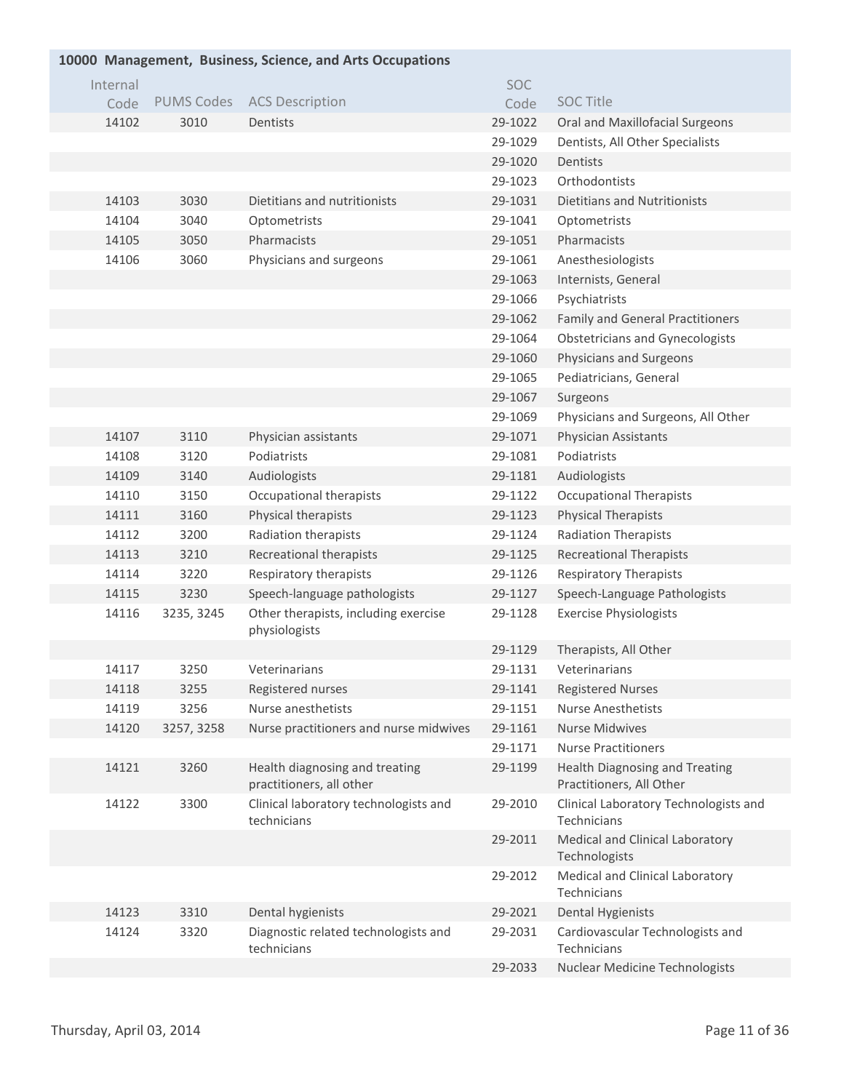| 10000 Management, Business, Science, and Arts Occupations |                   |                                                            |         |                                                                   |  |  |  |
|-----------------------------------------------------------|-------------------|------------------------------------------------------------|---------|-------------------------------------------------------------------|--|--|--|
| Internal                                                  |                   |                                                            | SOC     |                                                                   |  |  |  |
| Code                                                      | <b>PUMS Codes</b> | <b>ACS Description</b>                                     | Code    | <b>SOC Title</b>                                                  |  |  |  |
| 14102                                                     | 3010              | Dentists                                                   | 29-1022 | Oral and Maxillofacial Surgeons                                   |  |  |  |
|                                                           |                   |                                                            | 29-1029 | Dentists, All Other Specialists                                   |  |  |  |
|                                                           |                   |                                                            | 29-1020 | Dentists                                                          |  |  |  |
|                                                           |                   |                                                            | 29-1023 | Orthodontists                                                     |  |  |  |
| 14103                                                     | 3030              | Dietitians and nutritionists                               | 29-1031 | <b>Dietitians and Nutritionists</b>                               |  |  |  |
| 14104                                                     | 3040              | Optometrists                                               | 29-1041 | Optometrists                                                      |  |  |  |
| 14105                                                     | 3050              | Pharmacists                                                | 29-1051 | Pharmacists                                                       |  |  |  |
| 14106                                                     | 3060              | Physicians and surgeons                                    | 29-1061 | Anesthesiologists                                                 |  |  |  |
|                                                           |                   |                                                            | 29-1063 | Internists, General                                               |  |  |  |
|                                                           |                   |                                                            | 29-1066 | Psychiatrists                                                     |  |  |  |
|                                                           |                   |                                                            | 29-1062 | <b>Family and General Practitioners</b>                           |  |  |  |
|                                                           |                   |                                                            | 29-1064 | <b>Obstetricians and Gynecologists</b>                            |  |  |  |
|                                                           |                   |                                                            | 29-1060 | Physicians and Surgeons                                           |  |  |  |
|                                                           |                   |                                                            | 29-1065 | Pediatricians, General                                            |  |  |  |
|                                                           |                   |                                                            | 29-1067 | Surgeons                                                          |  |  |  |
|                                                           |                   |                                                            | 29-1069 | Physicians and Surgeons, All Other                                |  |  |  |
| 14107                                                     | 3110              | Physician assistants                                       | 29-1071 | Physician Assistants                                              |  |  |  |
| 14108                                                     | 3120              | Podiatrists                                                | 29-1081 | Podiatrists                                                       |  |  |  |
| 14109                                                     | 3140              | Audiologists                                               | 29-1181 | Audiologists                                                      |  |  |  |
| 14110                                                     | 3150              | Occupational therapists                                    | 29-1122 | <b>Occupational Therapists</b>                                    |  |  |  |
| 14111                                                     | 3160              | Physical therapists                                        | 29-1123 | Physical Therapists                                               |  |  |  |
| 14112                                                     | 3200              | Radiation therapists                                       | 29-1124 | <b>Radiation Therapists</b>                                       |  |  |  |
| 14113                                                     | 3210              | Recreational therapists                                    | 29-1125 | <b>Recreational Therapists</b>                                    |  |  |  |
| 14114                                                     | 3220              | Respiratory therapists                                     | 29-1126 | <b>Respiratory Therapists</b>                                     |  |  |  |
| 14115                                                     | 3230              | Speech-language pathologists                               | 29-1127 | Speech-Language Pathologists                                      |  |  |  |
| 14116                                                     | 3235, 3245        | Other therapists, including exercise<br>physiologists      | 29-1128 | <b>Exercise Physiologists</b>                                     |  |  |  |
|                                                           |                   |                                                            | 29-1129 | Therapists, All Other                                             |  |  |  |
| 14117                                                     | 3250              | Veterinarians                                              | 29-1131 | Veterinarians                                                     |  |  |  |
| 14118                                                     | 3255              | Registered nurses                                          | 29-1141 | <b>Registered Nurses</b>                                          |  |  |  |
| 14119                                                     | 3256              | Nurse anesthetists                                         | 29-1151 | <b>Nurse Anesthetists</b>                                         |  |  |  |
| 14120                                                     | 3257, 3258        | Nurse practitioners and nurse midwives                     | 29-1161 | <b>Nurse Midwives</b>                                             |  |  |  |
|                                                           |                   |                                                            | 29-1171 | <b>Nurse Practitioners</b>                                        |  |  |  |
| 14121                                                     | 3260              | Health diagnosing and treating<br>practitioners, all other | 29-1199 | <b>Health Diagnosing and Treating</b><br>Practitioners, All Other |  |  |  |
| 14122                                                     | 3300              | Clinical laboratory technologists and<br>technicians       | 29-2010 | Clinical Laboratory Technologists and<br>Technicians              |  |  |  |
|                                                           |                   |                                                            | 29-2011 | Medical and Clinical Laboratory<br>Technologists                  |  |  |  |
|                                                           |                   |                                                            | 29-2012 | Medical and Clinical Laboratory<br>Technicians                    |  |  |  |
| 14123                                                     | 3310              | Dental hygienists                                          | 29-2021 | <b>Dental Hygienists</b>                                          |  |  |  |
| 14124                                                     | 3320              | Diagnostic related technologists and<br>technicians        | 29-2031 | Cardiovascular Technologists and<br>Technicians                   |  |  |  |
|                                                           |                   |                                                            | 29-2033 | Nuclear Medicine Technologists                                    |  |  |  |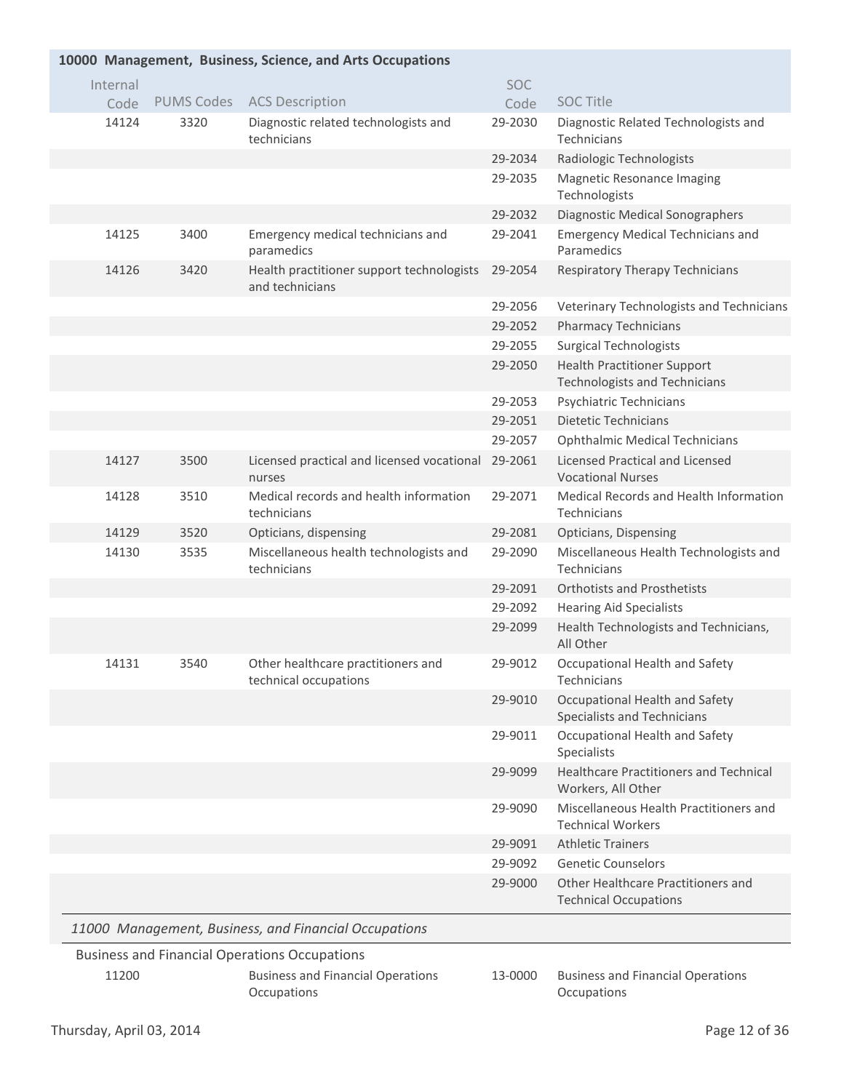|          | 10000 Management, Business, Science, and Arts Occupations |                                                              |            |                                                                            |  |  |  |
|----------|-----------------------------------------------------------|--------------------------------------------------------------|------------|----------------------------------------------------------------------------|--|--|--|
| Internal |                                                           |                                                              | <b>SOC</b> |                                                                            |  |  |  |
| Code     | <b>PUMS Codes</b>                                         | <b>ACS Description</b>                                       | Code       | <b>SOC Title</b>                                                           |  |  |  |
| 14124    | 3320                                                      | Diagnostic related technologists and<br>technicians          | 29-2030    | Diagnostic Related Technologists and<br>Technicians                        |  |  |  |
|          |                                                           |                                                              | 29-2034    | Radiologic Technologists                                                   |  |  |  |
|          |                                                           |                                                              | 29-2035    | Magnetic Resonance Imaging<br>Technologists                                |  |  |  |
|          |                                                           |                                                              | 29-2032    | Diagnostic Medical Sonographers                                            |  |  |  |
| 14125    | 3400                                                      | Emergency medical technicians and<br>paramedics              | 29-2041    | <b>Emergency Medical Technicians and</b><br>Paramedics                     |  |  |  |
| 14126    | 3420                                                      | Health practitioner support technologists<br>and technicians | 29-2054    | Respiratory Therapy Technicians                                            |  |  |  |
|          |                                                           |                                                              | 29-2056    | Veterinary Technologists and Technicians                                   |  |  |  |
|          |                                                           |                                                              | 29-2052    | <b>Pharmacy Technicians</b>                                                |  |  |  |
|          |                                                           |                                                              | 29-2055    | <b>Surgical Technologists</b>                                              |  |  |  |
|          |                                                           |                                                              | 29-2050    | <b>Health Practitioner Support</b><br><b>Technologists and Technicians</b> |  |  |  |
|          |                                                           |                                                              | 29-2053    | Psychiatric Technicians                                                    |  |  |  |
|          |                                                           |                                                              | 29-2051    | <b>Dietetic Technicians</b>                                                |  |  |  |
|          |                                                           |                                                              | 29-2057    | <b>Ophthalmic Medical Technicians</b>                                      |  |  |  |
| 14127    | 3500                                                      | Licensed practical and licensed vocational 29-2061<br>nurses |            | <b>Licensed Practical and Licensed</b><br><b>Vocational Nurses</b>         |  |  |  |
| 14128    | 3510                                                      | Medical records and health information<br>technicians        | 29-2071    | Medical Records and Health Information<br>Technicians                      |  |  |  |
| 14129    | 3520                                                      | Opticians, dispensing                                        | 29-2081    | Opticians, Dispensing                                                      |  |  |  |
| 14130    | 3535                                                      | Miscellaneous health technologists and<br>technicians        | 29-2090    | Miscellaneous Health Technologists and<br>Technicians                      |  |  |  |
|          |                                                           |                                                              | 29-2091    | <b>Orthotists and Prosthetists</b>                                         |  |  |  |
|          |                                                           |                                                              | 29-2092    | <b>Hearing Aid Specialists</b>                                             |  |  |  |
|          |                                                           |                                                              | 29-2099    | Health Technologists and Technicians,<br>All Other                         |  |  |  |
| 14131    | 3540                                                      | Other healthcare practitioners and<br>technical occupations  | 29-9012    | Occupational Health and Safety<br>Technicians                              |  |  |  |
|          |                                                           |                                                              | 29-9010    | Occupational Health and Safety<br><b>Specialists and Technicians</b>       |  |  |  |
|          |                                                           |                                                              | 29-9011    | Occupational Health and Safety<br>Specialists                              |  |  |  |
|          |                                                           |                                                              | 29-9099    | <b>Healthcare Practitioners and Technical</b><br>Workers, All Other        |  |  |  |
|          |                                                           |                                                              | 29-9090    | Miscellaneous Health Practitioners and<br><b>Technical Workers</b>         |  |  |  |
|          |                                                           |                                                              | 29-9091    | <b>Athletic Trainers</b>                                                   |  |  |  |
|          |                                                           |                                                              | 29-9092    | <b>Genetic Counselors</b>                                                  |  |  |  |
|          |                                                           |                                                              | 29-9000    | Other Healthcare Practitioners and<br><b>Technical Occupations</b>         |  |  |  |
|          |                                                           | 11000 Management, Business, and Financial Occupations        |            |                                                                            |  |  |  |
|          |                                                           | <b>Business and Financial Operations Occupations</b>         |            |                                                                            |  |  |  |
| 11200    |                                                           | <b>Business and Financial Operations</b><br>Occupations      | 13-0000    | <b>Business and Financial Operations</b><br>Occupations                    |  |  |  |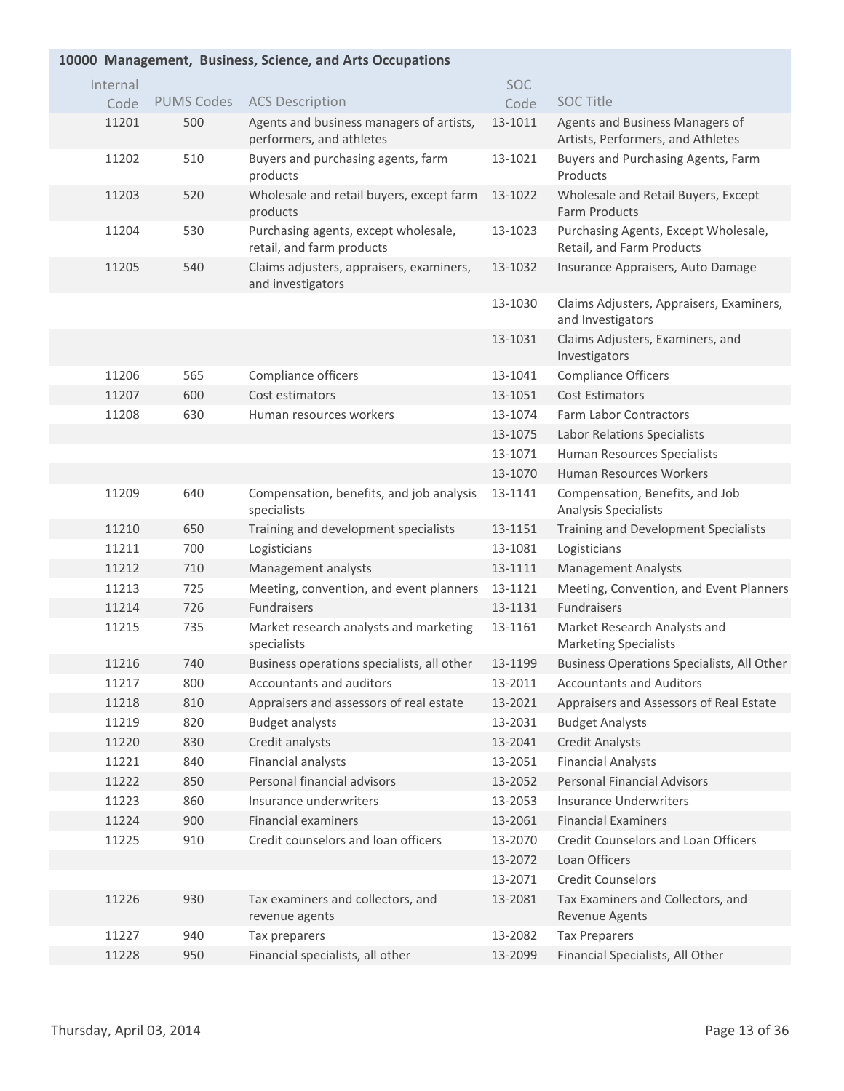## **Management, Business, Science, and Arts Occupations 10000**

| Internal |                   |                                                                      | <b>SOC</b> |                                                                      |
|----------|-------------------|----------------------------------------------------------------------|------------|----------------------------------------------------------------------|
| Code     | <b>PUMS Codes</b> | <b>ACS Description</b>                                               | Code       | <b>SOC Title</b>                                                     |
| 11201    | 500               | Agents and business managers of artists,<br>performers, and athletes | 13-1011    | Agents and Business Managers of<br>Artists, Performers, and Athletes |
| 11202    | 510               | Buyers and purchasing agents, farm<br>products                       | 13-1021    | Buyers and Purchasing Agents, Farm<br>Products                       |
| 11203    | 520               | Wholesale and retail buyers, except farm<br>products                 | 13-1022    | Wholesale and Retail Buyers, Except<br>Farm Products                 |
| 11204    | 530               | Purchasing agents, except wholesale,<br>retail, and farm products    | 13-1023    | Purchasing Agents, Except Wholesale,<br>Retail, and Farm Products    |
| 11205    | 540               | Claims adjusters, appraisers, examiners,<br>and investigators        | 13-1032    | Insurance Appraisers, Auto Damage                                    |
|          |                   |                                                                      | 13-1030    | Claims Adjusters, Appraisers, Examiners,<br>and Investigators        |
|          |                   |                                                                      | 13-1031    | Claims Adjusters, Examiners, and<br>Investigators                    |
| 11206    | 565               | Compliance officers                                                  | 13-1041    | <b>Compliance Officers</b>                                           |
| 11207    | 600               | Cost estimators                                                      | 13-1051    | <b>Cost Estimators</b>                                               |
| 11208    | 630               | Human resources workers                                              | 13-1074    | <b>Farm Labor Contractors</b>                                        |
|          |                   |                                                                      | 13-1075    | Labor Relations Specialists                                          |
|          |                   |                                                                      | 13-1071    | Human Resources Specialists                                          |
|          |                   |                                                                      | 13-1070    | Human Resources Workers                                              |
| 11209    | 640               | Compensation, benefits, and job analysis<br>specialists              | 13-1141    | Compensation, Benefits, and Job<br>Analysis Specialists              |
| 11210    | 650               | Training and development specialists                                 | 13-1151    | Training and Development Specialists                                 |
| 11211    | 700               | Logisticians                                                         | 13-1081    | Logisticians                                                         |
| 11212    | 710               | Management analysts                                                  | 13-1111    | <b>Management Analysts</b>                                           |
| 11213    | 725               | Meeting, convention, and event planners                              | 13-1121    | Meeting, Convention, and Event Planners                              |
| 11214    | 726               | <b>Fundraisers</b>                                                   | 13-1131    | <b>Fundraisers</b>                                                   |
| 11215    | 735               | Market research analysts and marketing<br>specialists                | 13-1161    | Market Research Analysts and<br><b>Marketing Specialists</b>         |
| 11216    | 740               | Business operations specialists, all other                           | 13-1199    | <b>Business Operations Specialists, All Other</b>                    |
| 11217    | 800               | Accountants and auditors                                             | 13-2011    | <b>Accountants and Auditors</b>                                      |
| 11218    | 810               | Appraisers and assessors of real estate                              | 13-2021    | Appraisers and Assessors of Real Estate                              |
| 11219    | 820               | <b>Budget analysts</b>                                               | 13-2031    | <b>Budget Analysts</b>                                               |
| 11220    | 830               | Credit analysts                                                      | 13-2041    | <b>Credit Analysts</b>                                               |
| 11221    | 840               | Financial analysts                                                   | 13-2051    | <b>Financial Analysts</b>                                            |
| 11222    | 850               | Personal financial advisors                                          | 13-2052    | <b>Personal Financial Advisors</b>                                   |
| 11223    | 860               | Insurance underwriters                                               | 13-2053    | <b>Insurance Underwriters</b>                                        |
| 11224    | 900               | <b>Financial examiners</b>                                           | 13-2061    | <b>Financial Examiners</b>                                           |
| 11225    | 910               | Credit counselors and loan officers                                  | 13-2070    | <b>Credit Counselors and Loan Officers</b>                           |
|          |                   |                                                                      | 13-2072    | Loan Officers                                                        |
|          |                   |                                                                      | 13-2071    | <b>Credit Counselors</b>                                             |
| 11226    | 930               | Tax examiners and collectors, and<br>revenue agents                  | 13-2081    | Tax Examiners and Collectors, and<br>Revenue Agents                  |
| 11227    | 940               | Tax preparers                                                        | 13-2082    | <b>Tax Preparers</b>                                                 |
| 11228    | 950               | Financial specialists, all other                                     | 13-2099    | Financial Specialists, All Other                                     |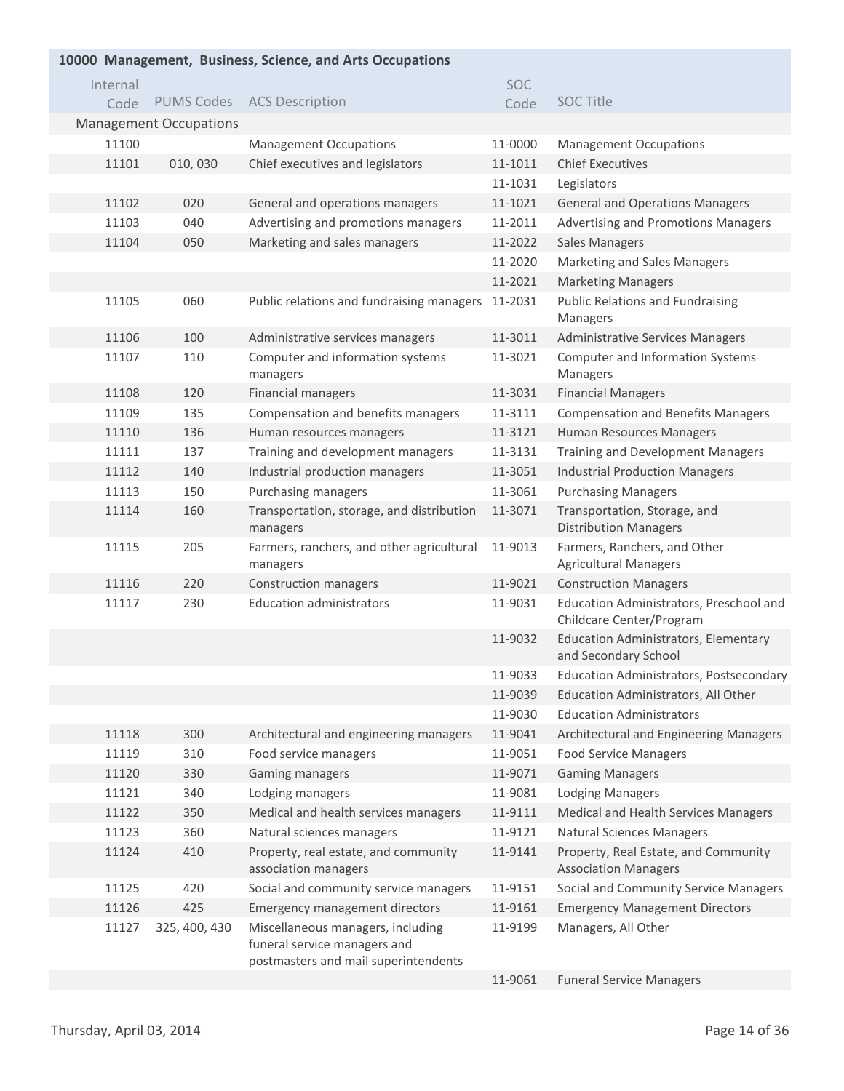| 10000 Management, Business, Science, and Arts Occupations |                               |                                                                                                           |            |                                                                     |  |
|-----------------------------------------------------------|-------------------------------|-----------------------------------------------------------------------------------------------------------|------------|---------------------------------------------------------------------|--|
| Internal                                                  |                               |                                                                                                           | <b>SOC</b> |                                                                     |  |
| Code                                                      | <b>PUMS Codes</b>             | <b>ACS Description</b>                                                                                    | Code       | <b>SOC Title</b>                                                    |  |
|                                                           | <b>Management Occupations</b> |                                                                                                           |            |                                                                     |  |
| 11100                                                     |                               | <b>Management Occupations</b>                                                                             | 11-0000    | <b>Management Occupations</b>                                       |  |
| 11101                                                     | 010,030                       | Chief executives and legislators                                                                          | 11-1011    | <b>Chief Executives</b>                                             |  |
|                                                           |                               |                                                                                                           | 11-1031    | Legislators                                                         |  |
| 11102                                                     | 020                           | General and operations managers                                                                           | 11-1021    | <b>General and Operations Managers</b>                              |  |
| 11103                                                     | 040                           | Advertising and promotions managers                                                                       | 11-2011    | Advertising and Promotions Managers                                 |  |
| 11104                                                     | 050                           | Marketing and sales managers                                                                              | 11-2022    | <b>Sales Managers</b>                                               |  |
|                                                           |                               |                                                                                                           | 11-2020    | Marketing and Sales Managers                                        |  |
|                                                           |                               |                                                                                                           | 11-2021    | <b>Marketing Managers</b>                                           |  |
| 11105                                                     | 060                           | Public relations and fundraising managers                                                                 | 11-2031    | <b>Public Relations and Fundraising</b><br>Managers                 |  |
| 11106                                                     | 100                           | Administrative services managers                                                                          | 11-3011    | <b>Administrative Services Managers</b>                             |  |
| 11107                                                     | 110                           | Computer and information systems<br>managers                                                              | 11-3021    | Computer and Information Systems<br>Managers                        |  |
| 11108                                                     | 120                           | <b>Financial managers</b>                                                                                 | 11-3031    | <b>Financial Managers</b>                                           |  |
| 11109                                                     | 135                           | Compensation and benefits managers                                                                        | 11-3111    | <b>Compensation and Benefits Managers</b>                           |  |
| 11110                                                     | 136                           | Human resources managers                                                                                  | 11-3121    | Human Resources Managers                                            |  |
| 11111                                                     | 137                           | Training and development managers                                                                         | 11-3131    | <b>Training and Development Managers</b>                            |  |
| 11112                                                     | 140                           | Industrial production managers                                                                            | 11-3051    | <b>Industrial Production Managers</b>                               |  |
| 11113                                                     | 150                           | Purchasing managers                                                                                       | 11-3061    | <b>Purchasing Managers</b>                                          |  |
| 11114                                                     | 160                           | Transportation, storage, and distribution<br>managers                                                     | 11-3071    | Transportation, Storage, and<br><b>Distribution Managers</b>        |  |
| 11115                                                     | 205                           | Farmers, ranchers, and other agricultural<br>managers                                                     | 11-9013    | Farmers, Ranchers, and Other<br><b>Agricultural Managers</b>        |  |
| 11116                                                     | 220                           | Construction managers                                                                                     | 11-9021    | <b>Construction Managers</b>                                        |  |
| 11117                                                     | 230                           | <b>Education administrators</b>                                                                           | 11-9031    | Education Administrators, Preschool and<br>Childcare Center/Program |  |
|                                                           |                               |                                                                                                           | 11-9032    | <b>Education Administrators, Elementary</b><br>and Secondary School |  |
|                                                           |                               |                                                                                                           | 11-9033    | Education Administrators, Postsecondary                             |  |
|                                                           |                               |                                                                                                           | 11-9039    | Education Administrators, All Other                                 |  |
|                                                           |                               |                                                                                                           | 11-9030    | <b>Education Administrators</b>                                     |  |
| 11118                                                     | 300                           | Architectural and engineering managers                                                                    | 11-9041    | Architectural and Engineering Managers                              |  |
| 11119                                                     | 310                           | Food service managers                                                                                     | 11-9051    | <b>Food Service Managers</b>                                        |  |
| 11120                                                     | 330                           | Gaming managers                                                                                           | 11-9071    | <b>Gaming Managers</b>                                              |  |
| 11121                                                     | 340                           | Lodging managers                                                                                          | 11-9081    | <b>Lodging Managers</b>                                             |  |
| 11122                                                     | 350                           | Medical and health services managers                                                                      | 11-9111    | Medical and Health Services Managers                                |  |
| 11123                                                     | 360                           | Natural sciences managers                                                                                 | 11-9121    | <b>Natural Sciences Managers</b>                                    |  |
| 11124                                                     | 410                           | Property, real estate, and community<br>association managers                                              | 11-9141    | Property, Real Estate, and Community<br><b>Association Managers</b> |  |
| 11125                                                     | 420                           | Social and community service managers                                                                     | 11-9151    | Social and Community Service Managers                               |  |
| 11126                                                     | 425                           | <b>Emergency management directors</b>                                                                     | 11-9161    | <b>Emergency Management Directors</b>                               |  |
| 11127                                                     | 325, 400, 430                 | Miscellaneous managers, including<br>funeral service managers and<br>postmasters and mail superintendents | 11-9199    | Managers, All Other                                                 |  |
|                                                           |                               |                                                                                                           | 11-9061    | <b>Funeral Service Managers</b>                                     |  |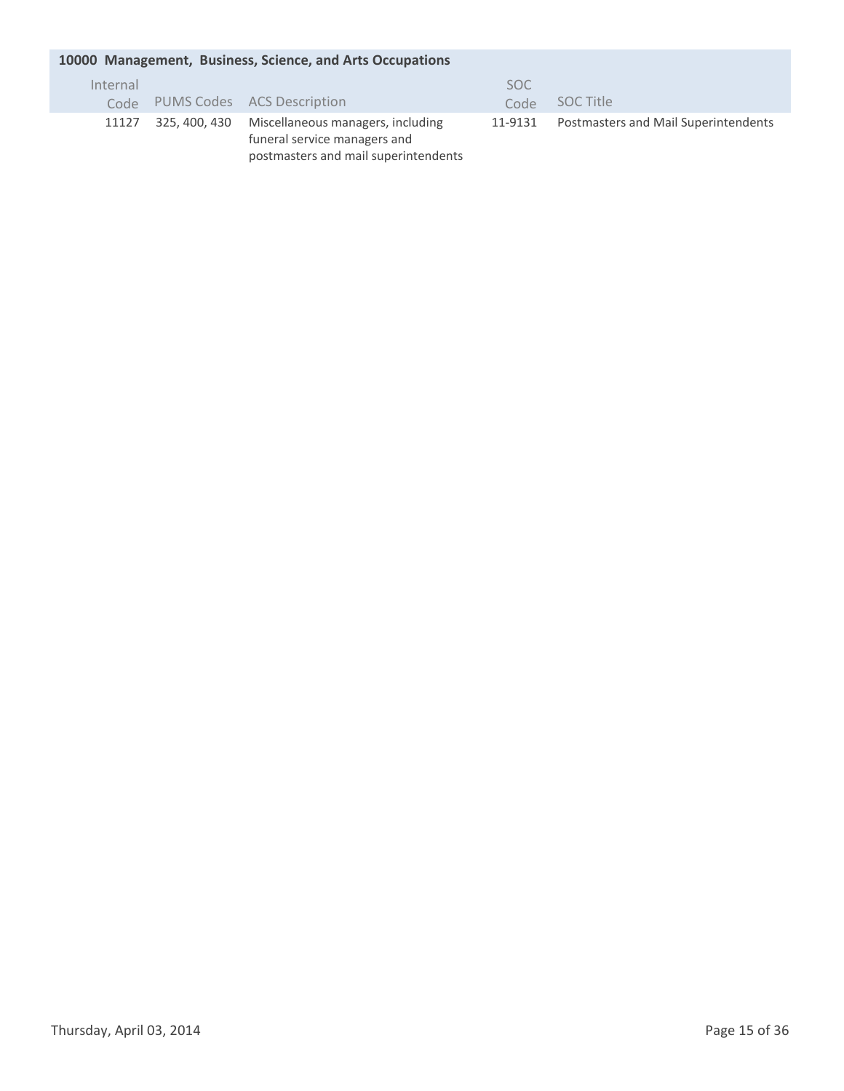## **Management, Business, Science, and Arts Occupations 10000**

| Internal | Code PUMS Codes ACS Description                                                                                         | SOC.<br>Code | SOC Title                                   |
|----------|-------------------------------------------------------------------------------------------------------------------------|--------------|---------------------------------------------|
| 11127    | 325, 400, 430 Miscellaneous managers, including<br>funeral service managers and<br>postmasters and mail superintendents | 11-9131      | <b>Postmasters and Mail Superintendents</b> |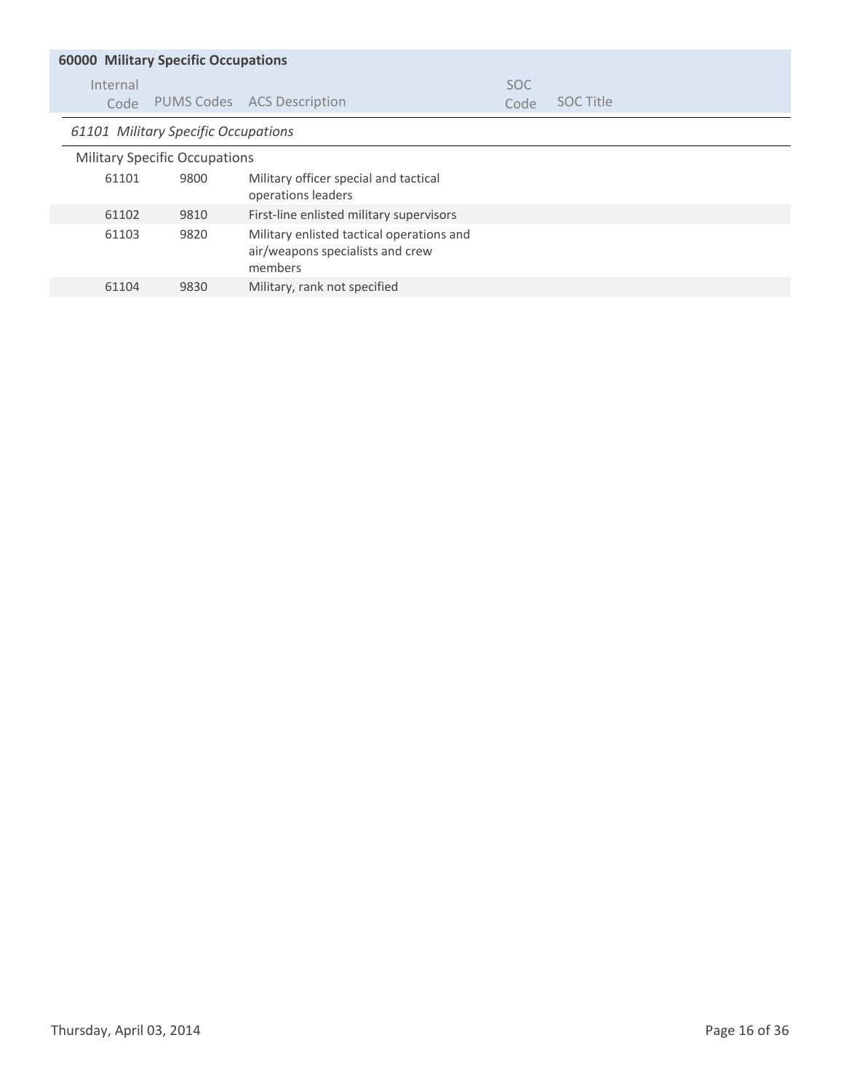| <b>60000 Military Specific Occupations</b> |      |                                                                                          |                    |                  |  |  |
|--------------------------------------------|------|------------------------------------------------------------------------------------------|--------------------|------------------|--|--|
| Internal<br>Code                           |      | PUMS Codes ACS Description                                                               | <b>SOC</b><br>Code | <b>SOC Title</b> |  |  |
| 61101 Military Specific Occupations        |      |                                                                                          |                    |                  |  |  |
| <b>Military Specific Occupations</b>       |      |                                                                                          |                    |                  |  |  |
| 61101                                      | 9800 | Military officer special and tactical<br>operations leaders                              |                    |                  |  |  |
| 61102                                      | 9810 | First-line enlisted military supervisors                                                 |                    |                  |  |  |
| 61103                                      | 9820 | Military enlisted tactical operations and<br>air/weapons specialists and crew<br>members |                    |                  |  |  |
| 61104                                      | 9830 | Military, rank not specified                                                             |                    |                  |  |  |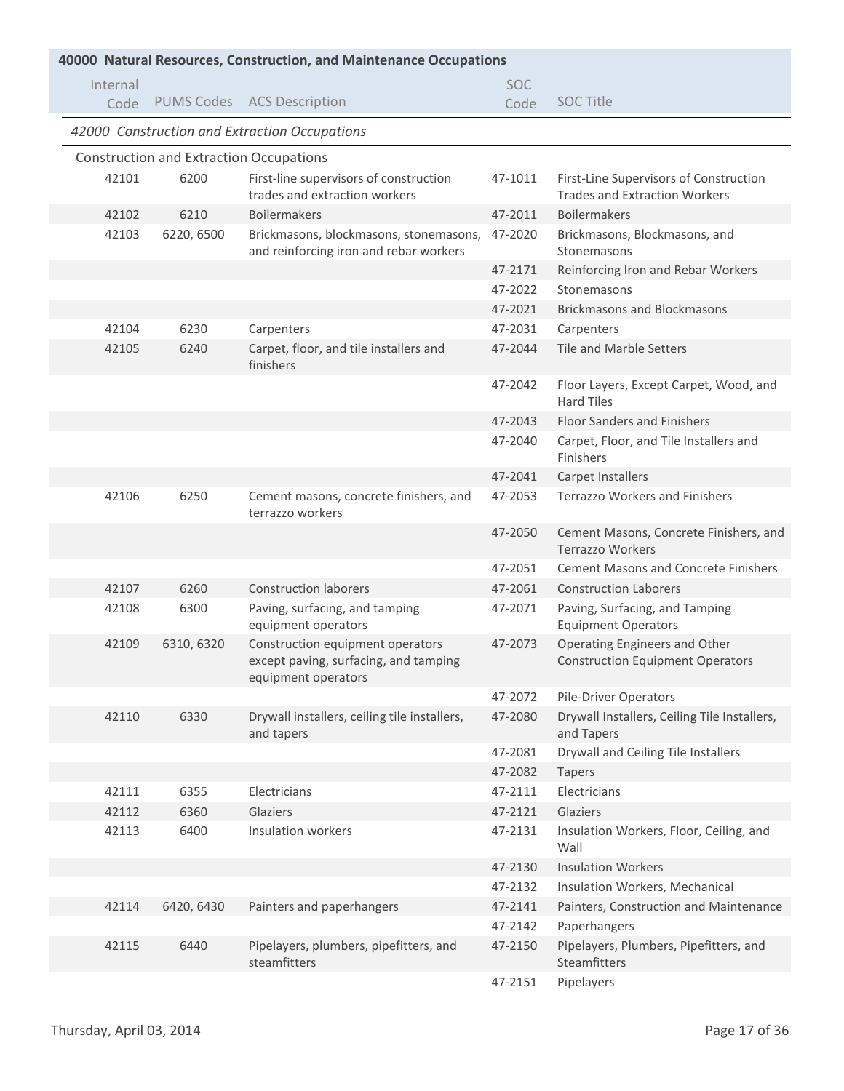| 40000 Natural Resources, Construction, and Maintenance Occupations |                                                |                                                                                                  |            |                                                                          |
|--------------------------------------------------------------------|------------------------------------------------|--------------------------------------------------------------------------------------------------|------------|--------------------------------------------------------------------------|
| Internal                                                           |                                                |                                                                                                  | <b>SOC</b> |                                                                          |
| Code                                                               |                                                | PUMS Codes ACS Description                                                                       | Code       | <b>SOC Title</b>                                                         |
|                                                                    |                                                | 42000 Construction and Extraction Occupations                                                    |            |                                                                          |
|                                                                    | <b>Construction and Extraction Occupations</b> |                                                                                                  |            |                                                                          |
| 42101                                                              | 6200                                           | First-line supervisors of construction                                                           | 47-1011    | First-Line Supervisors of Construction                                   |
|                                                                    |                                                | trades and extraction workers                                                                    |            | <b>Trades and Extraction Workers</b>                                     |
| 42102                                                              | 6210                                           | <b>Boilermakers</b>                                                                              | 47-2011    | <b>Boilermakers</b>                                                      |
| 42103                                                              | 6220, 6500                                     | Brickmasons, blockmasons, stonemasons,<br>and reinforcing iron and rebar workers                 | 47-2020    | Brickmasons, Blockmasons, and<br>Stonemasons                             |
|                                                                    |                                                |                                                                                                  | 47-2171    | Reinforcing Iron and Rebar Workers                                       |
|                                                                    |                                                |                                                                                                  | 47-2022    | Stonemasons                                                              |
|                                                                    |                                                |                                                                                                  | 47-2021    | <b>Brickmasons and Blockmasons</b>                                       |
| 42104                                                              | 6230                                           | Carpenters                                                                                       | 47-2031    | Carpenters                                                               |
| 42105                                                              | 6240                                           | Carpet, floor, and tile installers and<br>finishers                                              | 47-2044    | Tile and Marble Setters                                                  |
|                                                                    |                                                |                                                                                                  | 47-2042    | Floor Layers, Except Carpet, Wood, and<br><b>Hard Tiles</b>              |
|                                                                    |                                                |                                                                                                  | 47-2043    | <b>Floor Sanders and Finishers</b>                                       |
|                                                                    |                                                |                                                                                                  | 47-2040    | Carpet, Floor, and Tile Installers and<br>Finishers                      |
|                                                                    |                                                |                                                                                                  | 47-2041    | Carpet Installers                                                        |
| 42106                                                              | 6250                                           | Cement masons, concrete finishers, and<br>terrazzo workers                                       | 47-2053    | <b>Terrazzo Workers and Finishers</b>                                    |
|                                                                    |                                                |                                                                                                  | 47-2050    | Cement Masons, Concrete Finishers, and<br><b>Terrazzo Workers</b>        |
|                                                                    |                                                |                                                                                                  | 47-2051    | <b>Cement Masons and Concrete Finishers</b>                              |
| 42107                                                              | 6260                                           | <b>Construction laborers</b>                                                                     | 47-2061    | <b>Construction Laborers</b>                                             |
| 42108                                                              | 6300                                           | Paving, surfacing, and tamping<br>equipment operators                                            | 47-2071    | Paving, Surfacing, and Tamping<br><b>Equipment Operators</b>             |
| 42109                                                              | 6310, 6320                                     | Construction equipment operators<br>except paving, surfacing, and tamping<br>equipment operators | 47-2073    | Operating Engineers and Other<br><b>Construction Equipment Operators</b> |
|                                                                    |                                                |                                                                                                  | 47-2072    | <b>Pile-Driver Operators</b>                                             |
| 42110                                                              | 6330                                           | Drywall installers, ceiling tile installers,<br>and tapers                                       | 47-2080    | Drywall Installers, Ceiling Tile Installers,<br>and Tapers               |
|                                                                    |                                                |                                                                                                  | 47-2081    | Drywall and Ceiling Tile Installers                                      |
|                                                                    |                                                |                                                                                                  | 47-2082    | <b>Tapers</b>                                                            |
| 42111                                                              | 6355                                           | Electricians                                                                                     | 47-2111    | Electricians                                                             |
| 42112                                                              | 6360                                           | Glaziers                                                                                         | 47-2121    | Glaziers                                                                 |
| 42113                                                              | 6400                                           | Insulation workers                                                                               | 47-2131    | Insulation Workers, Floor, Ceiling, and<br>Wall                          |
|                                                                    |                                                |                                                                                                  | 47-2130    | <b>Insulation Workers</b>                                                |
|                                                                    |                                                |                                                                                                  | 47-2132    | Insulation Workers, Mechanical                                           |
| 42114                                                              | 6420, 6430                                     | Painters and paperhangers                                                                        | 47-2141    | Painters, Construction and Maintenance                                   |
|                                                                    |                                                |                                                                                                  | 47-2142    | Paperhangers                                                             |
| 42115                                                              | 6440                                           | Pipelayers, plumbers, pipefitters, and<br>steamfitters                                           | 47-2150    | Pipelayers, Plumbers, Pipefitters, and<br><b>Steamfitters</b>            |
|                                                                    |                                                |                                                                                                  | 47-2151    | Pipelayers                                                               |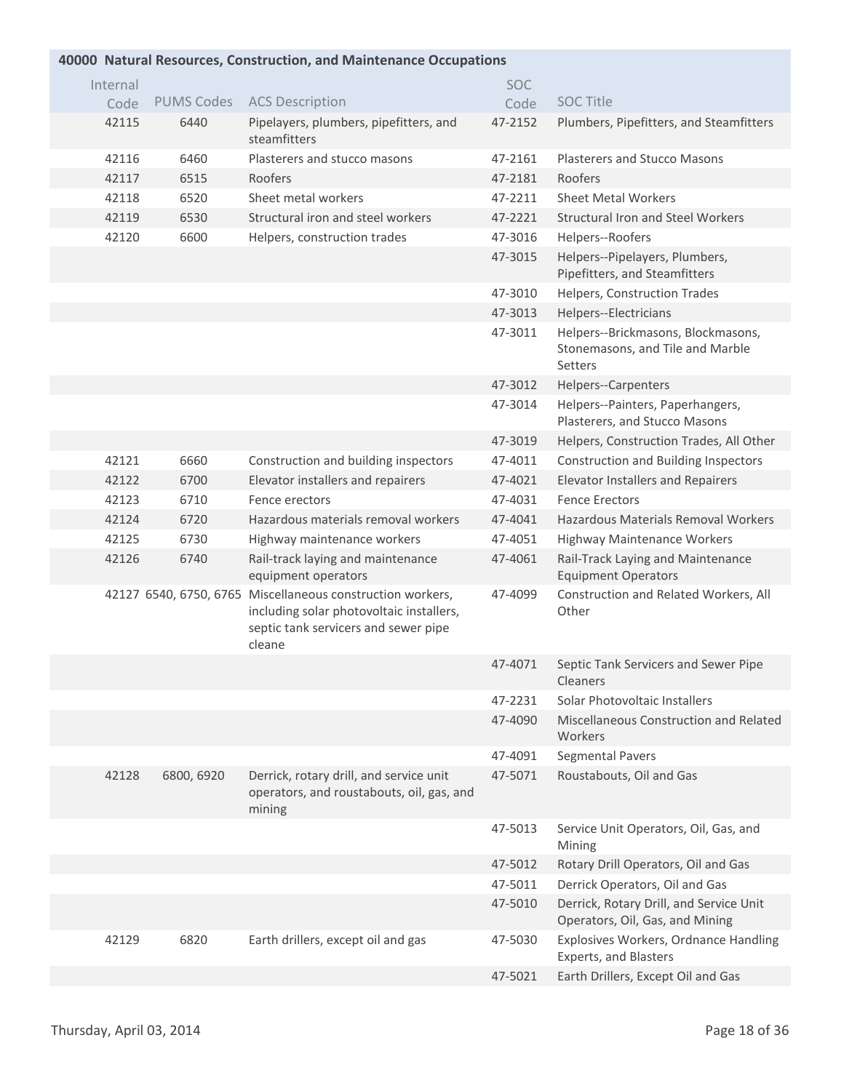#### **Natural Resources, Construction, and Maintenance Occupations 40000** Internal Code PUMS Codes ACS Description SOC Code SOC Title 42115 6440 Pipelayers, plumbers, pipefitters, and steamfitters 47-2152 Plumbers, Pipefitters, and Steamfitters 42116 6460 Plasterers and stucco masons 47-2161 Plasterers and Stucco Masons 42117 6515 Roofers 47-2181 Roofers 42118 6520 Sheet metal workers 47-2211 Sheet Metal Workers 42119 6530 Structural iron and steel workers 47-2221 Structural Iron and Steel Workers 42120 6600 Helpers, construction trades 47-3016 Helpers--Roofers 47-3015 Helpers--Pipelayers, Plumbers, Pipefitters, and Steamfitters 47-3010 Helpers, Construction Trades 47-3013 Helpers--Electricians 47-3011 Helpers--Brickmasons, Blockmasons, Stonemasons, and Tile and Marble Setters 47-3012 Helpers--Carpenters 47-3014 Helpers--Painters, Paperhangers, Plasterers, and Stucco Masons 47-3019 Helpers, Construction Trades, All Other 42121 6660 Construction and building inspectors 47-4011 Construction and Building Inspectors 42122 6700 Elevator installers and repairers 47-4021 Elevator Installers and Repairers 42123 6710 Fence erectors 47-4031 Fence Erectors 42124 6720 Hazardous materials removal workers 47-4041 Hazardous Materials Removal Workers 42125 6730 Highway maintenance workers 47-4051 Highway Maintenance Workers 42126 Rail-track laying and maintenance equipment operators 47-4061 Rail-Track Laying and Maintenance Equipment Operators 42127 6540, 6750, 6765 Miscellaneous construction workers,  $\qquad 47-4099$  Construction and Related Workers, All including solar photovoltaic installers, septic tank servicers and sewer pipe cleane **Other** 47-4071 Septic Tank Servicers and Sewer Pipe Cleaners 47-2231 Solar Photovoltaic Installers 47-4090 Miscellaneous Construction and Related Workers 47-4091 Segmental Pavers 42128 6800, 6920 Derrick, rotary drill, and service unit  $47-5071$  Roustabouts, Oil and Gas operators, and roustabouts, oil, gas, and mining 47-5013 Service Unit Operators, Oil, Gas, and Mining 47-5012 Rotary Drill Operators, Oil and Gas 47-5011 Derrick Operators, Oil and Gas 47-5010 Derrick, Rotary Drill, and Service Unit Operators, Oil, Gas, and Mining 42129 6820 Earth drillers, except oil and gas 47-5030 Explosives Workers, Ordnance Handling Experts, and Blasters 47-5021 Earth Drillers, Except Oil and Gas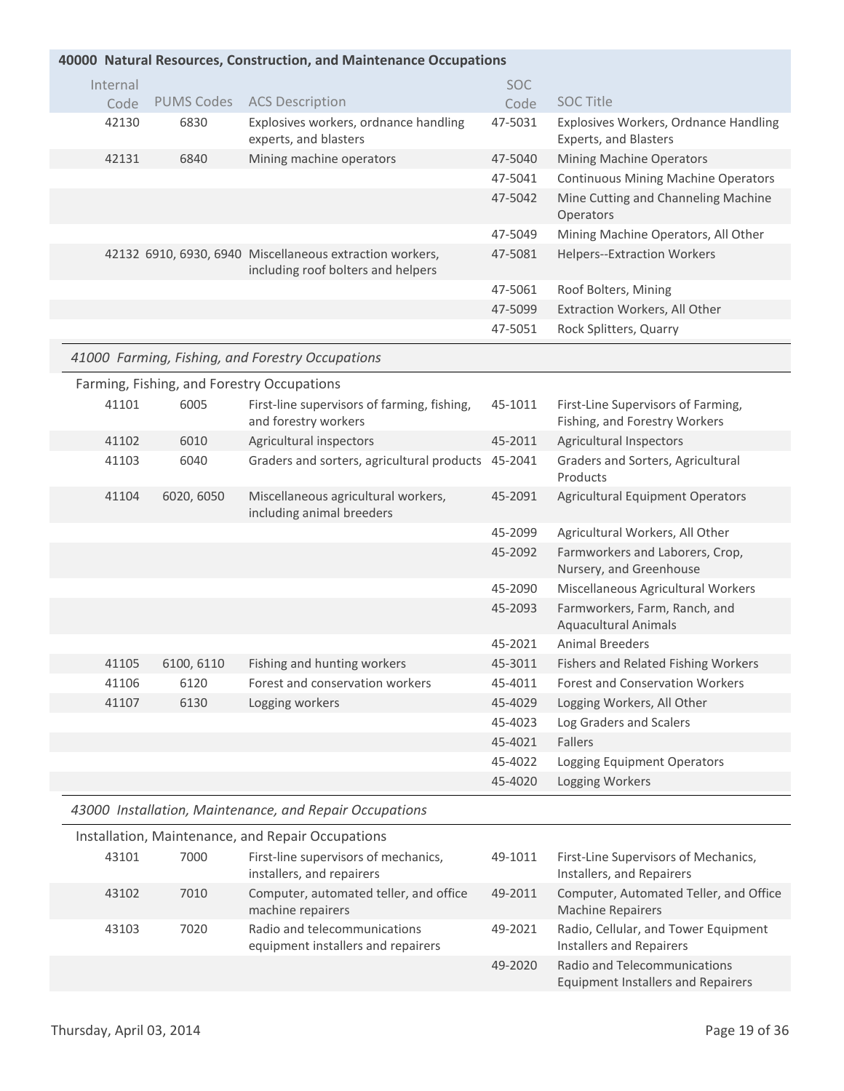|          |                   | 40000 Natural Resources, Construction, and Maintenance Occupations                             |            |                                                                |
|----------|-------------------|------------------------------------------------------------------------------------------------|------------|----------------------------------------------------------------|
|          |                   |                                                                                                |            |                                                                |
| Internal |                   |                                                                                                | <b>SOC</b> |                                                                |
| Code     | <b>PUMS Codes</b> | <b>ACS Description</b>                                                                         | Code       | <b>SOC Title</b>                                               |
| 42130    | 6830              | Explosives workers, ordnance handling<br>experts, and blasters                                 | 47-5031    | Explosives Workers, Ordnance Handling<br>Experts, and Blasters |
| 42131    | 6840              | Mining machine operators                                                                       | 47-5040    | Mining Machine Operators                                       |
|          |                   |                                                                                                | 47-5041    | <b>Continuous Mining Machine Operators</b>                     |
|          |                   |                                                                                                | 47-5042    | Mine Cutting and Channeling Machine<br>Operators               |
|          |                   |                                                                                                | 47-5049    | Mining Machine Operators, All Other                            |
|          |                   | 42132 6910, 6930, 6940 Miscellaneous extraction workers,<br>including roof bolters and helpers | 47-5081    | <b>Helpers--Extraction Workers</b>                             |
|          |                   |                                                                                                | 47-5061    | Roof Bolters, Mining                                           |
|          |                   |                                                                                                | 47-5099    | Extraction Workers, All Other                                  |
|          |                   |                                                                                                | 47-5051    | Rock Splitters, Quarry                                         |
|          |                   | 41000 Farming, Fishing, and Forestry Occupations                                               |            |                                                                |
|          |                   | Farming, Fishing, and Forestry Occupations                                                     |            |                                                                |
| 41101    | 6005              | First-line supervisors of farming, fishing,                                                    | 45-1011    | First-Line Supervisors of Farming,                             |
|          |                   | and forestry workers                                                                           |            | Fishing, and Forestry Workers                                  |
| 41102    | 6010              | Agricultural inspectors                                                                        | 45-2011    | Agricultural Inspectors                                        |
| 41103    | 6040              | Graders and sorters, agricultural products                                                     | 45-2041    | Graders and Sorters, Agricultural<br>Products                  |
| 41104    | 6020, 6050        | Miscellaneous agricultural workers,<br>including animal breeders                               | 45-2091    | <b>Agricultural Equipment Operators</b>                        |
|          |                   |                                                                                                | 45-2099    | Agricultural Workers, All Other                                |
|          |                   |                                                                                                | 45-2092    | Farmworkers and Laborers, Crop,<br>Nursery, and Greenhouse     |
|          |                   |                                                                                                | 45-2090    | Miscellaneous Agricultural Workers                             |
|          |                   |                                                                                                | 45-2093    | Farmworkers, Farm, Ranch, and<br><b>Aquacultural Animals</b>   |
|          |                   |                                                                                                | 45-2021    | <b>Animal Breeders</b>                                         |
| 41105    | 6100, 6110        | Fishing and hunting workers                                                                    | 45-3011    | Fishers and Related Fishing Workers                            |
| 41106    | 6120              | Forest and conservation workers                                                                | 45-4011    | <b>Forest and Conservation Workers</b>                         |
| 41107    | 6130              | Logging workers                                                                                | 45-4029    | Logging Workers, All Other                                     |
|          |                   |                                                                                                | 45-4023    | Log Graders and Scalers                                        |
|          |                   |                                                                                                | 45-4021    | Fallers                                                        |
|          |                   |                                                                                                | 45-4022    | Logging Equipment Operators                                    |
|          |                   |                                                                                                | 45-4020    | Logging Workers                                                |

| motanation, ividintenance, and hepair occupations |       |      |                                                                    |         |                                                                           |
|---------------------------------------------------|-------|------|--------------------------------------------------------------------|---------|---------------------------------------------------------------------------|
|                                                   | 43101 | 7000 | First-line supervisors of mechanics,<br>installers, and repairers  | 49-1011 | First-Line Supervisors of Mechanics,<br>Installers, and Repairers         |
|                                                   | 43102 | 7010 | Computer, automated teller, and office<br>machine repairers        | 49-2011 | Computer, Automated Teller, and Office<br><b>Machine Repairers</b>        |
|                                                   | 43103 | 7020 | Radio and telecommunications<br>equipment installers and repairers | 49-2021 | Radio, Cellular, and Tower Equipment<br>Installers and Repairers          |
|                                                   |       |      |                                                                    | 49-2020 | Radio and Telecommunications<br><b>Equipment Installers and Repairers</b> |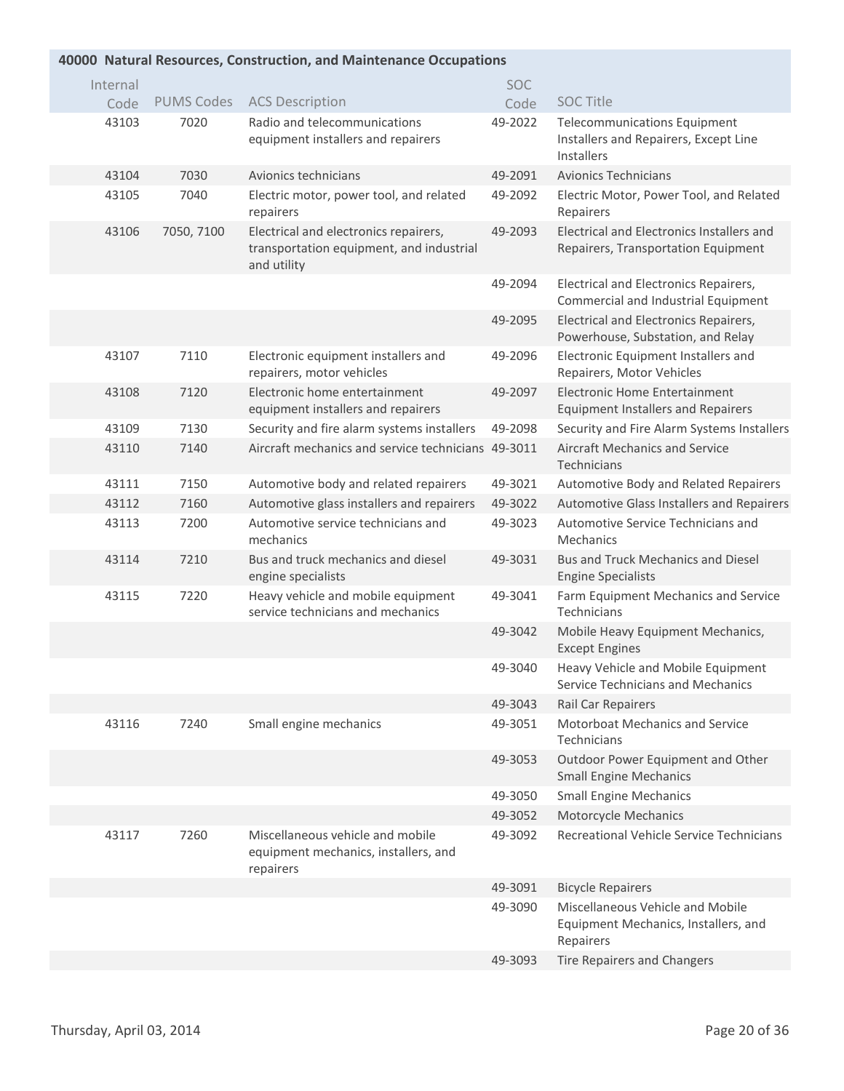## **Natural Resources, Construction, and Maintenance Occupations 40000**

| Internal |                   |                                                                                                  | <b>SOC</b> |                                                                                            |
|----------|-------------------|--------------------------------------------------------------------------------------------------|------------|--------------------------------------------------------------------------------------------|
| Code     | <b>PUMS Codes</b> | <b>ACS Description</b>                                                                           | Code       | <b>SOC Title</b>                                                                           |
| 43103    | 7020              | Radio and telecommunications<br>equipment installers and repairers                               | 49-2022    | <b>Telecommunications Equipment</b><br>Installers and Repairers, Except Line<br>Installers |
| 43104    | 7030              | Avionics technicians                                                                             | 49-2091    | <b>Avionics Technicians</b>                                                                |
| 43105    | 7040              | Electric motor, power tool, and related<br>repairers                                             | 49-2092    | Electric Motor, Power Tool, and Related<br>Repairers                                       |
| 43106    | 7050, 7100        | Electrical and electronics repairers,<br>transportation equipment, and industrial<br>and utility | 49-2093    | Electrical and Electronics Installers and<br>Repairers, Transportation Equipment           |
|          |                   |                                                                                                  | 49-2094    | Electrical and Electronics Repairers,<br>Commercial and Industrial Equipment               |
|          |                   |                                                                                                  | 49-2095    | Electrical and Electronics Repairers,<br>Powerhouse, Substation, and Relay                 |
| 43107    | 7110              | Electronic equipment installers and<br>repairers, motor vehicles                                 | 49-2096    | Electronic Equipment Installers and<br>Repairers, Motor Vehicles                           |
| 43108    | 7120              | Electronic home entertainment<br>equipment installers and repairers                              | 49-2097    | <b>Electronic Home Entertainment</b><br><b>Equipment Installers and Repairers</b>          |
| 43109    | 7130              | Security and fire alarm systems installers                                                       | 49-2098    | Security and Fire Alarm Systems Installers                                                 |
| 43110    | 7140              | Aircraft mechanics and service technicians 49-3011                                               |            | <b>Aircraft Mechanics and Service</b><br>Technicians                                       |
| 43111    | 7150              | Automotive body and related repairers                                                            | 49-3021    | Automotive Body and Related Repairers                                                      |
| 43112    | 7160              | Automotive glass installers and repairers                                                        | 49-3022    | Automotive Glass Installers and Repairers                                                  |
| 43113    | 7200              | Automotive service technicians and<br>mechanics                                                  | 49-3023    | Automotive Service Technicians and<br>Mechanics                                            |
| 43114    | 7210              | Bus and truck mechanics and diesel<br>engine specialists                                         | 49-3031    | Bus and Truck Mechanics and Diesel<br><b>Engine Specialists</b>                            |
| 43115    | 7220              | Heavy vehicle and mobile equipment<br>service technicians and mechanics                          | 49-3041    | Farm Equipment Mechanics and Service<br>Technicians                                        |
|          |                   |                                                                                                  | 49-3042    | Mobile Heavy Equipment Mechanics,<br><b>Except Engines</b>                                 |
|          |                   |                                                                                                  | 49-3040    | Heavy Vehicle and Mobile Equipment<br>Service Technicians and Mechanics                    |
|          |                   |                                                                                                  | 49-3043    | Rail Car Repairers                                                                         |
| 43116    | 7240              | Small engine mechanics                                                                           | 49-3051    | Motorboat Mechanics and Service<br>Technicians                                             |
|          |                   |                                                                                                  | 49-3053    | Outdoor Power Equipment and Other<br><b>Small Engine Mechanics</b>                         |
|          |                   |                                                                                                  | 49-3050    | <b>Small Engine Mechanics</b>                                                              |
|          |                   |                                                                                                  | 49-3052    | Motorcycle Mechanics                                                                       |
| 43117    | 7260              | Miscellaneous vehicle and mobile<br>equipment mechanics, installers, and<br>repairers            | 49-3092    | Recreational Vehicle Service Technicians                                                   |
|          |                   |                                                                                                  | 49-3091    | <b>Bicycle Repairers</b>                                                                   |
|          |                   |                                                                                                  | 49-3090    | Miscellaneous Vehicle and Mobile<br>Equipment Mechanics, Installers, and<br>Repairers      |
|          |                   |                                                                                                  | 49-3093    | Tire Repairers and Changers                                                                |
|          |                   |                                                                                                  |            |                                                                                            |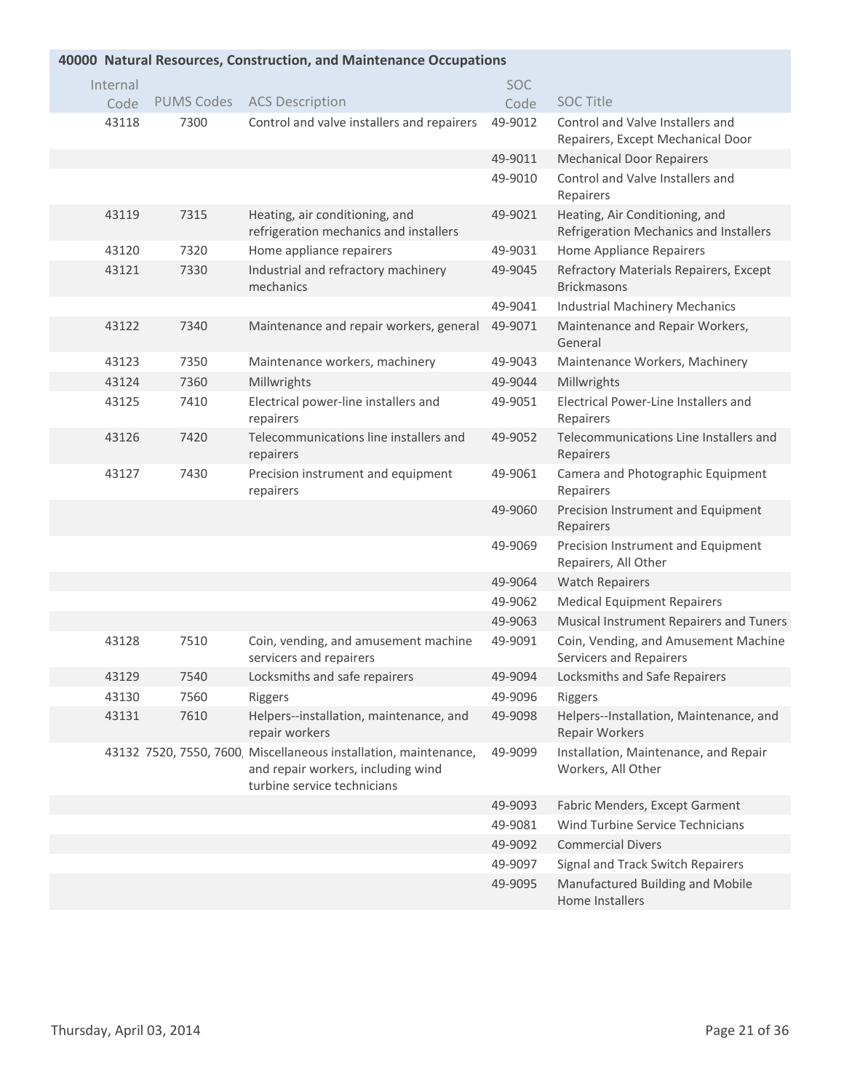| 40000 Natural Resources, Construction, and Maintenance Occupations |      |                                                                                                                                       |            |                                                                          |  |
|--------------------------------------------------------------------|------|---------------------------------------------------------------------------------------------------------------------------------------|------------|--------------------------------------------------------------------------|--|
| Internal                                                           |      |                                                                                                                                       | <b>SOC</b> |                                                                          |  |
| Code                                                               |      | PUMS Codes ACS Description                                                                                                            | Code       | <b>SOC Title</b>                                                         |  |
| 43118                                                              | 7300 | Control and valve installers and repairers                                                                                            | 49-9012    | Control and Valve Installers and<br>Repairers, Except Mechanical Door    |  |
|                                                                    |      |                                                                                                                                       | 49-9011    | <b>Mechanical Door Repairers</b>                                         |  |
|                                                                    |      |                                                                                                                                       | 49-9010    | Control and Valve Installers and<br>Repairers                            |  |
| 43119                                                              | 7315 | Heating, air conditioning, and<br>refrigeration mechanics and installers                                                              | 49-9021    | Heating, Air Conditioning, and<br>Refrigeration Mechanics and Installers |  |
| 43120                                                              | 7320 | Home appliance repairers                                                                                                              | 49-9031    | Home Appliance Repairers                                                 |  |
| 43121                                                              | 7330 | Industrial and refractory machinery<br>mechanics                                                                                      | 49-9045    | Refractory Materials Repairers, Except<br><b>Brickmasons</b>             |  |
|                                                                    |      |                                                                                                                                       | 49-9041    | <b>Industrial Machinery Mechanics</b>                                    |  |
| 43122                                                              | 7340 | Maintenance and repair workers, general                                                                                               | 49-9071    | Maintenance and Repair Workers,<br>General                               |  |
| 43123                                                              | 7350 | Maintenance workers, machinery                                                                                                        | 49-9043    | Maintenance Workers, Machinery                                           |  |
| 43124                                                              | 7360 | Millwrights                                                                                                                           | 49-9044    | Millwrights                                                              |  |
| 43125                                                              | 7410 | Electrical power-line installers and<br>repairers                                                                                     | 49-9051    | Electrical Power-Line Installers and<br>Repairers                        |  |
| 43126                                                              | 7420 | Telecommunications line installers and<br>repairers                                                                                   | 49-9052    | Telecommunications Line Installers and<br>Repairers                      |  |
| 43127                                                              | 7430 | Precision instrument and equipment<br>repairers                                                                                       | 49-9061    | Camera and Photographic Equipment<br>Repairers                           |  |
|                                                                    |      |                                                                                                                                       | 49-9060    | Precision Instrument and Equipment<br>Repairers                          |  |
|                                                                    |      |                                                                                                                                       | 49-9069    | Precision Instrument and Equipment<br>Repairers, All Other               |  |
|                                                                    |      |                                                                                                                                       | 49-9064    | <b>Watch Repairers</b>                                                   |  |
|                                                                    |      |                                                                                                                                       | 49-9062    | <b>Medical Equipment Repairers</b>                                       |  |
|                                                                    |      |                                                                                                                                       | 49-9063    | Musical Instrument Repairers and Tuners                                  |  |
| 43128                                                              | 7510 | Coin, vending, and amusement machine<br>servicers and repairers                                                                       | 49-9091    | Coin, Vending, and Amusement Machine<br>Servicers and Repairers          |  |
| 43129                                                              | 7540 | Locksmiths and safe repairers                                                                                                         | 49-9094    | Locksmiths and Safe Repairers                                            |  |
| 43130                                                              | 7560 | Riggers                                                                                                                               | 49-9096    | Riggers                                                                  |  |
| 43131                                                              | 7610 | Helpers--installation, maintenance, and<br>repair workers                                                                             | 49-9098    | Helpers--Installation, Maintenance, and<br>Repair Workers                |  |
|                                                                    |      | 43132 7520, 7550, 7600, Miscellaneous installation, maintenance,<br>and repair workers, including wind<br>turbine service technicians | 49-9099    | Installation, Maintenance, and Repair<br>Workers, All Other              |  |
|                                                                    |      |                                                                                                                                       | 49-9093    | Fabric Menders, Except Garment                                           |  |
|                                                                    |      |                                                                                                                                       | 49-9081    | Wind Turbine Service Technicians                                         |  |
|                                                                    |      |                                                                                                                                       | 49-9092    | <b>Commercial Divers</b>                                                 |  |
|                                                                    |      |                                                                                                                                       | 49-9097    | Signal and Track Switch Repairers                                        |  |
|                                                                    |      |                                                                                                                                       | 49-9095    | Manufactured Building and Mobile<br>Home Installers                      |  |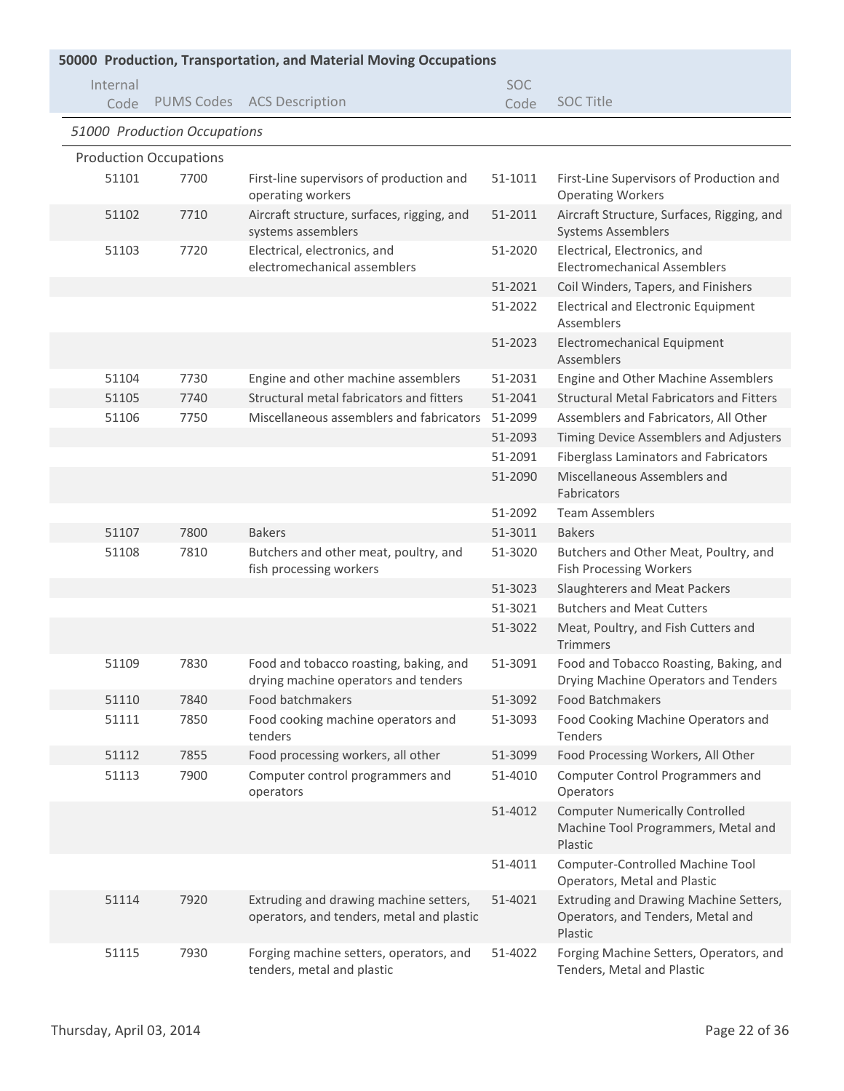| 50000 Production, Transportation, and Material Moving Occupations |                               |                                                                                     |            |                                                                                          |  |
|-------------------------------------------------------------------|-------------------------------|-------------------------------------------------------------------------------------|------------|------------------------------------------------------------------------------------------|--|
| Internal                                                          |                               |                                                                                     | <b>SOC</b> |                                                                                          |  |
| Code                                                              |                               | PUMS Codes ACS Description                                                          | Code       | <b>SOC Title</b>                                                                         |  |
|                                                                   | 51000 Production Occupations  |                                                                                     |            |                                                                                          |  |
|                                                                   | <b>Production Occupations</b> |                                                                                     |            |                                                                                          |  |
| 51101                                                             | 7700                          | First-line supervisors of production and<br>operating workers                       | 51-1011    | First-Line Supervisors of Production and<br><b>Operating Workers</b>                     |  |
| 51102                                                             | 7710                          | Aircraft structure, surfaces, rigging, and<br>systems assemblers                    | 51-2011    | Aircraft Structure, Surfaces, Rigging, and<br><b>Systems Assemblers</b>                  |  |
| 51103                                                             | 7720                          | Electrical, electronics, and<br>electromechanical assemblers                        | 51-2020    | Electrical, Electronics, and<br><b>Electromechanical Assemblers</b>                      |  |
|                                                                   |                               |                                                                                     | 51-2021    | Coil Winders, Tapers, and Finishers                                                      |  |
|                                                                   |                               |                                                                                     | 51-2022    | <b>Electrical and Electronic Equipment</b><br>Assemblers                                 |  |
|                                                                   |                               |                                                                                     | 51-2023    | Electromechanical Equipment<br>Assemblers                                                |  |
| 51104                                                             | 7730                          | Engine and other machine assemblers                                                 | 51-2031    | Engine and Other Machine Assemblers                                                      |  |
| 51105                                                             | 7740                          | Structural metal fabricators and fitters                                            | 51-2041    | <b>Structural Metal Fabricators and Fitters</b>                                          |  |
| 51106                                                             | 7750                          | Miscellaneous assemblers and fabricators                                            | 51-2099    | Assemblers and Fabricators, All Other                                                    |  |
|                                                                   |                               |                                                                                     | 51-2093    | Timing Device Assemblers and Adjusters                                                   |  |
|                                                                   |                               |                                                                                     | 51-2091    | Fiberglass Laminators and Fabricators                                                    |  |
|                                                                   |                               |                                                                                     | 51-2090    | Miscellaneous Assemblers and<br>Fabricators                                              |  |
|                                                                   |                               |                                                                                     | 51-2092    | <b>Team Assemblers</b>                                                                   |  |
| 51107                                                             | 7800                          | <b>Bakers</b>                                                                       | 51-3011    | <b>Bakers</b>                                                                            |  |
| 51108                                                             | 7810                          | Butchers and other meat, poultry, and<br>fish processing workers                    | 51-3020    | Butchers and Other Meat, Poultry, and<br><b>Fish Processing Workers</b>                  |  |
|                                                                   |                               |                                                                                     | 51-3023    | Slaughterers and Meat Packers                                                            |  |
|                                                                   |                               |                                                                                     | 51-3021    | <b>Butchers and Meat Cutters</b>                                                         |  |
|                                                                   |                               |                                                                                     | 51-3022    | Meat, Poultry, and Fish Cutters and<br><b>Trimmers</b>                                   |  |
| 51109                                                             | 7830                          | Food and tobacco roasting, baking, and<br>drying machine operators and tenders      | 51-3091    | Food and Tobacco Roasting, Baking, and<br>Drying Machine Operators and Tenders           |  |
| 51110                                                             | 7840                          | Food batchmakers                                                                    | 51-3092    | Food Batchmakers                                                                         |  |
| 51111                                                             | 7850                          | Food cooking machine operators and<br>tenders                                       | 51-3093    | Food Cooking Machine Operators and<br>Tenders                                            |  |
| 51112                                                             | 7855                          | Food processing workers, all other                                                  | 51-3099    | Food Processing Workers, All Other                                                       |  |
| 51113                                                             | 7900                          | Computer control programmers and<br>operators                                       | 51-4010    | Computer Control Programmers and<br>Operators                                            |  |
|                                                                   |                               |                                                                                     | 51-4012    | <b>Computer Numerically Controlled</b><br>Machine Tool Programmers, Metal and<br>Plastic |  |
|                                                                   |                               |                                                                                     | 51-4011    | Computer-Controlled Machine Tool<br>Operators, Metal and Plastic                         |  |
| 51114                                                             | 7920                          | Extruding and drawing machine setters,<br>operators, and tenders, metal and plastic | 51-4021    | Extruding and Drawing Machine Setters,<br>Operators, and Tenders, Metal and<br>Plastic   |  |
| 51115                                                             | 7930                          | Forging machine setters, operators, and<br>tenders, metal and plastic               | 51-4022    | Forging Machine Setters, Operators, and<br>Tenders, Metal and Plastic                    |  |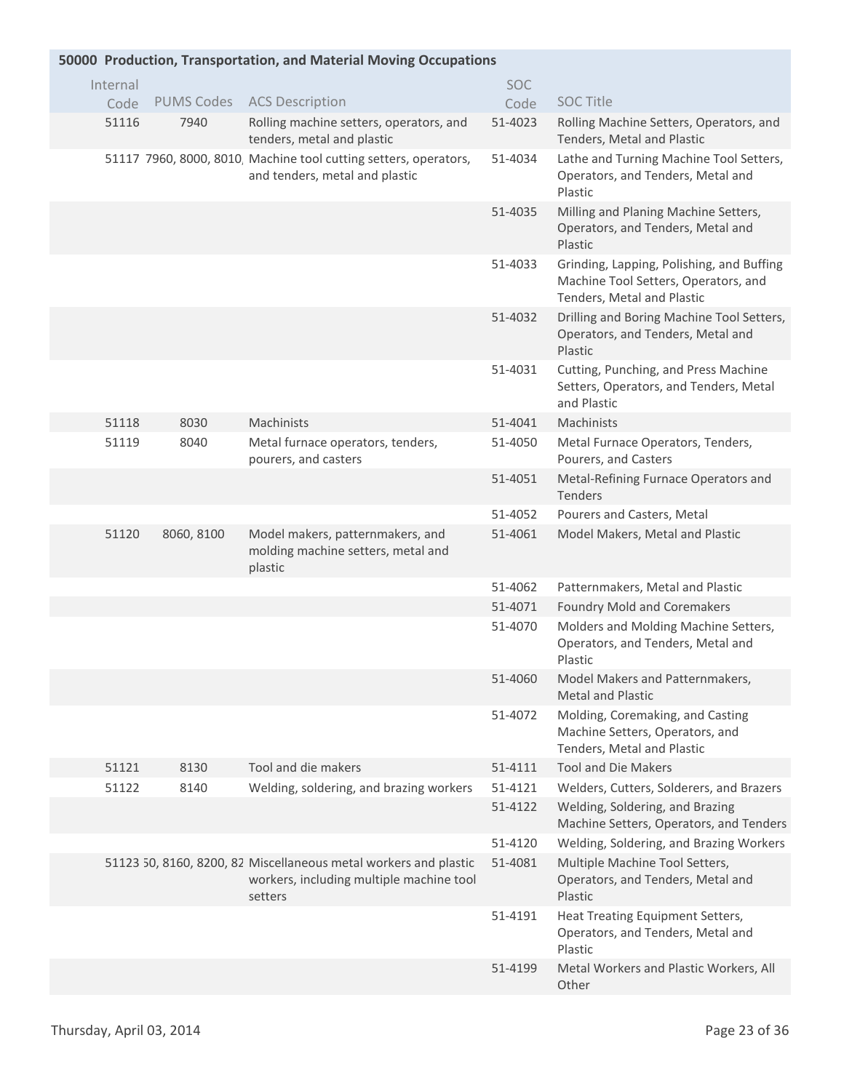| 50000 Production, Transportation, and Material Moving Occupations |                   |                                                                                                                         |         |                                                                                                                 |  |  |
|-------------------------------------------------------------------|-------------------|-------------------------------------------------------------------------------------------------------------------------|---------|-----------------------------------------------------------------------------------------------------------------|--|--|
| Internal                                                          |                   |                                                                                                                         | SOC     |                                                                                                                 |  |  |
| Code                                                              | <b>PUMS Codes</b> | <b>ACS Description</b>                                                                                                  | Code    | <b>SOC Title</b>                                                                                                |  |  |
| 51116                                                             | 7940              | Rolling machine setters, operators, and<br>tenders, metal and plastic                                                   | 51-4023 | Rolling Machine Setters, Operators, and<br>Tenders, Metal and Plastic                                           |  |  |
|                                                                   |                   | 51117 7960, 8000, 8010, Machine tool cutting setters, operators,<br>and tenders, metal and plastic                      | 51-4034 | Lathe and Turning Machine Tool Setters,<br>Operators, and Tenders, Metal and<br>Plastic                         |  |  |
|                                                                   |                   |                                                                                                                         | 51-4035 | Milling and Planing Machine Setters,<br>Operators, and Tenders, Metal and<br>Plastic                            |  |  |
|                                                                   |                   |                                                                                                                         | 51-4033 | Grinding, Lapping, Polishing, and Buffing<br>Machine Tool Setters, Operators, and<br>Tenders, Metal and Plastic |  |  |
|                                                                   |                   |                                                                                                                         | 51-4032 | Drilling and Boring Machine Tool Setters,<br>Operators, and Tenders, Metal and<br>Plastic                       |  |  |
|                                                                   |                   |                                                                                                                         | 51-4031 | Cutting, Punching, and Press Machine<br>Setters, Operators, and Tenders, Metal<br>and Plastic                   |  |  |
| 51118                                                             | 8030              | Machinists                                                                                                              | 51-4041 | Machinists                                                                                                      |  |  |
| 51119                                                             | 8040              | Metal furnace operators, tenders,<br>pourers, and casters                                                               | 51-4050 | Metal Furnace Operators, Tenders,<br>Pourers, and Casters                                                       |  |  |
|                                                                   |                   |                                                                                                                         | 51-4051 | Metal-Refining Furnace Operators and<br>Tenders                                                                 |  |  |
|                                                                   |                   |                                                                                                                         | 51-4052 | Pourers and Casters, Metal                                                                                      |  |  |
| 51120                                                             | 8060, 8100        | Model makers, patternmakers, and<br>molding machine setters, metal and<br>plastic                                       | 51-4061 | Model Makers, Metal and Plastic                                                                                 |  |  |
|                                                                   |                   |                                                                                                                         | 51-4062 | Patternmakers, Metal and Plastic                                                                                |  |  |
|                                                                   |                   |                                                                                                                         | 51-4071 | Foundry Mold and Coremakers                                                                                     |  |  |
|                                                                   |                   |                                                                                                                         | 51-4070 | Molders and Molding Machine Setters,<br>Operators, and Tenders, Metal and<br>Plastic                            |  |  |
|                                                                   |                   |                                                                                                                         | 51-4060 | Model Makers and Patternmakers,<br><b>Metal and Plastic</b>                                                     |  |  |
|                                                                   |                   |                                                                                                                         | 51-4072 | Molding, Coremaking, and Casting<br>Machine Setters, Operators, and<br>Tenders, Metal and Plastic               |  |  |
| 51121                                                             | 8130              | Tool and die makers                                                                                                     | 51-4111 | <b>Tool and Die Makers</b>                                                                                      |  |  |
| 51122                                                             | 8140              | Welding, soldering, and brazing workers                                                                                 | 51-4121 | Welders, Cutters, Solderers, and Brazers                                                                        |  |  |
|                                                                   |                   |                                                                                                                         | 51-4122 | Welding, Soldering, and Brazing<br>Machine Setters, Operators, and Tenders                                      |  |  |
|                                                                   |                   |                                                                                                                         | 51-4120 | Welding, Soldering, and Brazing Workers                                                                         |  |  |
|                                                                   |                   | 51123 50, 8160, 8200, 82 Miscellaneous metal workers and plastic<br>workers, including multiple machine tool<br>setters | 51-4081 | Multiple Machine Tool Setters,<br>Operators, and Tenders, Metal and<br>Plastic                                  |  |  |
|                                                                   |                   |                                                                                                                         | 51-4191 | Heat Treating Equipment Setters,<br>Operators, and Tenders, Metal and<br>Plastic                                |  |  |
|                                                                   |                   |                                                                                                                         | 51-4199 | Metal Workers and Plastic Workers, All<br>Other                                                                 |  |  |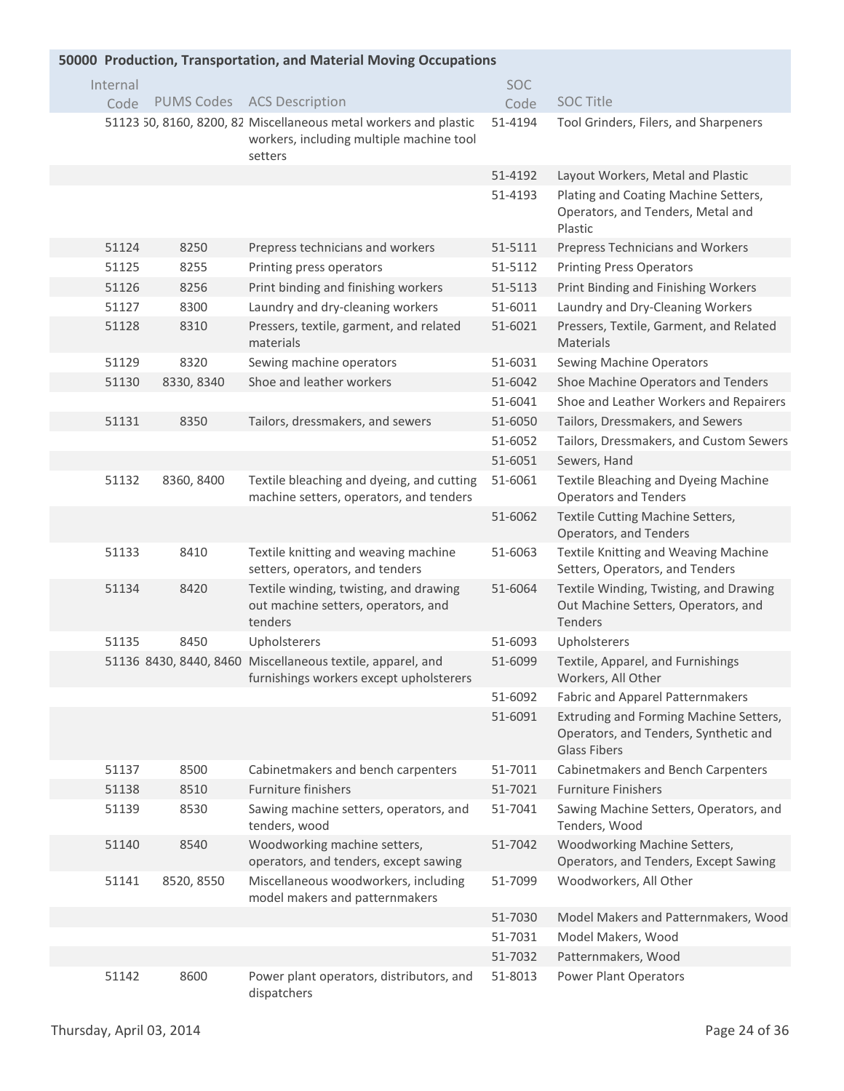| 50000 Production, Transportation, and Material Moving Occupations |          |            |                                                                                                                         |            |                                                                                                        |
|-------------------------------------------------------------------|----------|------------|-------------------------------------------------------------------------------------------------------------------------|------------|--------------------------------------------------------------------------------------------------------|
|                                                                   | Internal |            |                                                                                                                         | <b>SOC</b> |                                                                                                        |
|                                                                   | Code     |            | PUMS Codes ACS Description                                                                                              | Code       | <b>SOC Title</b>                                                                                       |
|                                                                   |          |            | 51123 50, 8160, 8200, 82 Miscellaneous metal workers and plastic<br>workers, including multiple machine tool<br>setters | 51-4194    | Tool Grinders, Filers, and Sharpeners                                                                  |
|                                                                   |          |            |                                                                                                                         | 51-4192    | Layout Workers, Metal and Plastic                                                                      |
|                                                                   |          |            |                                                                                                                         | 51-4193    | Plating and Coating Machine Setters,<br>Operators, and Tenders, Metal and<br>Plastic                   |
|                                                                   | 51124    | 8250       | Prepress technicians and workers                                                                                        | 51-5111    | Prepress Technicians and Workers                                                                       |
|                                                                   | 51125    | 8255       | Printing press operators                                                                                                | 51-5112    | <b>Printing Press Operators</b>                                                                        |
|                                                                   | 51126    | 8256       | Print binding and finishing workers                                                                                     | 51-5113    | Print Binding and Finishing Workers                                                                    |
|                                                                   | 51127    | 8300       | Laundry and dry-cleaning workers                                                                                        | 51-6011    | Laundry and Dry-Cleaning Workers                                                                       |
|                                                                   | 51128    | 8310       | Pressers, textile, garment, and related<br>materials                                                                    | 51-6021    | Pressers, Textile, Garment, and Related<br><b>Materials</b>                                            |
|                                                                   | 51129    | 8320       | Sewing machine operators                                                                                                | 51-6031    | Sewing Machine Operators                                                                               |
|                                                                   | 51130    | 8330, 8340 | Shoe and leather workers                                                                                                | 51-6042    | Shoe Machine Operators and Tenders                                                                     |
|                                                                   |          |            |                                                                                                                         | 51-6041    | Shoe and Leather Workers and Repairers                                                                 |
|                                                                   | 51131    | 8350       | Tailors, dressmakers, and sewers                                                                                        | 51-6050    | Tailors, Dressmakers, and Sewers                                                                       |
|                                                                   |          |            |                                                                                                                         | 51-6052    | Tailors, Dressmakers, and Custom Sewers                                                                |
|                                                                   |          |            |                                                                                                                         | 51-6051    | Sewers, Hand                                                                                           |
|                                                                   | 51132    | 8360, 8400 | Textile bleaching and dyeing, and cutting<br>machine setters, operators, and tenders                                    | 51-6061    | Textile Bleaching and Dyeing Machine<br><b>Operators and Tenders</b>                                   |
|                                                                   |          |            |                                                                                                                         | 51-6062    | Textile Cutting Machine Setters,<br>Operators, and Tenders                                             |
|                                                                   | 51133    | 8410       | Textile knitting and weaving machine<br>setters, operators, and tenders                                                 | 51-6063    | Textile Knitting and Weaving Machine<br>Setters, Operators, and Tenders                                |
|                                                                   | 51134    | 8420       | Textile winding, twisting, and drawing<br>out machine setters, operators, and<br>tenders                                | 51-6064    | Textile Winding, Twisting, and Drawing<br>Out Machine Setters, Operators, and<br>Tenders               |
|                                                                   | 51135    | 8450       | Upholsterers                                                                                                            | 51-6093    | Upholsterers                                                                                           |
|                                                                   |          |            | 51136 8430, 8440, 8460 Miscellaneous textile, apparel, and<br>furnishings workers except upholsterers                   | 51-6099    | Textile, Apparel, and Furnishings<br>Workers, All Other                                                |
|                                                                   |          |            |                                                                                                                         | 51-6092    | <b>Fabric and Apparel Patternmakers</b>                                                                |
|                                                                   |          |            |                                                                                                                         | 51-6091    | Extruding and Forming Machine Setters,<br>Operators, and Tenders, Synthetic and<br><b>Glass Fibers</b> |
|                                                                   | 51137    | 8500       | Cabinetmakers and bench carpenters                                                                                      | 51-7011    | Cabinetmakers and Bench Carpenters                                                                     |
|                                                                   | 51138    | 8510       | <b>Furniture finishers</b>                                                                                              | 51-7021    | <b>Furniture Finishers</b>                                                                             |
|                                                                   | 51139    | 8530       | Sawing machine setters, operators, and<br>tenders, wood                                                                 | 51-7041    | Sawing Machine Setters, Operators, and<br>Tenders, Wood                                                |
|                                                                   | 51140    | 8540       | Woodworking machine setters,<br>operators, and tenders, except sawing                                                   | 51-7042    | Woodworking Machine Setters,<br>Operators, and Tenders, Except Sawing                                  |
|                                                                   | 51141    | 8520, 8550 | Miscellaneous woodworkers, including<br>model makers and patternmakers                                                  | 51-7099    | Woodworkers, All Other                                                                                 |
|                                                                   |          |            |                                                                                                                         | 51-7030    | Model Makers and Patternmakers, Wood                                                                   |
|                                                                   |          |            |                                                                                                                         | 51-7031    | Model Makers, Wood                                                                                     |
|                                                                   |          |            |                                                                                                                         | 51-7032    | Patternmakers, Wood                                                                                    |
|                                                                   | 51142    | 8600       | Power plant operators, distributors, and<br>dispatchers                                                                 | 51-8013    | Power Plant Operators                                                                                  |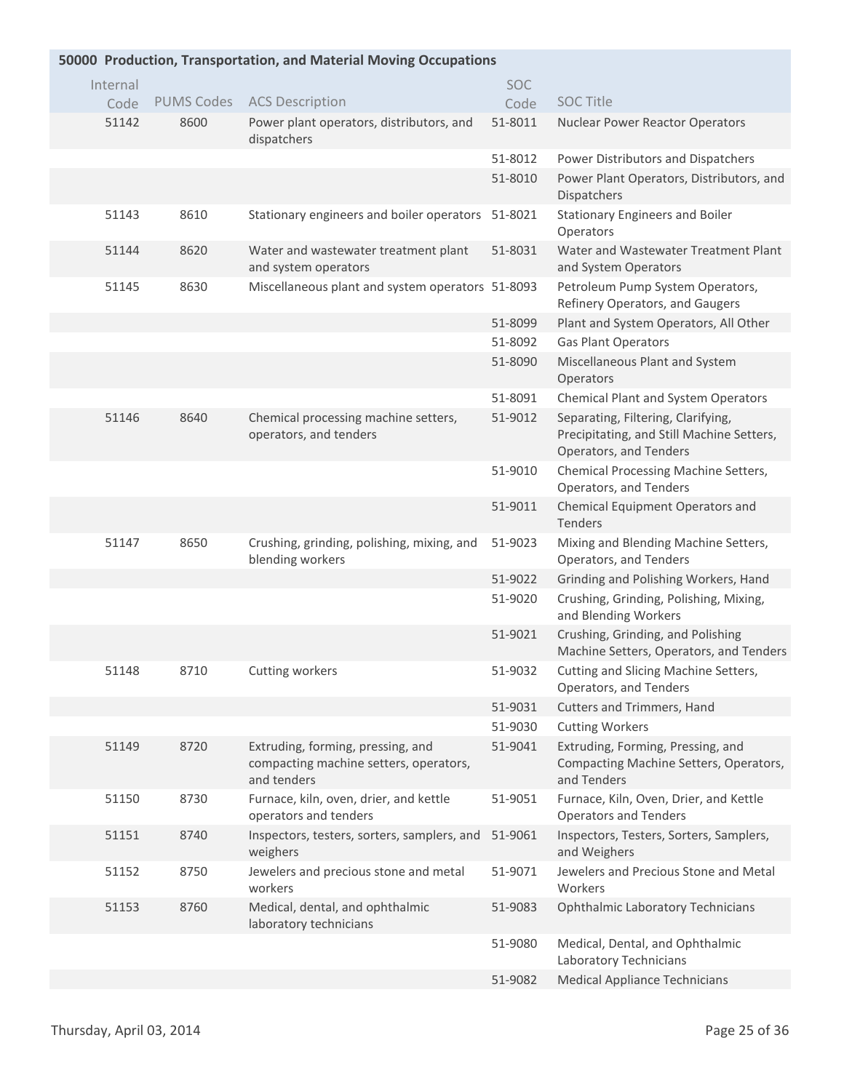| 50000 Production, Transportation, and Material Moving Occupations |          |                   |                                                                                            |         |                                                                                                           |  |  |
|-------------------------------------------------------------------|----------|-------------------|--------------------------------------------------------------------------------------------|---------|-----------------------------------------------------------------------------------------------------------|--|--|
|                                                                   | Internal |                   |                                                                                            | SOC     |                                                                                                           |  |  |
|                                                                   | Code     | <b>PUMS Codes</b> | <b>ACS Description</b>                                                                     | Code    | <b>SOC Title</b>                                                                                          |  |  |
|                                                                   | 51142    | 8600              | Power plant operators, distributors, and<br>dispatchers                                    | 51-8011 | Nuclear Power Reactor Operators                                                                           |  |  |
|                                                                   |          |                   |                                                                                            | 51-8012 | Power Distributors and Dispatchers                                                                        |  |  |
|                                                                   |          |                   |                                                                                            | 51-8010 | Power Plant Operators, Distributors, and<br>Dispatchers                                                   |  |  |
|                                                                   | 51143    | 8610              | Stationary engineers and boiler operators 51-8021                                          |         | <b>Stationary Engineers and Boiler</b><br>Operators                                                       |  |  |
|                                                                   | 51144    | 8620              | Water and wastewater treatment plant<br>and system operators                               | 51-8031 | Water and Wastewater Treatment Plant<br>and System Operators                                              |  |  |
|                                                                   | 51145    | 8630              | Miscellaneous plant and system operators 51-8093                                           |         | Petroleum Pump System Operators,<br>Refinery Operators, and Gaugers                                       |  |  |
|                                                                   |          |                   |                                                                                            | 51-8099 | Plant and System Operators, All Other                                                                     |  |  |
|                                                                   |          |                   |                                                                                            | 51-8092 | <b>Gas Plant Operators</b>                                                                                |  |  |
|                                                                   |          |                   |                                                                                            | 51-8090 | Miscellaneous Plant and System<br>Operators                                                               |  |  |
|                                                                   |          |                   |                                                                                            | 51-8091 | <b>Chemical Plant and System Operators</b>                                                                |  |  |
|                                                                   | 51146    | 8640              | Chemical processing machine setters,<br>operators, and tenders                             | 51-9012 | Separating, Filtering, Clarifying,<br>Precipitating, and Still Machine Setters,<br>Operators, and Tenders |  |  |
|                                                                   |          |                   |                                                                                            | 51-9010 | Chemical Processing Machine Setters,<br>Operators, and Tenders                                            |  |  |
|                                                                   |          |                   |                                                                                            | 51-9011 | Chemical Equipment Operators and<br>Tenders                                                               |  |  |
|                                                                   | 51147    | 8650              | Crushing, grinding, polishing, mixing, and<br>blending workers                             | 51-9023 | Mixing and Blending Machine Setters,<br>Operators, and Tenders                                            |  |  |
|                                                                   |          |                   |                                                                                            | 51-9022 | Grinding and Polishing Workers, Hand                                                                      |  |  |
|                                                                   |          |                   |                                                                                            | 51-9020 | Crushing, Grinding, Polishing, Mixing,<br>and Blending Workers                                            |  |  |
|                                                                   |          |                   |                                                                                            | 51-9021 | Crushing, Grinding, and Polishing<br>Machine Setters, Operators, and Tenders                              |  |  |
|                                                                   | 51148    | 8710              | Cutting workers                                                                            | 51-9032 | Cutting and Slicing Machine Setters,<br>Operators, and Tenders                                            |  |  |
|                                                                   |          |                   |                                                                                            | 51-9031 | Cutters and Trimmers, Hand                                                                                |  |  |
|                                                                   |          |                   |                                                                                            | 51-9030 | <b>Cutting Workers</b>                                                                                    |  |  |
|                                                                   | 51149    | 8720              | Extruding, forming, pressing, and<br>compacting machine setters, operators,<br>and tenders | 51-9041 | Extruding, Forming, Pressing, and<br>Compacting Machine Setters, Operators,<br>and Tenders                |  |  |
|                                                                   | 51150    | 8730              | Furnace, kiln, oven, drier, and kettle<br>operators and tenders                            | 51-9051 | Furnace, Kiln, Oven, Drier, and Kettle<br><b>Operators and Tenders</b>                                    |  |  |
|                                                                   | 51151    | 8740              | Inspectors, testers, sorters, samplers, and<br>weighers                                    | 51-9061 | Inspectors, Testers, Sorters, Samplers,<br>and Weighers                                                   |  |  |
|                                                                   | 51152    | 8750              | Jewelers and precious stone and metal<br>workers                                           | 51-9071 | Jewelers and Precious Stone and Metal<br>Workers                                                          |  |  |
|                                                                   | 51153    | 8760              | Medical, dental, and ophthalmic<br>laboratory technicians                                  | 51-9083 | <b>Ophthalmic Laboratory Technicians</b>                                                                  |  |  |
|                                                                   |          |                   |                                                                                            | 51-9080 | Medical, Dental, and Ophthalmic<br>Laboratory Technicians                                                 |  |  |
|                                                                   |          |                   |                                                                                            | 51-9082 | <b>Medical Appliance Technicians</b>                                                                      |  |  |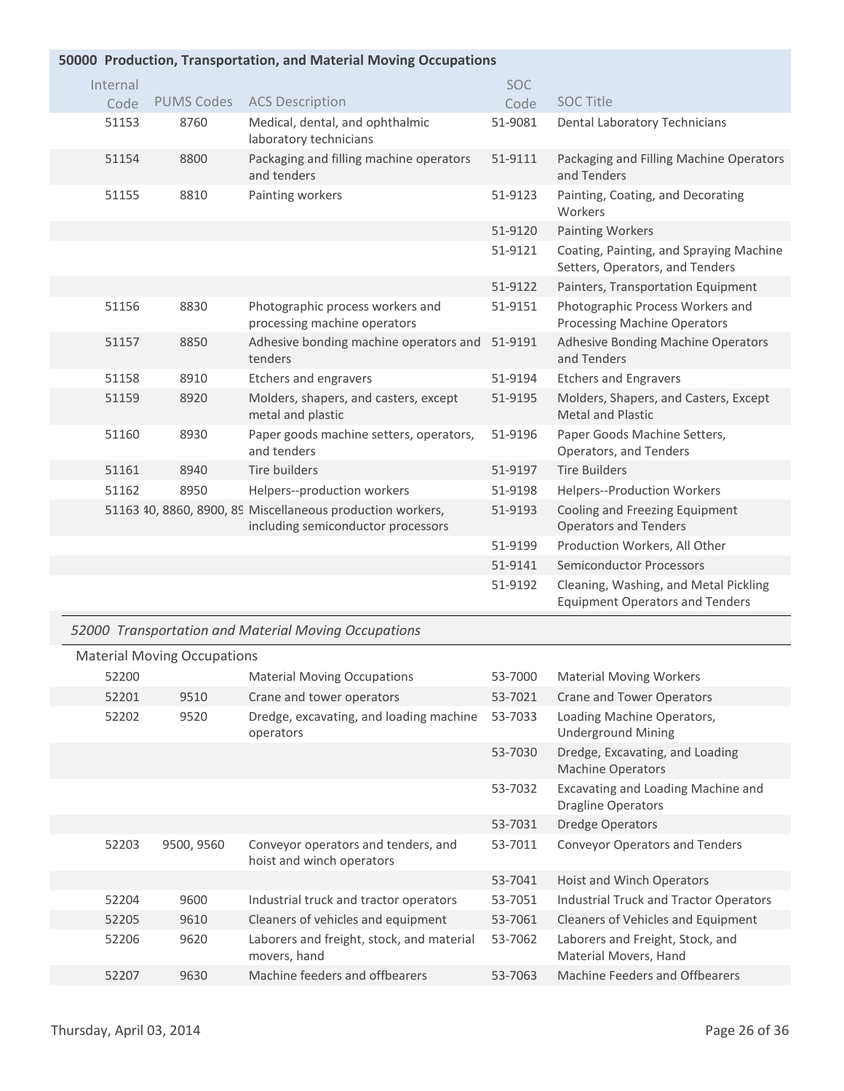|  |  | 50000 Production, Transportation, and Material Moving Occupations |  |  |  |
|--|--|-------------------------------------------------------------------|--|--|--|
|--|--|-------------------------------------------------------------------|--|--|--|

| Internal |                   |                                                                                                  | <b>SOC</b> |                                                                                 |
|----------|-------------------|--------------------------------------------------------------------------------------------------|------------|---------------------------------------------------------------------------------|
| Code     | <b>PUMS Codes</b> | <b>ACS Description</b>                                                                           | Code       | <b>SOC Title</b>                                                                |
| 51153    | 8760              | Medical, dental, and ophthalmic<br>laboratory technicians                                        | 51-9081    | Dental Laboratory Technicians                                                   |
| 51154    | 8800              | Packaging and filling machine operators<br>and tenders                                           | 51-9111    | Packaging and Filling Machine Operators<br>and Tenders                          |
| 51155    | 8810              | Painting workers                                                                                 | 51-9123    | Painting, Coating, and Decorating<br>Workers                                    |
|          |                   |                                                                                                  | 51-9120    | <b>Painting Workers</b>                                                         |
|          |                   |                                                                                                  | 51-9121    | Coating, Painting, and Spraying Machine<br>Setters, Operators, and Tenders      |
|          |                   |                                                                                                  | 51-9122    | Painters, Transportation Equipment                                              |
| 51156    | 8830              | Photographic process workers and<br>processing machine operators                                 | 51-9151    | Photographic Process Workers and<br><b>Processing Machine Operators</b>         |
| 51157    | 8850              | Adhesive bonding machine operators and<br>tenders                                                | 51-9191    | Adhesive Bonding Machine Operators<br>and Tenders                               |
| 51158    | 8910              | Etchers and engravers                                                                            | 51-9194    | <b>Etchers and Engravers</b>                                                    |
| 51159    | 8920              | Molders, shapers, and casters, except<br>metal and plastic                                       | 51-9195    | Molders, Shapers, and Casters, Except<br><b>Metal and Plastic</b>               |
| 51160    | 8930              | Paper goods machine setters, operators,<br>and tenders                                           | 51-9196    | Paper Goods Machine Setters,<br>Operators, and Tenders                          |
| 51161    | 8940              | Tire builders                                                                                    | 51-9197    | <b>Tire Builders</b>                                                            |
| 51162    | 8950              | Helpers--production workers                                                                      | 51-9198    | Helpers--Production Workers                                                     |
|          |                   | 51163 40, 8860, 8900, 89 Miscellaneous production workers,<br>including semiconductor processors | 51-9193    | Cooling and Freezing Equipment<br><b>Operators and Tenders</b>                  |
|          |                   |                                                                                                  | 51-9199    | Production Workers, All Other                                                   |
|          |                   |                                                                                                  | 51-9141    | <b>Semiconductor Processors</b>                                                 |
|          |                   |                                                                                                  | 51-9192    | Cleaning, Washing, and Metal Pickling<br><b>Equipment Operators and Tenders</b> |

# *52000 Transportation and Material Moving Occupations*

|       | <b>Material Moving Occupations</b> |                                                                  |         |                                                             |
|-------|------------------------------------|------------------------------------------------------------------|---------|-------------------------------------------------------------|
| 52200 |                                    | <b>Material Moving Occupations</b>                               | 53-7000 | <b>Material Moving Workers</b>                              |
| 52201 | 9510                               | Crane and tower operators                                        | 53-7021 | Crane and Tower Operators                                   |
| 52202 | 9520                               | Dredge, excavating, and loading machine<br>operators             | 53-7033 | Loading Machine Operators,<br><b>Underground Mining</b>     |
|       |                                    |                                                                  | 53-7030 | Dredge, Excavating, and Loading<br><b>Machine Operators</b> |
|       |                                    |                                                                  | 53-7032 | Excavating and Loading Machine and<br>Dragline Operators    |
|       |                                    |                                                                  | 53-7031 | <b>Dredge Operators</b>                                     |
| 52203 | 9500, 9560                         | Conveyor operators and tenders, and<br>hoist and winch operators | 53-7011 | <b>Conveyor Operators and Tenders</b>                       |
|       |                                    |                                                                  | 53-7041 | Hoist and Winch Operators                                   |
| 52204 | 9600                               | Industrial truck and tractor operators                           | 53-7051 | Industrial Truck and Tractor Operators                      |
| 52205 | 9610                               | Cleaners of vehicles and equipment                               | 53-7061 | Cleaners of Vehicles and Equipment                          |
| 52206 | 9620                               | Laborers and freight, stock, and material<br>movers, hand        | 53-7062 | Laborers and Freight, Stock, and<br>Material Movers, Hand   |
| 52207 | 9630                               | Machine feeders and offbearers                                   | 53-7063 | Machine Feeders and Offbearers                              |
|       |                                    |                                                                  |         |                                                             |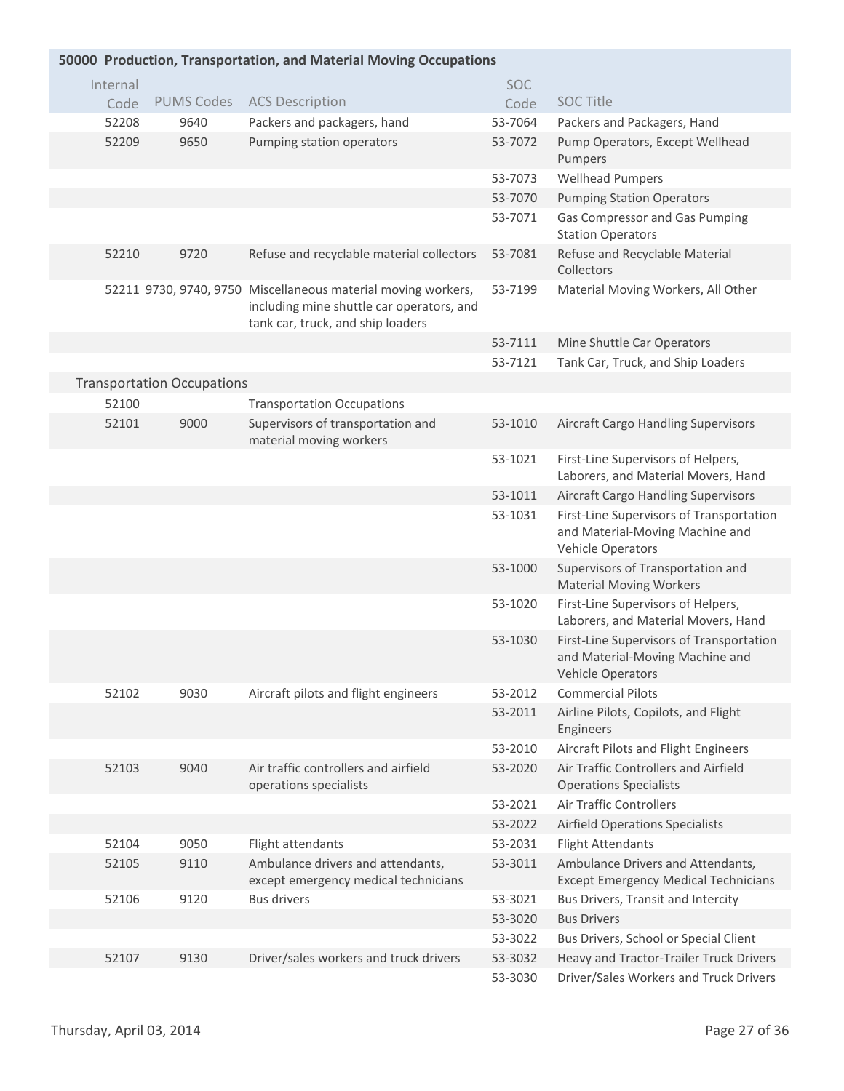| 50000 Production, Transportation, and Material Moving Occupations |  |                                   |                                                                                                                                                 |                    |                                                                                                  |  |  |
|-------------------------------------------------------------------|--|-----------------------------------|-------------------------------------------------------------------------------------------------------------------------------------------------|--------------------|--------------------------------------------------------------------------------------------------|--|--|
| Internal                                                          |  |                                   |                                                                                                                                                 | <b>SOC</b>         |                                                                                                  |  |  |
| Code                                                              |  | <b>PUMS Codes</b>                 | <b>ACS Description</b>                                                                                                                          | Code               | <b>SOC Title</b>                                                                                 |  |  |
| 52208                                                             |  | 9640                              | Packers and packagers, hand                                                                                                                     | 53-7064            | Packers and Packagers, Hand                                                                      |  |  |
| 52209                                                             |  | 9650                              | Pumping station operators                                                                                                                       | 53-7072            | Pump Operators, Except Wellhead<br>Pumpers                                                       |  |  |
|                                                                   |  |                                   |                                                                                                                                                 | 53-7073            | <b>Wellhead Pumpers</b>                                                                          |  |  |
|                                                                   |  |                                   |                                                                                                                                                 | 53-7070            | <b>Pumping Station Operators</b>                                                                 |  |  |
|                                                                   |  |                                   |                                                                                                                                                 | 53-7071            | Gas Compressor and Gas Pumping<br><b>Station Operators</b>                                       |  |  |
| 52210                                                             |  | 9720                              | Refuse and recyclable material collectors                                                                                                       | 53-7081            | Refuse and Recyclable Material<br>Collectors                                                     |  |  |
|                                                                   |  |                                   | 52211 9730, 9740, 9750 Miscellaneous material moving workers,<br>including mine shuttle car operators, and<br>tank car, truck, and ship loaders | 53-7199            | Material Moving Workers, All Other                                                               |  |  |
|                                                                   |  |                                   |                                                                                                                                                 | 53-7111            | Mine Shuttle Car Operators                                                                       |  |  |
|                                                                   |  |                                   |                                                                                                                                                 | 53-7121            | Tank Car, Truck, and Ship Loaders                                                                |  |  |
|                                                                   |  | <b>Transportation Occupations</b> |                                                                                                                                                 |                    |                                                                                                  |  |  |
| 52100                                                             |  |                                   | <b>Transportation Occupations</b>                                                                                                               |                    |                                                                                                  |  |  |
| 52101                                                             |  | 9000                              | Supervisors of transportation and<br>material moving workers                                                                                    | 53-1010            | Aircraft Cargo Handling Supervisors                                                              |  |  |
|                                                                   |  |                                   |                                                                                                                                                 | 53-1021            | First-Line Supervisors of Helpers,<br>Laborers, and Material Movers, Hand                        |  |  |
|                                                                   |  |                                   |                                                                                                                                                 | 53-1011            | <b>Aircraft Cargo Handling Supervisors</b>                                                       |  |  |
|                                                                   |  |                                   |                                                                                                                                                 | 53-1031            | First-Line Supervisors of Transportation<br>and Material-Moving Machine and<br>Vehicle Operators |  |  |
|                                                                   |  |                                   |                                                                                                                                                 | 53-1000            | Supervisors of Transportation and<br><b>Material Moving Workers</b>                              |  |  |
|                                                                   |  |                                   |                                                                                                                                                 | 53-1020            | First-Line Supervisors of Helpers,<br>Laborers, and Material Movers, Hand                        |  |  |
|                                                                   |  |                                   |                                                                                                                                                 | 53-1030            | First-Line Supervisors of Transportation<br>and Material-Moving Machine and<br>Vehicle Operators |  |  |
| 52102                                                             |  | 9030                              | Aircraft pilots and flight engineers                                                                                                            | 53-2012            | <b>Commercial Pilots</b>                                                                         |  |  |
|                                                                   |  |                                   |                                                                                                                                                 | 53-2011            | Airline Pilots, Copilots, and Flight<br>Engineers                                                |  |  |
|                                                                   |  |                                   |                                                                                                                                                 | 53-2010            | Aircraft Pilots and Flight Engineers                                                             |  |  |
| 52103                                                             |  | 9040                              | Air traffic controllers and airfield<br>operations specialists                                                                                  | 53-2020            | Air Traffic Controllers and Airfield<br><b>Operations Specialists</b>                            |  |  |
|                                                                   |  |                                   |                                                                                                                                                 | 53-2021            | Air Traffic Controllers                                                                          |  |  |
|                                                                   |  |                                   |                                                                                                                                                 | 53-2022            | <b>Airfield Operations Specialists</b>                                                           |  |  |
| 52104                                                             |  | 9050                              | Flight attendants                                                                                                                               | 53-2031            | <b>Flight Attendants</b>                                                                         |  |  |
| 52105                                                             |  | 9110                              | Ambulance drivers and attendants,<br>except emergency medical technicians                                                                       | 53-3011            | Ambulance Drivers and Attendants,<br><b>Except Emergency Medical Technicians</b>                 |  |  |
| 52106                                                             |  | 9120                              | <b>Bus drivers</b>                                                                                                                              | 53-3021<br>53-3020 | Bus Drivers, Transit and Intercity<br><b>Bus Drivers</b>                                         |  |  |
|                                                                   |  |                                   |                                                                                                                                                 | 53-3022            | Bus Drivers, School or Special Client                                                            |  |  |
| 52107                                                             |  | 9130                              | Driver/sales workers and truck drivers                                                                                                          | 53-3032            | Heavy and Tractor-Trailer Truck Drivers                                                          |  |  |
|                                                                   |  |                                   |                                                                                                                                                 | 53-3030            | Driver/Sales Workers and Truck Drivers                                                           |  |  |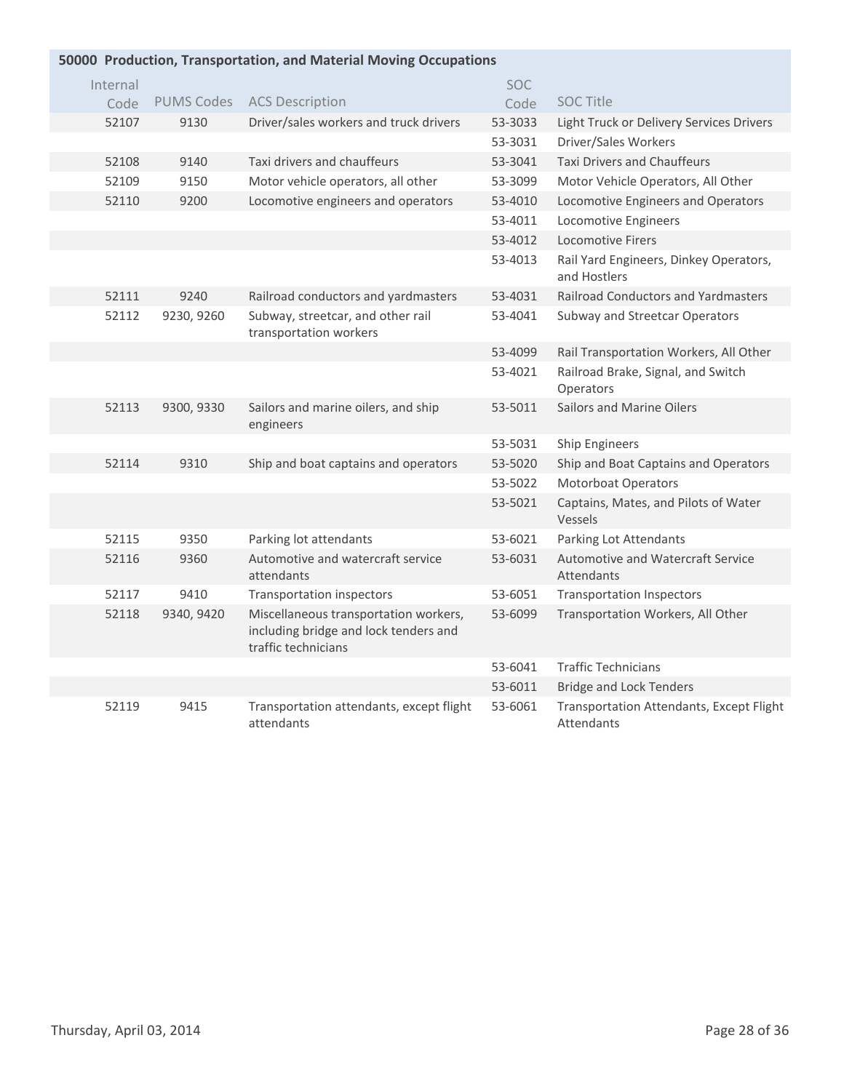| 50000 Production, Transportation, and Material Moving Occupations |                   |                                                                                                       |         |                                                        |  |  |  |
|-------------------------------------------------------------------|-------------------|-------------------------------------------------------------------------------------------------------|---------|--------------------------------------------------------|--|--|--|
| Internal                                                          |                   |                                                                                                       | SOC.    |                                                        |  |  |  |
| Code                                                              | <b>PUMS Codes</b> | <b>ACS Description</b>                                                                                | Code    | <b>SOC Title</b>                                       |  |  |  |
| 52107                                                             | 9130              | Driver/sales workers and truck drivers                                                                | 53-3033 | Light Truck or Delivery Services Drivers               |  |  |  |
|                                                                   |                   |                                                                                                       | 53-3031 | Driver/Sales Workers                                   |  |  |  |
| 52108                                                             | 9140              | Taxi drivers and chauffeurs                                                                           | 53-3041 | <b>Taxi Drivers and Chauffeurs</b>                     |  |  |  |
| 52109                                                             | 9150              | Motor vehicle operators, all other                                                                    | 53-3099 | Motor Vehicle Operators, All Other                     |  |  |  |
| 52110                                                             | 9200              | Locomotive engineers and operators                                                                    | 53-4010 | Locomotive Engineers and Operators                     |  |  |  |
|                                                                   |                   |                                                                                                       | 53-4011 | Locomotive Engineers                                   |  |  |  |
|                                                                   |                   |                                                                                                       | 53-4012 | <b>Locomotive Firers</b>                               |  |  |  |
|                                                                   |                   |                                                                                                       | 53-4013 | Rail Yard Engineers, Dinkey Operators,<br>and Hostlers |  |  |  |
| 52111                                                             | 9240              | Railroad conductors and yardmasters                                                                   | 53-4031 | <b>Railroad Conductors and Yardmasters</b>             |  |  |  |
| 52112                                                             | 9230, 9260        | Subway, streetcar, and other rail<br>transportation workers                                           | 53-4041 | Subway and Streetcar Operators                         |  |  |  |
|                                                                   |                   |                                                                                                       | 53-4099 | Rail Transportation Workers, All Other                 |  |  |  |
|                                                                   |                   |                                                                                                       | 53-4021 | Railroad Brake, Signal, and Switch<br>Operators        |  |  |  |
| 52113                                                             | 9300, 9330        | Sailors and marine oilers, and ship<br>engineers                                                      | 53-5011 | Sailors and Marine Oilers                              |  |  |  |
|                                                                   |                   |                                                                                                       | 53-5031 | Ship Engineers                                         |  |  |  |
| 52114                                                             | 9310              | Ship and boat captains and operators                                                                  | 53-5020 | Ship and Boat Captains and Operators                   |  |  |  |
|                                                                   |                   |                                                                                                       | 53-5022 | <b>Motorboat Operators</b>                             |  |  |  |
|                                                                   |                   |                                                                                                       | 53-5021 | Captains, Mates, and Pilots of Water<br>Vessels        |  |  |  |
| 52115                                                             | 9350              | Parking lot attendants                                                                                | 53-6021 | Parking Lot Attendants                                 |  |  |  |
| 52116                                                             | 9360              | Automotive and watercraft service<br>attendants                                                       | 53-6031 | Automotive and Watercraft Service<br>Attendants        |  |  |  |
| 52117                                                             | 9410              | Transportation inspectors                                                                             | 53-6051 | <b>Transportation Inspectors</b>                       |  |  |  |
| 52118                                                             | 9340, 9420        | Miscellaneous transportation workers,<br>including bridge and lock tenders and<br>traffic technicians | 53-6099 | Transportation Workers, All Other                      |  |  |  |
|                                                                   |                   |                                                                                                       | 53-6041 | <b>Traffic Technicians</b>                             |  |  |  |
|                                                                   |                   |                                                                                                       | 53-6011 | <b>Bridge and Lock Tenders</b>                         |  |  |  |
| 52119                                                             | 9415              | Transportation attendants, except flight<br>attendants                                                | 53-6061 | Transportation Attendants, Except Flight<br>Attendants |  |  |  |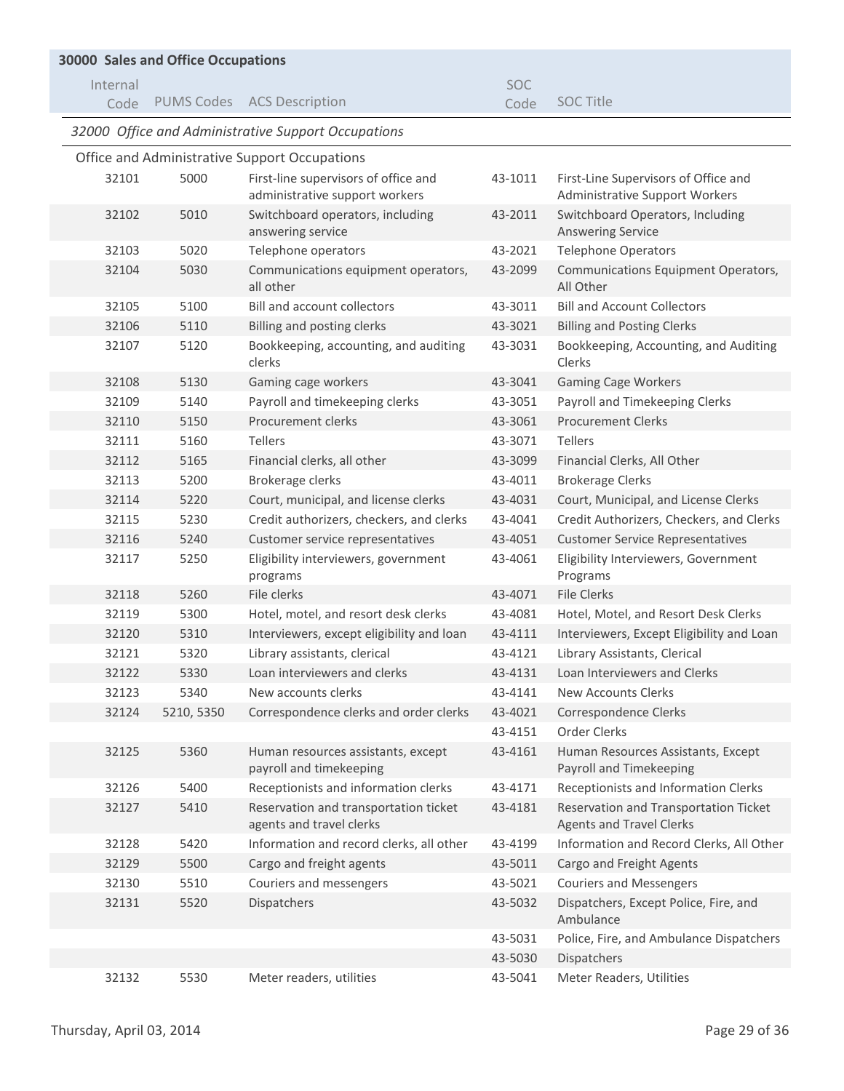| <b>30000 Sales and Office Occupations</b> |            |                                                                   |            |                                                                          |  |  |  |
|-------------------------------------------|------------|-------------------------------------------------------------------|------------|--------------------------------------------------------------------------|--|--|--|
| Internal                                  |            |                                                                   | <b>SOC</b> |                                                                          |  |  |  |
| Code                                      |            | PUMS Codes ACS Description                                        | Code       | <b>SOC Title</b>                                                         |  |  |  |
|                                           |            | 32000 Office and Administrative Support Occupations               |            |                                                                          |  |  |  |
|                                           |            | Office and Administrative Support Occupations                     |            |                                                                          |  |  |  |
| 32101                                     | 5000       | First-line supervisors of office and                              | 43-1011    | First-Line Supervisors of Office and                                     |  |  |  |
|                                           |            | administrative support workers                                    |            | <b>Administrative Support Workers</b>                                    |  |  |  |
| 32102                                     | 5010       | Switchboard operators, including<br>answering service             | 43-2011    | Switchboard Operators, Including<br><b>Answering Service</b>             |  |  |  |
| 32103                                     | 5020       | Telephone operators                                               | 43-2021    | <b>Telephone Operators</b>                                               |  |  |  |
| 32104                                     | 5030       | Communications equipment operators,<br>all other                  | 43-2099    | Communications Equipment Operators,<br>All Other                         |  |  |  |
| 32105                                     | 5100       | <b>Bill and account collectors</b>                                | 43-3011    | <b>Bill and Account Collectors</b>                                       |  |  |  |
| 32106                                     | 5110       | Billing and posting clerks                                        | 43-3021    | <b>Billing and Posting Clerks</b>                                        |  |  |  |
| 32107                                     | 5120       | Bookkeeping, accounting, and auditing<br>clerks                   | 43-3031    | Bookkeeping, Accounting, and Auditing<br>Clerks                          |  |  |  |
| 32108                                     | 5130       | Gaming cage workers                                               | 43-3041    | <b>Gaming Cage Workers</b>                                               |  |  |  |
| 32109                                     | 5140       | Payroll and timekeeping clerks                                    | 43-3051    | Payroll and Timekeeping Clerks                                           |  |  |  |
| 32110                                     | 5150       | Procurement clerks                                                | 43-3061    | <b>Procurement Clerks</b>                                                |  |  |  |
| 32111                                     | 5160       | <b>Tellers</b>                                                    | 43-3071    | <b>Tellers</b>                                                           |  |  |  |
| 32112                                     | 5165       | Financial clerks, all other                                       | 43-3099    | Financial Clerks, All Other                                              |  |  |  |
| 32113                                     | 5200       | Brokerage clerks                                                  | 43-4011    | <b>Brokerage Clerks</b>                                                  |  |  |  |
| 32114                                     | 5220       | Court, municipal, and license clerks                              | 43-4031    | Court, Municipal, and License Clerks                                     |  |  |  |
| 32115                                     | 5230       | Credit authorizers, checkers, and clerks                          | 43-4041    | Credit Authorizers, Checkers, and Clerks                                 |  |  |  |
| 32116                                     | 5240       | Customer service representatives                                  | 43-4051    | <b>Customer Service Representatives</b>                                  |  |  |  |
| 32117                                     | 5250       | Eligibility interviewers, government<br>programs                  | 43-4061    | Eligibility Interviewers, Government<br>Programs                         |  |  |  |
| 32118                                     | 5260       | File clerks                                                       | 43-4071    | <b>File Clerks</b>                                                       |  |  |  |
| 32119                                     | 5300       | Hotel, motel, and resort desk clerks                              | 43-4081    | Hotel, Motel, and Resort Desk Clerks                                     |  |  |  |
| 32120                                     | 5310       | Interviewers, except eligibility and loan                         | 43-4111    | Interviewers, Except Eligibility and Loan                                |  |  |  |
| 32121                                     | 5320       | Library assistants, clerical                                      | 43-4121    | Library Assistants, Clerical                                             |  |  |  |
| 32122                                     | 5330       | Loan interviewers and clerks                                      | 43-4131    | Loan Interviewers and Clerks                                             |  |  |  |
| 32123                                     | 5340       | New accounts clerks                                               | 43-4141    | <b>New Accounts Clerks</b>                                               |  |  |  |
| 32124                                     | 5210, 5350 | Correspondence clerks and order clerks                            | 43-4021    | Correspondence Clerks                                                    |  |  |  |
|                                           |            |                                                                   | 43-4151    | Order Clerks                                                             |  |  |  |
| 32125                                     | 5360       | Human resources assistants, except<br>payroll and timekeeping     | 43-4161    | Human Resources Assistants, Except<br>Payroll and Timekeeping            |  |  |  |
| 32126                                     | 5400       | Receptionists and information clerks                              | 43-4171    | Receptionists and Information Clerks                                     |  |  |  |
| 32127                                     | 5410       | Reservation and transportation ticket<br>agents and travel clerks | 43-4181    | Reservation and Transportation Ticket<br><b>Agents and Travel Clerks</b> |  |  |  |
| 32128                                     | 5420       | Information and record clerks, all other                          | 43-4199    | Information and Record Clerks, All Other                                 |  |  |  |
| 32129                                     | 5500       | Cargo and freight agents                                          | 43-5011    | Cargo and Freight Agents                                                 |  |  |  |
| 32130                                     | 5510       | Couriers and messengers                                           | 43-5021    | <b>Couriers and Messengers</b>                                           |  |  |  |
| 32131                                     | 5520       | Dispatchers                                                       | 43-5032    | Dispatchers, Except Police, Fire, and<br>Ambulance                       |  |  |  |
|                                           |            |                                                                   | 43-5031    | Police, Fire, and Ambulance Dispatchers                                  |  |  |  |
|                                           |            |                                                                   | 43-5030    | Dispatchers                                                              |  |  |  |
| 32132                                     | 5530       | Meter readers, utilities                                          | 43-5041    | Meter Readers, Utilities                                                 |  |  |  |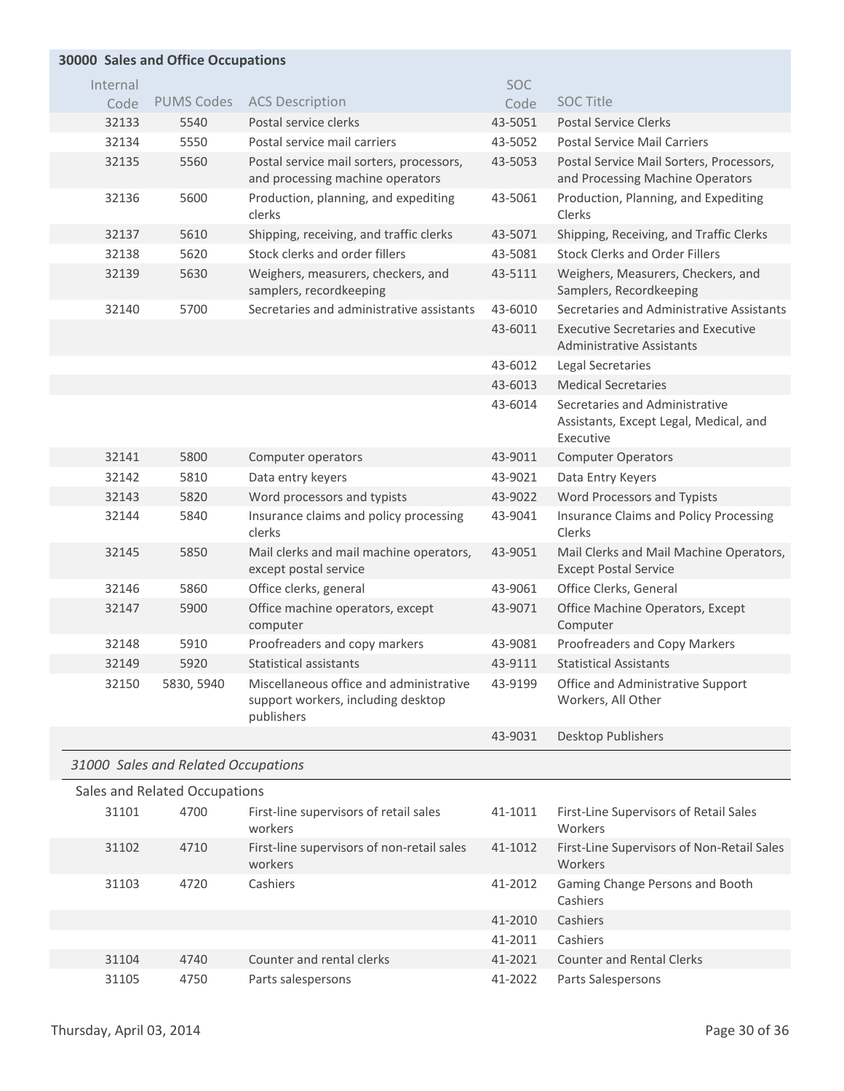## **Sales and Office Occupations 30000**

| Internal |                                     |                                                                                             | <b>SOC</b> |                                                                                       |
|----------|-------------------------------------|---------------------------------------------------------------------------------------------|------------|---------------------------------------------------------------------------------------|
| Code     | <b>PUMS Codes</b>                   | <b>ACS Description</b>                                                                      | Code       | <b>SOC Title</b>                                                                      |
| 32133    | 5540                                | Postal service clerks                                                                       | 43-5051    | <b>Postal Service Clerks</b>                                                          |
| 32134    | 5550                                | Postal service mail carriers                                                                | 43-5052    | <b>Postal Service Mail Carriers</b>                                                   |
| 32135    | 5560                                | Postal service mail sorters, processors,<br>and processing machine operators                | 43-5053    | Postal Service Mail Sorters, Processors,<br>and Processing Machine Operators          |
| 32136    | 5600                                | Production, planning, and expediting<br>clerks                                              | 43-5061    | Production, Planning, and Expediting<br>Clerks                                        |
| 32137    | 5610                                | Shipping, receiving, and traffic clerks                                                     | 43-5071    | Shipping, Receiving, and Traffic Clerks                                               |
| 32138    | 5620                                | Stock clerks and order fillers                                                              | 43-5081    | <b>Stock Clerks and Order Fillers</b>                                                 |
| 32139    | 5630                                | Weighers, measurers, checkers, and<br>samplers, recordkeeping                               | 43-5111    | Weighers, Measurers, Checkers, and<br>Samplers, Recordkeeping                         |
| 32140    | 5700                                | Secretaries and administrative assistants                                                   | 43-6010    | Secretaries and Administrative Assistants                                             |
|          |                                     |                                                                                             | 43-6011    | <b>Executive Secretaries and Executive</b><br><b>Administrative Assistants</b>        |
|          |                                     |                                                                                             | 43-6012    | Legal Secretaries                                                                     |
|          |                                     |                                                                                             | 43-6013    | <b>Medical Secretaries</b>                                                            |
|          |                                     |                                                                                             | 43-6014    | Secretaries and Administrative<br>Assistants, Except Legal, Medical, and<br>Executive |
| 32141    | 5800                                | Computer operators                                                                          | 43-9011    | <b>Computer Operators</b>                                                             |
| 32142    | 5810                                | Data entry keyers                                                                           | 43-9021    | Data Entry Keyers                                                                     |
| 32143    | 5820                                | Word processors and typists                                                                 | 43-9022    | Word Processors and Typists                                                           |
| 32144    | 5840                                | Insurance claims and policy processing<br>clerks                                            | 43-9041    | Insurance Claims and Policy Processing<br>Clerks                                      |
| 32145    | 5850                                | Mail clerks and mail machine operators,<br>except postal service                            | 43-9051    | Mail Clerks and Mail Machine Operators,<br><b>Except Postal Service</b>               |
| 32146    | 5860                                | Office clerks, general                                                                      | 43-9061    | Office Clerks, General                                                                |
| 32147    | 5900                                | Office machine operators, except<br>computer                                                | 43-9071    | Office Machine Operators, Except<br>Computer                                          |
| 32148    | 5910                                | Proofreaders and copy markers                                                               | 43-9081    | Proofreaders and Copy Markers                                                         |
| 32149    | 5920                                | Statistical assistants                                                                      | 43-9111    | <b>Statistical Assistants</b>                                                         |
| 32150    | 5830, 5940                          | Miscellaneous office and administrative<br>support workers, including desktop<br>publishers | 43-9199    | Office and Administrative Support<br>Workers, All Other                               |
|          |                                     |                                                                                             | 43-9031    | Desktop Publishers                                                                    |
|          | 31000 Sales and Related Occupations |                                                                                             |            |                                                                                       |
|          | Sales and Related Occupations       |                                                                                             |            |                                                                                       |
| 31101    | 4700                                | First-line supervisors of retail sales<br>workers                                           | 41-1011    | First-Line Supervisors of Retail Sales<br>Workers                                     |
| 31102    | 4710                                | First-line supervisors of non-retail sales<br>workers                                       | 41-1012    | First-Line Supervisors of Non-Retail Sales<br>Workers                                 |
| 31103    | 4720                                | Cashiers                                                                                    | 41-2012    | Gaming Change Persons and Booth<br>Cashiers                                           |
|          |                                     |                                                                                             | 41-2010    | Cashiers                                                                              |
|          |                                     |                                                                                             | 41-2011    | Cashiers                                                                              |

31104 4740 Counter and rental clerks 41-2021 Counter and Rental Clerks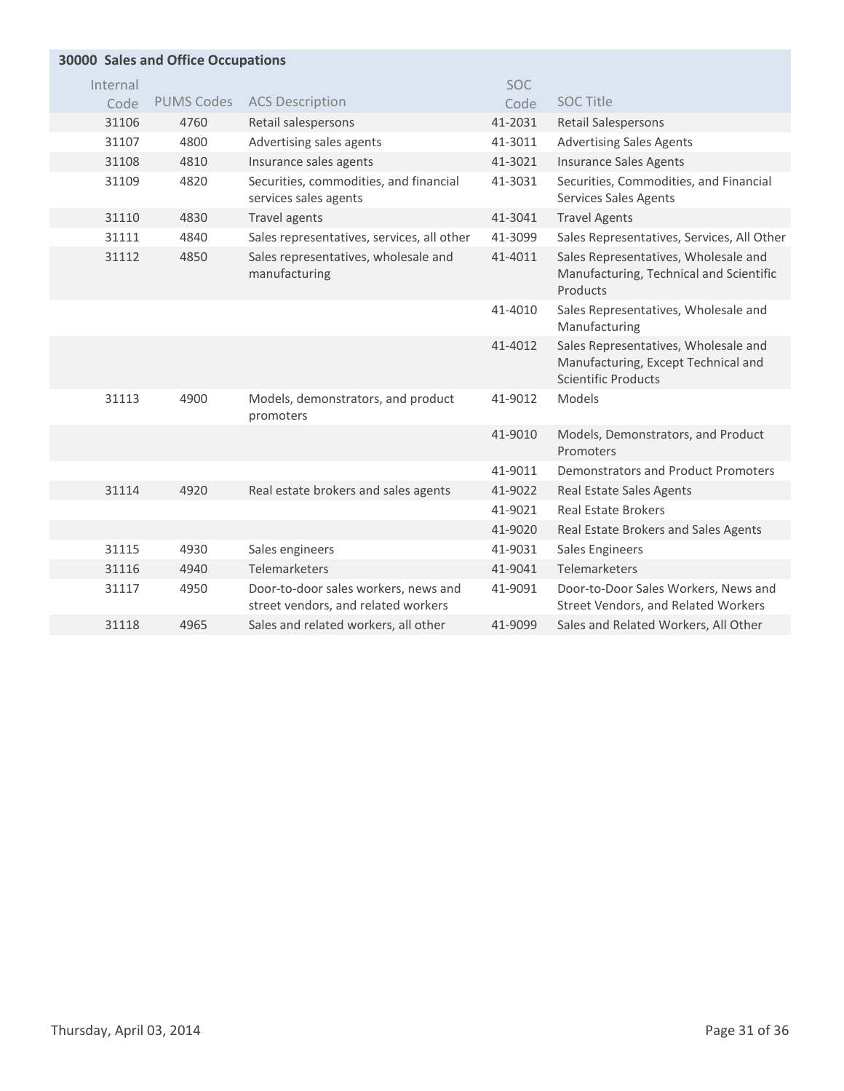| <b>30000 Sales and Office Occupations</b> |          |                   |                                                                             |         |                                                                                                           |  |
|-------------------------------------------|----------|-------------------|-----------------------------------------------------------------------------|---------|-----------------------------------------------------------------------------------------------------------|--|
|                                           | Internal |                   |                                                                             | SOC     |                                                                                                           |  |
|                                           | Code     | <b>PUMS Codes</b> | <b>ACS Description</b>                                                      | Code    | <b>SOC Title</b>                                                                                          |  |
|                                           | 31106    | 4760              | Retail salespersons                                                         | 41-2031 | <b>Retail Salespersons</b>                                                                                |  |
|                                           | 31107    | 4800              | Advertising sales agents                                                    | 41-3011 | <b>Advertising Sales Agents</b>                                                                           |  |
|                                           | 31108    | 4810              | Insurance sales agents                                                      | 41-3021 | <b>Insurance Sales Agents</b>                                                                             |  |
|                                           | 31109    | 4820              | Securities, commodities, and financial<br>services sales agents             | 41-3031 | Securities, Commodities, and Financial<br><b>Services Sales Agents</b>                                    |  |
|                                           | 31110    | 4830              | Travel agents                                                               | 41-3041 | <b>Travel Agents</b>                                                                                      |  |
|                                           | 31111    | 4840              | Sales representatives, services, all other                                  | 41-3099 | Sales Representatives, Services, All Other                                                                |  |
|                                           | 31112    | 4850              | Sales representatives, wholesale and<br>manufacturing                       | 41-4011 | Sales Representatives, Wholesale and<br>Manufacturing, Technical and Scientific<br>Products               |  |
|                                           |          |                   |                                                                             | 41-4010 | Sales Representatives, Wholesale and<br>Manufacturing                                                     |  |
|                                           |          |                   |                                                                             | 41-4012 | Sales Representatives, Wholesale and<br>Manufacturing, Except Technical and<br><b>Scientific Products</b> |  |
|                                           | 31113    | 4900              | Models, demonstrators, and product<br>promoters                             | 41-9012 | Models                                                                                                    |  |
|                                           |          |                   |                                                                             | 41-9010 | Models, Demonstrators, and Product<br>Promoters                                                           |  |
|                                           |          |                   |                                                                             | 41-9011 | <b>Demonstrators and Product Promoters</b>                                                                |  |
|                                           | 31114    | 4920              | Real estate brokers and sales agents                                        | 41-9022 | <b>Real Estate Sales Agents</b>                                                                           |  |
|                                           |          |                   |                                                                             | 41-9021 | <b>Real Estate Brokers</b>                                                                                |  |
|                                           |          |                   |                                                                             | 41-9020 | Real Estate Brokers and Sales Agents                                                                      |  |
|                                           | 31115    | 4930              | Sales engineers                                                             | 41-9031 | <b>Sales Engineers</b>                                                                                    |  |
|                                           | 31116    | 4940              | Telemarketers                                                               | 41-9041 | Telemarketers                                                                                             |  |
|                                           | 31117    | 4950              | Door-to-door sales workers, news and<br>street vendors, and related workers | 41-9091 | Door-to-Door Sales Workers, News and<br>Street Vendors, and Related Workers                               |  |
|                                           | 31118    | 4965              | Sales and related workers, all other                                        | 41-9099 | Sales and Related Workers, All Other                                                                      |  |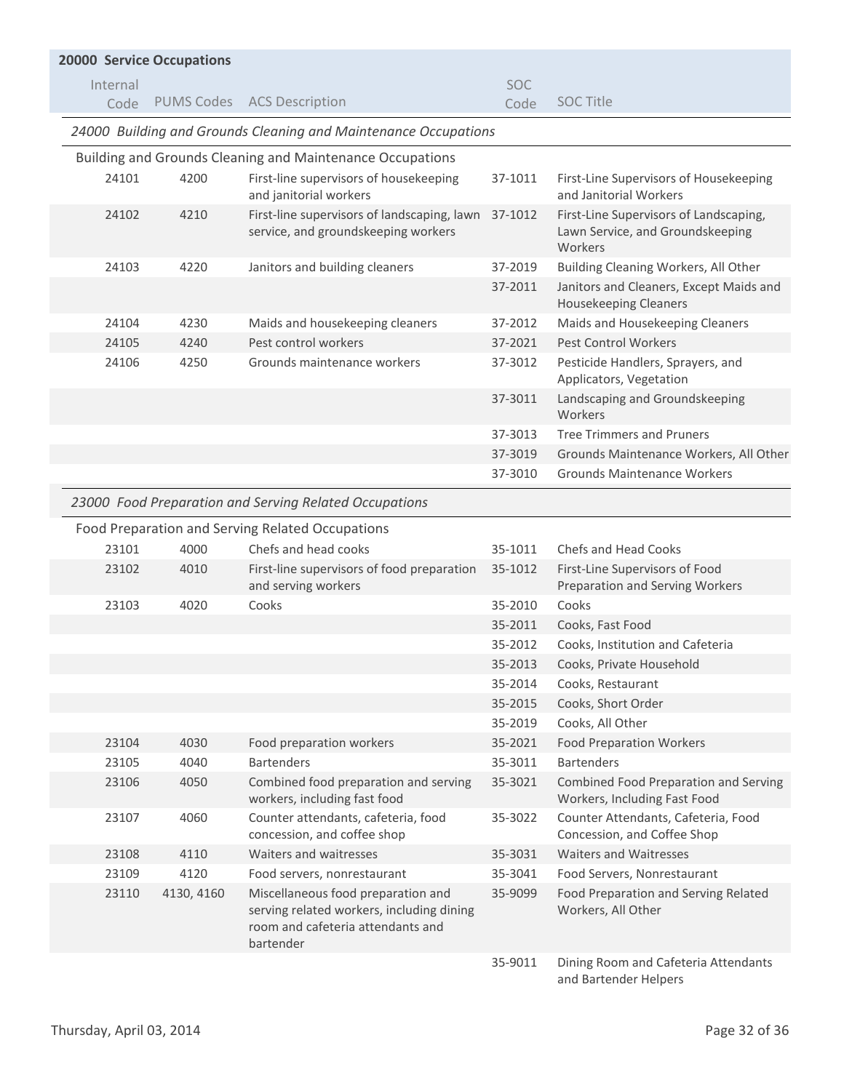| <b>20000 Service Occupations</b> |            |                                                                                                                                   |            |                                                                                       |  |  |
|----------------------------------|------------|-----------------------------------------------------------------------------------------------------------------------------------|------------|---------------------------------------------------------------------------------------|--|--|
| Internal                         |            |                                                                                                                                   | <b>SOC</b> |                                                                                       |  |  |
| Code                             |            | PUMS Codes ACS Description                                                                                                        | Code       | <b>SOC Title</b>                                                                      |  |  |
|                                  |            | 24000 Building and Grounds Cleaning and Maintenance Occupations                                                                   |            |                                                                                       |  |  |
|                                  |            | Building and Grounds Cleaning and Maintenance Occupations                                                                         |            |                                                                                       |  |  |
| 24101                            | 4200       | First-line supervisors of housekeeping<br>and janitorial workers                                                                  | 37-1011    | First-Line Supervisors of Housekeeping<br>and Janitorial Workers                      |  |  |
| 24102                            | 4210       | First-line supervisors of landscaping, lawn<br>service, and groundskeeping workers                                                | 37-1012    | First-Line Supervisors of Landscaping,<br>Lawn Service, and Groundskeeping<br>Workers |  |  |
| 24103                            | 4220       | Janitors and building cleaners                                                                                                    | 37-2019    | Building Cleaning Workers, All Other                                                  |  |  |
|                                  |            |                                                                                                                                   | 37-2011    | Janitors and Cleaners, Except Maids and<br><b>Housekeeping Cleaners</b>               |  |  |
| 24104                            | 4230       | Maids and housekeeping cleaners                                                                                                   | 37-2012    | Maids and Housekeeping Cleaners                                                       |  |  |
| 24105                            | 4240       | Pest control workers                                                                                                              | 37-2021    | <b>Pest Control Workers</b>                                                           |  |  |
| 24106                            | 4250       | Grounds maintenance workers                                                                                                       | 37-3012    | Pesticide Handlers, Sprayers, and<br>Applicators, Vegetation                          |  |  |
|                                  |            |                                                                                                                                   | 37-3011    | Landscaping and Groundskeeping<br>Workers                                             |  |  |
|                                  |            |                                                                                                                                   | 37-3013    | <b>Tree Trimmers and Pruners</b>                                                      |  |  |
|                                  |            |                                                                                                                                   | 37-3019    | Grounds Maintenance Workers, All Other                                                |  |  |
|                                  |            |                                                                                                                                   | 37-3010    | <b>Grounds Maintenance Workers</b>                                                    |  |  |
|                                  |            | 23000 Food Preparation and Serving Related Occupations                                                                            |            |                                                                                       |  |  |
|                                  |            | Food Preparation and Serving Related Occupations                                                                                  |            |                                                                                       |  |  |
| 23101                            | 4000       | Chefs and head cooks                                                                                                              | 35-1011    | Chefs and Head Cooks                                                                  |  |  |
| 23102                            | 4010       | First-line supervisors of food preparation<br>and serving workers                                                                 | 35-1012    | First-Line Supervisors of Food<br>Preparation and Serving Workers                     |  |  |
| 23103                            | 4020       | Cooks                                                                                                                             | 35-2010    | Cooks                                                                                 |  |  |
|                                  |            |                                                                                                                                   | 35-2011    | Cooks, Fast Food                                                                      |  |  |
|                                  |            |                                                                                                                                   | 35-2012    | Cooks, Institution and Cafeteria                                                      |  |  |
|                                  |            |                                                                                                                                   | 35-2013    | Cooks, Private Household                                                              |  |  |
|                                  |            |                                                                                                                                   | 35-2014    | Cooks, Restaurant                                                                     |  |  |
|                                  |            |                                                                                                                                   | 35-2015    | Cooks, Short Order                                                                    |  |  |
|                                  |            |                                                                                                                                   | 35-2019    | Cooks, All Other                                                                      |  |  |
| 23104                            | 4030       | Food preparation workers                                                                                                          | 35-2021    | <b>Food Preparation Workers</b>                                                       |  |  |
| 23105                            | 4040       | <b>Bartenders</b>                                                                                                                 | 35-3011    | <b>Bartenders</b>                                                                     |  |  |
| 23106                            | 4050       | Combined food preparation and serving<br>workers, including fast food                                                             | 35-3021    | Combined Food Preparation and Serving<br>Workers, Including Fast Food                 |  |  |
| 23107                            | 4060       | Counter attendants, cafeteria, food<br>concession, and coffee shop                                                                | 35-3022    | Counter Attendants, Cafeteria, Food<br>Concession, and Coffee Shop                    |  |  |
| 23108                            | 4110       | Waiters and waitresses                                                                                                            | 35-3031    | <b>Waiters and Waitresses</b>                                                         |  |  |
| 23109                            | 4120       | Food servers, nonrestaurant                                                                                                       | 35-3041    | Food Servers, Nonrestaurant                                                           |  |  |
| 23110                            | 4130, 4160 | Miscellaneous food preparation and<br>serving related workers, including dining<br>room and cafeteria attendants and<br>bartender | 35-9099    | Food Preparation and Serving Related<br>Workers, All Other                            |  |  |
|                                  |            |                                                                                                                                   | 35-9011    | Dining Room and Cafeteria Attendants<br>and Bartender Helpers                         |  |  |

Thursday, April 03, 2014 **Page 32 of 36**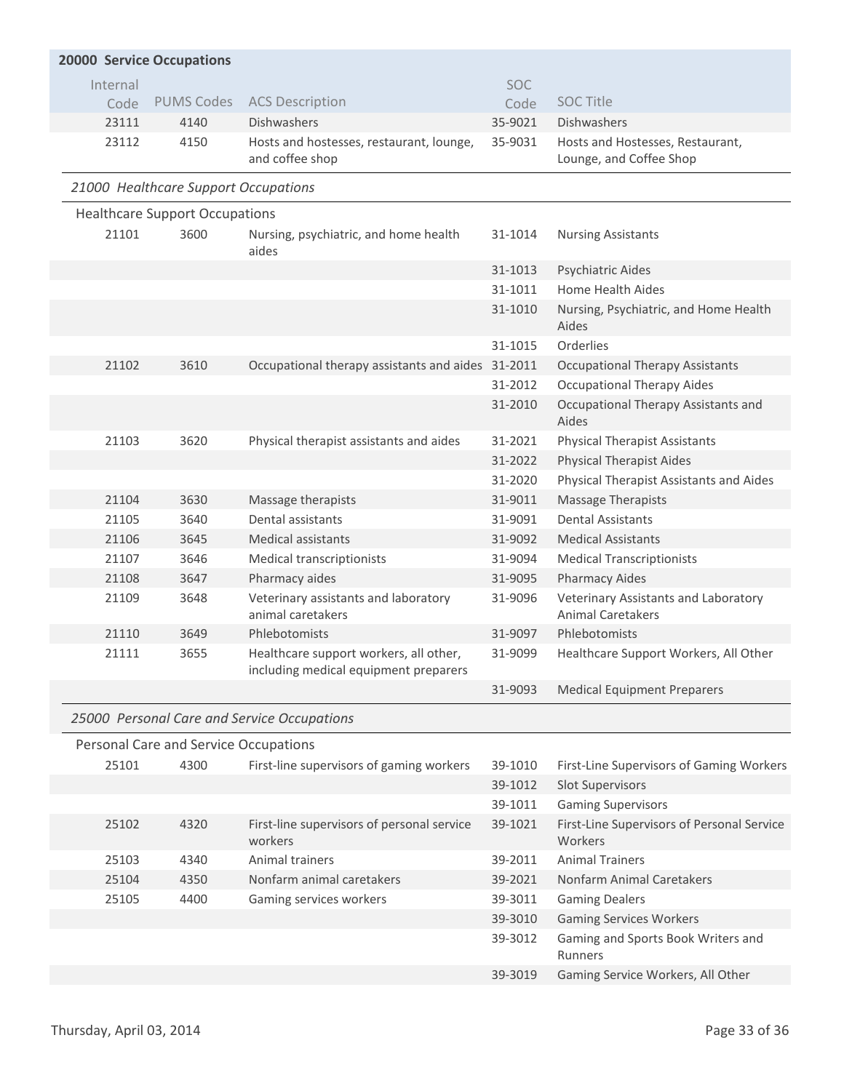|                                      | <b>20000 Service Occupations</b>      |                                                                                 |            |                                                                  |  |  |  |  |  |
|--------------------------------------|---------------------------------------|---------------------------------------------------------------------------------|------------|------------------------------------------------------------------|--|--|--|--|--|
| Internal                             |                                       |                                                                                 | <b>SOC</b> |                                                                  |  |  |  |  |  |
| Code                                 | <b>PUMS Codes</b>                     | <b>ACS Description</b>                                                          | Code       | <b>SOC Title</b>                                                 |  |  |  |  |  |
| 23111                                | 4140                                  | <b>Dishwashers</b>                                                              | 35-9021    | Dishwashers                                                      |  |  |  |  |  |
| 23112                                | 4150                                  | Hosts and hostesses, restaurant, lounge,<br>and coffee shop                     | 35-9031    | Hosts and Hostesses, Restaurant,<br>Lounge, and Coffee Shop      |  |  |  |  |  |
| 21000 Healthcare Support Occupations |                                       |                                                                                 |            |                                                                  |  |  |  |  |  |
|                                      | <b>Healthcare Support Occupations</b> |                                                                                 |            |                                                                  |  |  |  |  |  |
| 21101                                | 3600                                  | Nursing, psychiatric, and home health<br>aides                                  | 31-1014    | <b>Nursing Assistants</b>                                        |  |  |  |  |  |
|                                      |                                       |                                                                                 | 31-1013    | Psychiatric Aides                                                |  |  |  |  |  |
|                                      |                                       |                                                                                 | 31-1011    | <b>Home Health Aides</b>                                         |  |  |  |  |  |
|                                      |                                       |                                                                                 | 31-1010    | Nursing, Psychiatric, and Home Health<br>Aides                   |  |  |  |  |  |
|                                      |                                       |                                                                                 | 31-1015    | Orderlies                                                        |  |  |  |  |  |
| 21102                                | 3610                                  | Occupational therapy assistants and aides 31-2011                               |            | <b>Occupational Therapy Assistants</b>                           |  |  |  |  |  |
|                                      |                                       |                                                                                 | 31-2012    | <b>Occupational Therapy Aides</b>                                |  |  |  |  |  |
|                                      |                                       |                                                                                 | 31-2010    | Occupational Therapy Assistants and<br>Aides                     |  |  |  |  |  |
| 21103                                | 3620                                  | Physical therapist assistants and aides                                         | 31-2021    | <b>Physical Therapist Assistants</b>                             |  |  |  |  |  |
|                                      |                                       |                                                                                 | 31-2022    | <b>Physical Therapist Aides</b>                                  |  |  |  |  |  |
|                                      |                                       |                                                                                 | 31-2020    | Physical Therapist Assistants and Aides                          |  |  |  |  |  |
| 21104                                | 3630                                  | Massage therapists                                                              | 31-9011    | <b>Massage Therapists</b>                                        |  |  |  |  |  |
| 21105                                | 3640                                  | Dental assistants                                                               | 31-9091    | <b>Dental Assistants</b>                                         |  |  |  |  |  |
| 21106                                | 3645                                  | <b>Medical assistants</b>                                                       | 31-9092    | <b>Medical Assistants</b>                                        |  |  |  |  |  |
| 21107                                | 3646                                  | Medical transcriptionists                                                       | 31-9094    | <b>Medical Transcriptionists</b>                                 |  |  |  |  |  |
| 21108                                | 3647                                  | Pharmacy aides                                                                  | 31-9095    | <b>Pharmacy Aides</b>                                            |  |  |  |  |  |
| 21109                                | 3648                                  | Veterinary assistants and laboratory<br>animal caretakers                       | 31-9096    | Veterinary Assistants and Laboratory<br><b>Animal Caretakers</b> |  |  |  |  |  |
| 21110                                | 3649                                  | Phlebotomists                                                                   | 31-9097    | Phlebotomists                                                    |  |  |  |  |  |
| 21111                                | 3655                                  | Healthcare support workers, all other,<br>including medical equipment preparers | 31-9099    | Healthcare Support Workers, All Other                            |  |  |  |  |  |
|                                      |                                       |                                                                                 | 31-9093    | <b>Medical Equipment Preparers</b>                               |  |  |  |  |  |
|                                      |                                       | 25000 Personal Care and Service Occupations                                     |            |                                                                  |  |  |  |  |  |
|                                      | Personal Care and Service Occupations |                                                                                 |            |                                                                  |  |  |  |  |  |
| 25101                                | 4300                                  | First-line supervisors of gaming workers                                        | 39-1010    | First-Line Supervisors of Gaming Workers                         |  |  |  |  |  |
|                                      |                                       |                                                                                 | 39-1012    | <b>Slot Supervisors</b>                                          |  |  |  |  |  |
|                                      |                                       |                                                                                 | 39-1011    | <b>Gaming Supervisors</b>                                        |  |  |  |  |  |
| 25102                                | 4320                                  | First-line supervisors of personal service<br>workers                           | 39-1021    | First-Line Supervisors of Personal Service<br>Workers            |  |  |  |  |  |
| 25103                                | 4340                                  | Animal trainers                                                                 | 39-2011    | <b>Animal Trainers</b>                                           |  |  |  |  |  |
| 25104                                | 4350                                  | Nonfarm animal caretakers                                                       | 39-2021    | Nonfarm Animal Caretakers                                        |  |  |  |  |  |
| 25105                                | 4400                                  | Gaming services workers                                                         | 39-3011    | <b>Gaming Dealers</b>                                            |  |  |  |  |  |
|                                      |                                       |                                                                                 | 39-3010    | <b>Gaming Services Workers</b>                                   |  |  |  |  |  |
|                                      |                                       |                                                                                 | 39-3012    | Gaming and Sports Book Writers and<br><b>Runners</b>             |  |  |  |  |  |
|                                      |                                       |                                                                                 | 39-3019    | Gaming Service Workers, All Other                                |  |  |  |  |  |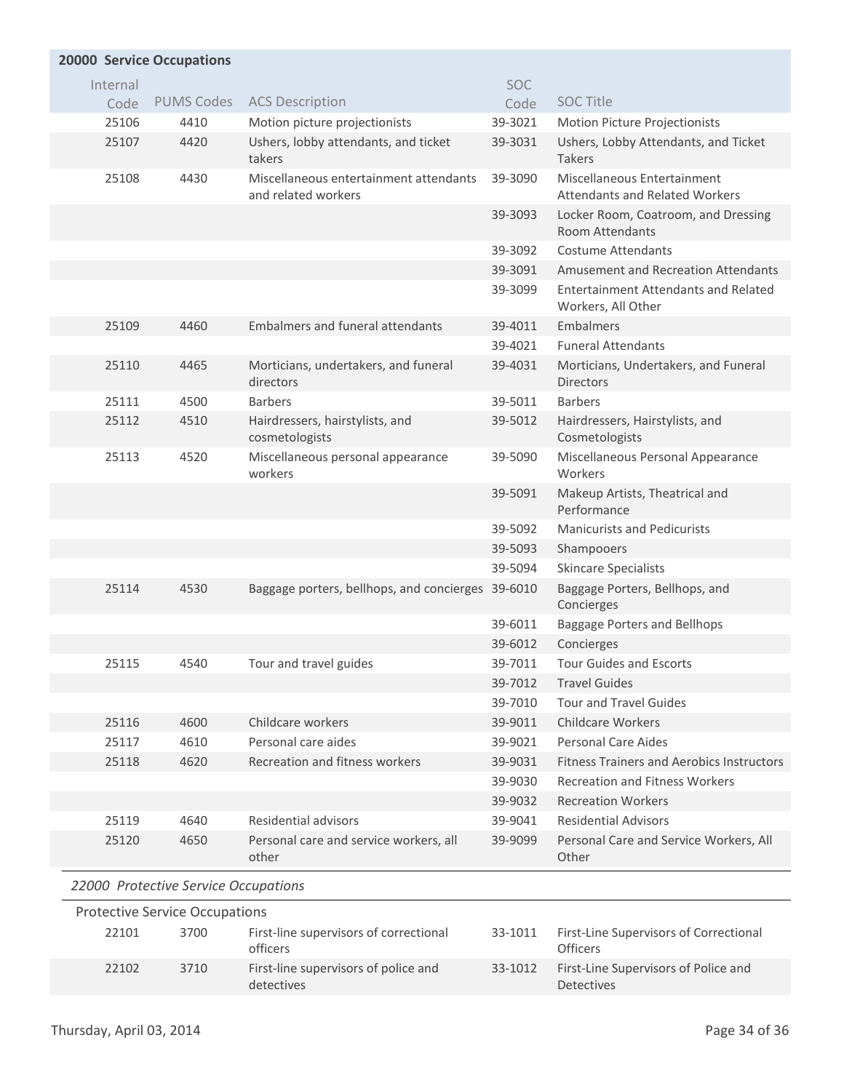|          | <b>20000 Service Occupations</b>      |                                                               |            |                                                                   |  |  |  |
|----------|---------------------------------------|---------------------------------------------------------------|------------|-------------------------------------------------------------------|--|--|--|
| Internal |                                       |                                                               | <b>SOC</b> |                                                                   |  |  |  |
| Code     | <b>PUMS Codes</b>                     | <b>ACS Description</b>                                        | Code       | <b>SOC Title</b>                                                  |  |  |  |
| 25106    | 4410                                  | Motion picture projectionists                                 | 39-3021    | Motion Picture Projectionists                                     |  |  |  |
| 25107    | 4420                                  | Ushers, lobby attendants, and ticket<br>takers                | 39-3031    | Ushers, Lobby Attendants, and Ticket<br><b>Takers</b>             |  |  |  |
| 25108    | 4430                                  | Miscellaneous entertainment attendants<br>and related workers | 39-3090    | Miscellaneous Entertainment<br>Attendants and Related Workers     |  |  |  |
|          |                                       |                                                               | 39-3093    | Locker Room, Coatroom, and Dressing<br><b>Room Attendants</b>     |  |  |  |
|          |                                       |                                                               | 39-3092    | Costume Attendants                                                |  |  |  |
|          |                                       |                                                               | 39-3091    | Amusement and Recreation Attendants                               |  |  |  |
|          |                                       |                                                               | 39-3099    | <b>Entertainment Attendants and Related</b><br>Workers, All Other |  |  |  |
| 25109    | 4460                                  | <b>Embalmers and funeral attendants</b>                       | 39-4011    | Embalmers                                                         |  |  |  |
|          |                                       |                                                               | 39-4021    | <b>Funeral Attendants</b>                                         |  |  |  |
| 25110    | 4465                                  | Morticians, undertakers, and funeral<br>directors             | 39-4031    | Morticians, Undertakers, and Funeral<br><b>Directors</b>          |  |  |  |
| 25111    | 4500                                  | <b>Barbers</b>                                                | 39-5011    | <b>Barbers</b>                                                    |  |  |  |
| 25112    | 4510                                  | Hairdressers, hairstylists, and<br>cosmetologists             | 39-5012    | Hairdressers, Hairstylists, and<br>Cosmetologists                 |  |  |  |
| 25113    | 4520                                  | Miscellaneous personal appearance<br>workers                  | 39-5090    | Miscellaneous Personal Appearance<br>Workers                      |  |  |  |
|          |                                       |                                                               | 39-5091    | Makeup Artists, Theatrical and<br>Performance                     |  |  |  |
|          |                                       |                                                               | 39-5092    | <b>Manicurists and Pedicurists</b>                                |  |  |  |
|          |                                       |                                                               | 39-5093    | Shampooers                                                        |  |  |  |
|          |                                       |                                                               | 39-5094    | <b>Skincare Specialists</b>                                       |  |  |  |
| 25114    | 4530                                  | Baggage porters, bellhops, and concierges 39-6010             |            | Baggage Porters, Bellhops, and<br>Concierges                      |  |  |  |
|          |                                       |                                                               | 39-6011    | Baggage Porters and Bellhops                                      |  |  |  |
|          |                                       |                                                               | 39-6012    | Concierges                                                        |  |  |  |
| 25115    | 4540                                  | Tour and travel guides                                        | 39-7011    | <b>Tour Guides and Escorts</b>                                    |  |  |  |
|          |                                       |                                                               | 39-7012    | <b>Travel Guides</b>                                              |  |  |  |
|          |                                       |                                                               | 39-7010    | <b>Tour and Travel Guides</b>                                     |  |  |  |
| 25116    | 4600                                  | Childcare workers                                             | 39-9011    | Childcare Workers                                                 |  |  |  |
| 25117    | 4610                                  | Personal care aides                                           | 39-9021    | <b>Personal Care Aides</b>                                        |  |  |  |
| 25118    | 4620                                  | Recreation and fitness workers                                | 39-9031    | <b>Fitness Trainers and Aerobics Instructors</b>                  |  |  |  |
|          |                                       |                                                               | 39-9030    | <b>Recreation and Fitness Workers</b>                             |  |  |  |
|          |                                       |                                                               | 39-9032    | <b>Recreation Workers</b>                                         |  |  |  |
| 25119    | 4640                                  | <b>Residential advisors</b>                                   | 39-9041    | <b>Residential Advisors</b>                                       |  |  |  |
| 25120    | 4650                                  | Personal care and service workers, all<br>other               | 39-9099    | Personal Care and Service Workers, All<br>Other                   |  |  |  |
|          | 22000 Protective Service Occupations  |                                                               |            |                                                                   |  |  |  |
|          | <b>Protective Service Occupations</b> |                                                               |            |                                                                   |  |  |  |
| 22101    | 3700                                  | First-line supervisors of correctional<br>officers            | 33-1011    | First-Line Supervisors of Correctional<br>Officers                |  |  |  |
| 22102    | 3710                                  | First-line supervisors of police and<br>detectives            | 33-1012    | First-Line Supervisors of Police and<br>Detectives                |  |  |  |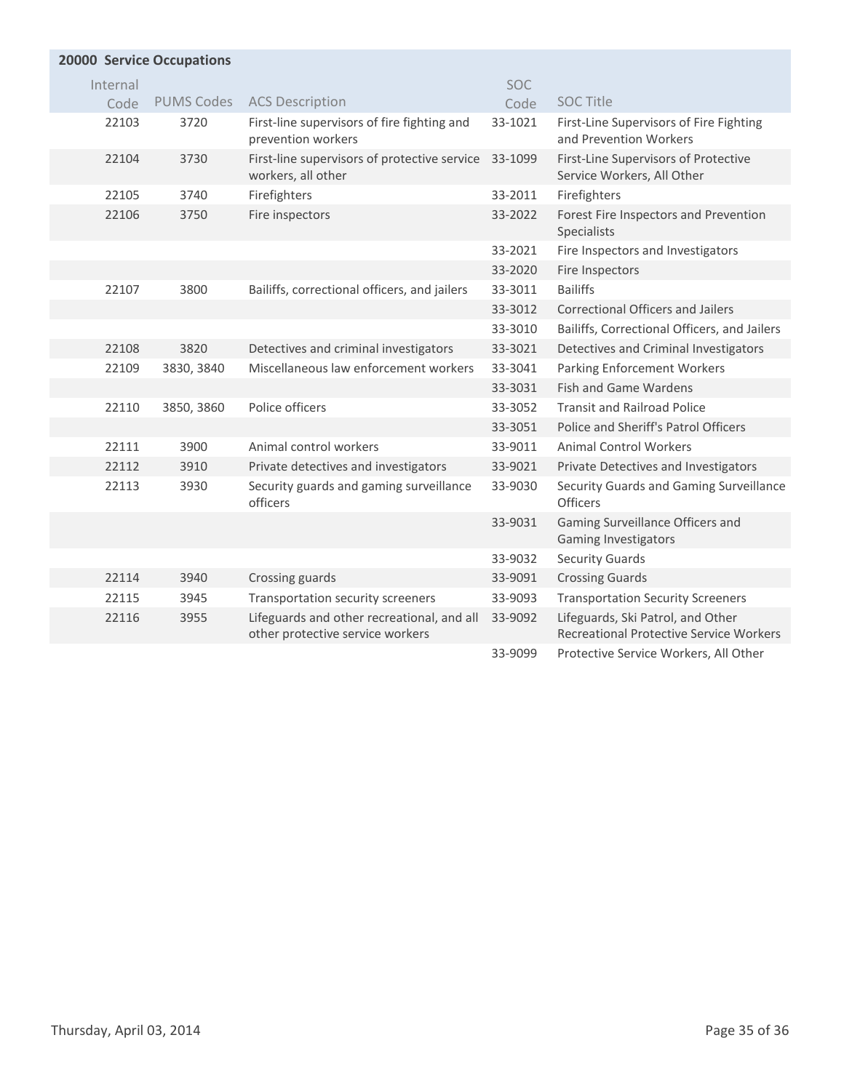| <b>20000 Service Occupations</b> |                   |                                                                                |            |                                                                              |  |  |
|----------------------------------|-------------------|--------------------------------------------------------------------------------|------------|------------------------------------------------------------------------------|--|--|
| Internal                         |                   |                                                                                | <b>SOC</b> |                                                                              |  |  |
| Code                             | <b>PUMS Codes</b> | <b>ACS Description</b>                                                         | Code       | <b>SOC Title</b>                                                             |  |  |
| 22103                            | 3720              | First-line supervisors of fire fighting and<br>prevention workers              | 33-1021    | First-Line Supervisors of Fire Fighting<br>and Prevention Workers            |  |  |
| 22104                            | 3730              | First-line supervisors of protective service<br>workers, all other             | 33-1099    | First-Line Supervisors of Protective<br>Service Workers, All Other           |  |  |
| 22105                            | 3740              | Firefighters                                                                   | 33-2011    | Firefighters                                                                 |  |  |
| 22106                            | 3750              | Fire inspectors                                                                | 33-2022    | Forest Fire Inspectors and Prevention<br>Specialists                         |  |  |
|                                  |                   |                                                                                | 33-2021    | Fire Inspectors and Investigators                                            |  |  |
|                                  |                   |                                                                                | 33-2020    | Fire Inspectors                                                              |  |  |
| 22107                            | 3800              | Bailiffs, correctional officers, and jailers                                   | 33-3011    | <b>Bailiffs</b>                                                              |  |  |
|                                  |                   |                                                                                | 33-3012    | <b>Correctional Officers and Jailers</b>                                     |  |  |
|                                  |                   |                                                                                | 33-3010    | Bailiffs, Correctional Officers, and Jailers                                 |  |  |
| 22108                            | 3820              | Detectives and criminal investigators                                          | 33-3021    | Detectives and Criminal Investigators                                        |  |  |
| 22109                            | 3830, 3840        | Miscellaneous law enforcement workers                                          | 33-3041    | <b>Parking Enforcement Workers</b>                                           |  |  |
|                                  |                   |                                                                                | 33-3031    | <b>Fish and Game Wardens</b>                                                 |  |  |
| 22110                            | 3850, 3860        | Police officers                                                                | 33-3052    | <b>Transit and Railroad Police</b>                                           |  |  |
|                                  |                   |                                                                                | 33-3051    | Police and Sheriff's Patrol Officers                                         |  |  |
| 22111                            | 3900              | Animal control workers                                                         | 33-9011    | <b>Animal Control Workers</b>                                                |  |  |
| 22112                            | 3910              | Private detectives and investigators                                           | 33-9021    | Private Detectives and Investigators                                         |  |  |
| 22113                            | 3930              | Security guards and gaming surveillance<br>officers                            | 33-9030    | Security Guards and Gaming Surveillance<br>Officers                          |  |  |
|                                  |                   |                                                                                | 33-9031    | Gaming Surveillance Officers and<br><b>Gaming Investigators</b>              |  |  |
|                                  |                   |                                                                                | 33-9032    | <b>Security Guards</b>                                                       |  |  |
| 22114                            | 3940              | Crossing guards                                                                | 33-9091    | <b>Crossing Guards</b>                                                       |  |  |
| 22115                            | 3945              | Transportation security screeners                                              | 33-9093    | <b>Transportation Security Screeners</b>                                     |  |  |
| 22116                            | 3955              | Lifeguards and other recreational, and all<br>other protective service workers | 33-9092    | Lifeguards, Ski Patrol, and Other<br>Recreational Protective Service Workers |  |  |
|                                  |                   |                                                                                | 33-9099    | Protective Service Workers, All Other                                        |  |  |